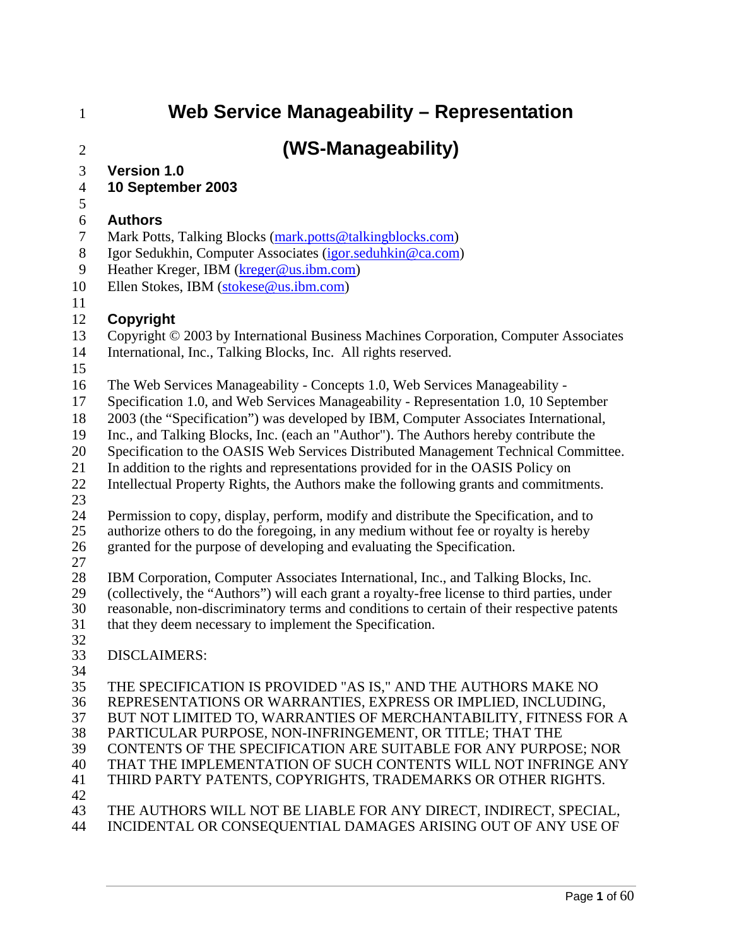# 1 **Web Service Manageability – Representation**

# 2 **(WS-Manageability)**

- 3 **Version 1.0**
- 4 **10 September 2003**
- 5

### 6 **Authors**

- 7 Mark Potts, Talking Blocks (mark.potts@talkingblocks.com)
- 8 Igor Sedukhin, Computer Associates (igor.seduhkin@ca.com)
- 9 Heather Kreger, IBM (kreger@us.ibm.com)
- 10 Ellen Stokes, IBM (stokese@us.ibm.com)
- 11

### 12 **Copyright**

- 13 Copyright © 2003 by International Business Machines Corporation, Computer Associates
- 14 International, Inc., Talking Blocks, Inc. All rights reserved.
- 15
- 16 The Web Services Manageability Concepts 1.0, Web Services Manageability -
- 17 Specification 1.0, and Web Services Manageability Representation 1.0, 10 September
- 18 2003 (the "Specification") was developed by IBM, Computer Associates International,
- 19 Inc., and Talking Blocks, Inc. (each an "Author"). The Authors hereby contribute the
- 20 Specification to the OASIS Web Services Distributed Management Technical Committee.
- 21 In addition to the rights and representations provided for in the OASIS Policy on
- 22 Intellectual Property Rights, the Authors make the following grants and commitments.
- 23
- 24 Permission to copy, display, perform, modify and distribute the Specification, and to 25 authorize others to do the foregoing, in any medium without fee or royalty is hereby
- 26 granted for the purpose of developing and evaluating the Specification.
- 27

28 IBM Corporation, Computer Associates International, Inc., and Talking Blocks, Inc.<br>29 (collectively, the "Authors") will each grant a royalty-free license to third parties, un 29 (collectively, the "Authors") will each grant a royalty-free license to third parties, under<br>30 reasonable, non-discriminatory terms and conditions to certain of their respective patents reasonable, non-discriminatory terms and conditions to certain of their respective patents 31 that they deem necessary to implement the Specification.

32

### 33 DISCLAIMERS:

34

35 THE SPECIFICATION IS PROVIDED "AS IS," AND THE AUTHORS MAKE NO 36 REPRESENTATIONS OR WARRANTIES, EXPRESS OR IMPLIED, INCLUDING, 37 BUT NOT LIMITED TO, WARRANTIES OF MERCHANTABILITY, FITNESS FOR A 38 PARTICULAR PURPOSE, NON-INFRINGEMENT, OR TITLE; THAT THE 39 CONTENTS OF THE SPECIFICATION ARE SUITABLE FOR ANY PURPOSE; NOR 40 THAT THE IMPLEMENTATION OF SUCH CONTENTS WILL NOT INFRINGE ANY 41 THIRD PARTY PATENTS, COPYRIGHTS, TRADEMARKS OR OTHER RIGHTS. 42 43 THE AUTHORS WILL NOT BE LIABLE FOR ANY DIRECT, INDIRECT, SPECIAL,

44 INCIDENTAL OR CONSEQUENTIAL DAMAGES ARISING OUT OF ANY USE OF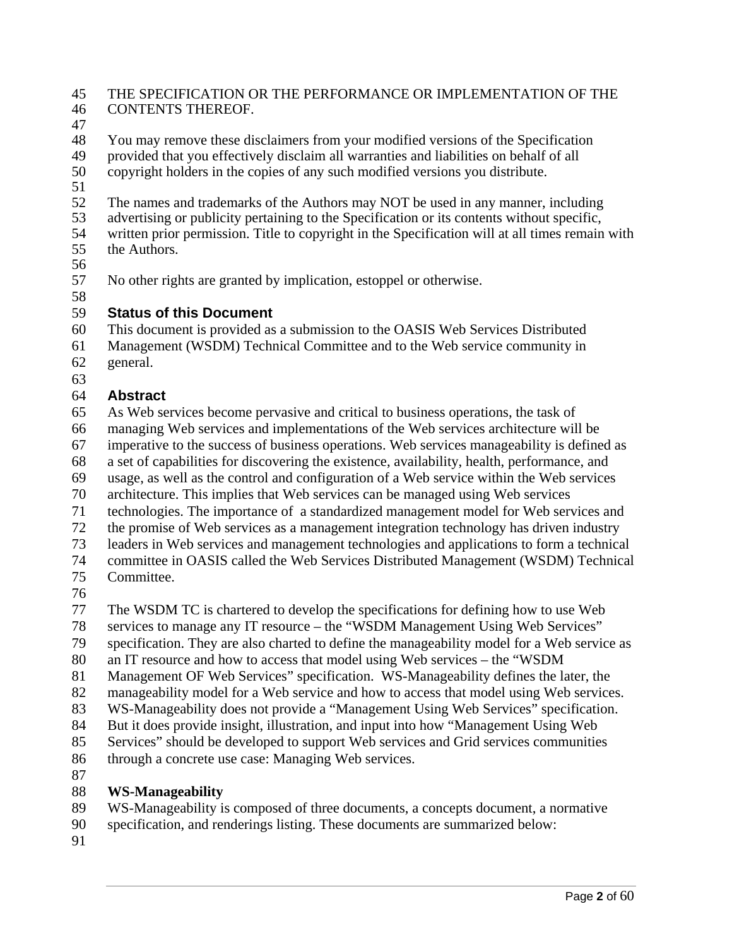#### 45 THE SPECIFICATION OR THE PERFORMANCE OR IMPLEMENTATION OF THE 46 CONTENTS THEREOF.

47

48 You may remove these disclaimers from your modified versions of the Specification 49 provided that you effectively disclaim all warranties and liabilities on behalf of all<br>50 convertient holders in the copies of any such modified versions you distribute.

50 copyright holders in the copies of any such modified versions you distribute.

51

52 The names and trademarks of the Authors may NOT be used in any manner, including<br>53 advertising or publicity pertaining to the Specification or its contents without specific.

advertising or publicity pertaining to the Specification or its contents without specific, 54 written prior permission. Title to copyright in the Specification will at all times remain with

- 55 the Authors.
- 56

57 No other rights are granted by implication, estoppel or otherwise.

### 58 59 **Status of this Document**

60 This document is provided as a submission to the OASIS Web Services Distributed

61 Management (WSDM) Technical Committee and to the Web service community in 62 general.

63

## 64 **Abstract**

65 As Web services become pervasive and critical to business operations, the task of 66 managing Web services and implementations of the Web services architecture will be

67 imperative to the success of business operations. Web services manageability is defined as

68 a set of capabilities for discovering the existence, availability, health, performance, and

69 usage, as well as the control and configuration of a Web service within the Web services

70 architecture. This implies that Web services can be managed using Web services

71 technologies. The importance of a standardized management model for Web services and

72 the promise of Web services as a management integration technology has driven industry

73 leaders in Web services and management technologies and applications to form a technical

74 committee in OASIS called the Web Services Distributed Management (WSDM) Technical 75 Committee.

76

77 The WSDM TC is chartered to develop the specifications for defining how to use Web

78 services to manage any IT resource – the "WSDM Management Using Web Services"

79 specification. They are also charted to define the manageability model for a Web service as

80 an IT resource and how to access that model using Web services – the "WSDM

81 Management OF Web Services" specification. WS-Manageability defines the later, the

82 manageability model for a Web service and how to access that model using Web services.

83 WS-Manageability does not provide a "Management Using Web Services" specification.

84 But it does provide insight, illustration, and input into how "Management Using Web

85 Services" should be developed to support Web services and Grid services communities 86 through a concrete use case: Managing Web services.

87

## 88 **WS-Manageability**

89 WS-Manageability is composed of three documents, a concepts document, a normative

90 specification, and renderings listing. These documents are summarized below:

91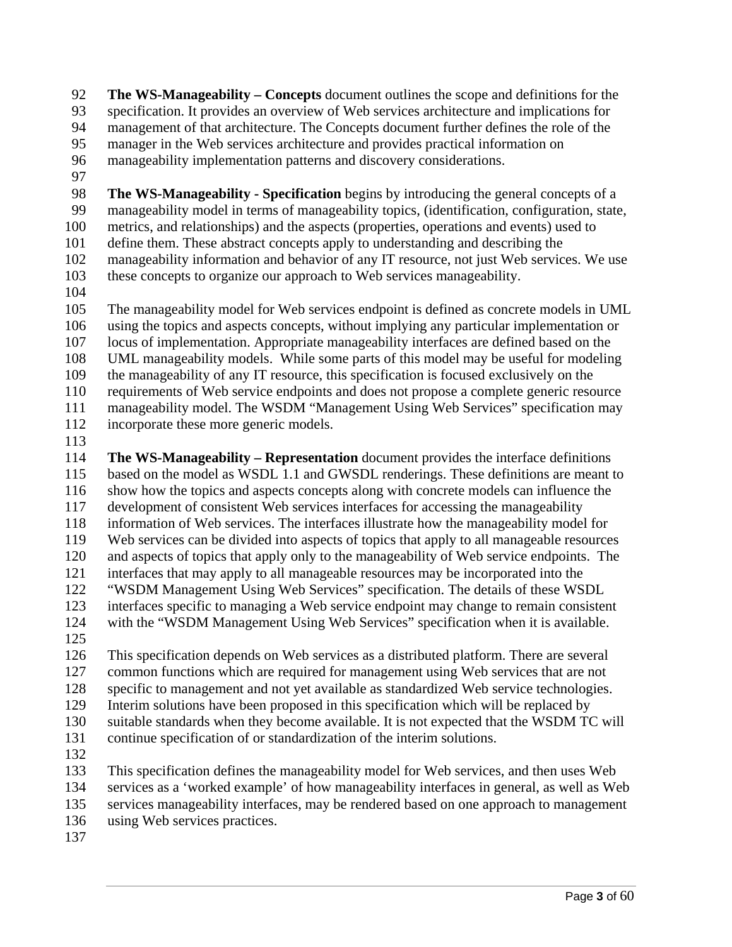92 **The WS-Manageability – Concepts** document outlines the scope and definitions for the 93 specification. It provides an overview of Web services architecture and implications for 94 management of that architecture. The Concepts document further defines the role of the 95 manager in the Web services architecture and provides practical information on 96 manageability implementation patterns and discovery considerations.

97

98 **The WS-Manageability - Specification** begins by introducing the general concepts of a 99 manageability model in terms of manageability topics, (identification, configuration, state, 100 metrics, and relationships) and the aspects (properties, operations and events) used to 101 define them. These abstract concepts apply to understanding and describing the 102 manageability information and behavior of any IT resource, not just Web services. We use 103 these concepts to organize our approach to Web services manageability.

104

105 The manageability model for Web services endpoint is defined as concrete models in UML 106 using the topics and aspects concepts, without implying any particular implementation or 107 locus of implementation. Appropriate manageability interfaces are defined based on the 108 UML manageability models. While some parts of this model may be useful for modeling 109 the manageability of any IT resource, this specification is focused exclusively on the 110 requirements of Web service endpoints and does not propose a complete generic resource 111 manageability model. The WSDM "Management Using Web Services" specification may 112 incorporate these more generic models.

113

114 **The WS-Manageability – Representation** document provides the interface definitions 115 based on the model as WSDL 1.1 and GWSDL renderings. These definitions are meant to 116 show how the topics and aspects concepts along with concrete models can influence the 117 development of consistent Web services interfaces for accessing the manageability 118 information of Web services. The interfaces illustrate how the manageability model for 119 Web services can be divided into aspects of topics that apply to all manageable resources 120 and aspects of topics that apply only to the manageability of Web service endpoints. The 121 interfaces that may apply to all manageable resources may be incorporated into the 122 "WSDM Management Using Web Services" specification. The details of these WSDL 123 interfaces specific to managing a Web service endpoint may change to remain consistent 124 with the "WSDM Management Using Web Services" specification when it is available.

125

126 This specification depends on Web services as a distributed platform. There are several 127 common functions which are required for management using Web services that are not 128 specific to management and not yet available as standardized Web service technologies. 129 Interim solutions have been proposed in this specification which will be replaced by 130 suitable standards when they become available. It is not expected that the WSDM TC will 131 continue specification of or standardization of the interim solutions.

132

133 This specification defines the manageability model for Web services, and then uses Web 134 services as a 'worked example' of how manageability interfaces in general, as well as Web 135 services manageability interfaces, may be rendered based on one approach to management

- 136 using Web services practices.
- 137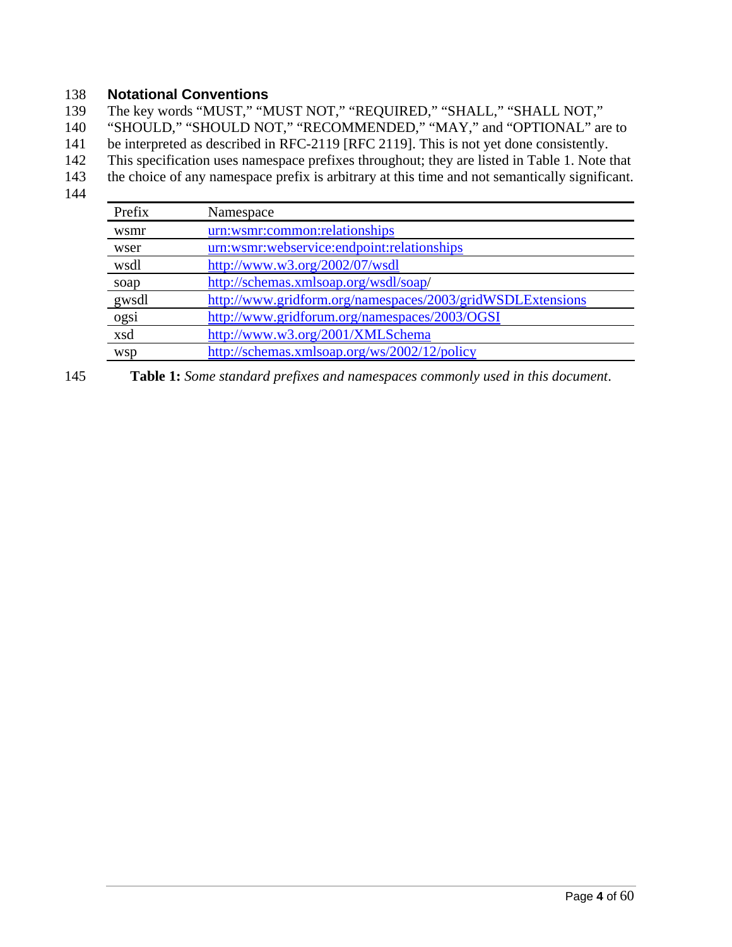### 138 **Notational Conventions**

139 The key words "MUST," "MUST NOT," "REQUIRED," "SHALL," "SHALL NOT,"

140 "SHOULD," "SHOULD NOT," "RECOMMENDED," "MAY," and "OPTIONAL" are to

141 be interpreted as described in RFC-2119 [RFC 2119]. This is not yet done consistently.

- 142 This specification uses namespace prefixes throughout; they are listed in Table 1. Note that
- 143 the choice of any namespace prefix is arbitrary at this time and not semantically significant.
- 144

| Prefix     | Namespace                                                  |
|------------|------------------------------------------------------------|
| wsmr       | urn:wsmr:common:relationships                              |
| wser       | urn:wsmr:webservice:endpoint:relationships                 |
| wsdl       | http://www.w3.org/2002/07/wsdl                             |
| soap       | http://schemas.xmlsoap.org/wsdl/soap/                      |
| gwsdl      | http://www.gridform.org/namespaces/2003/gridWSDLExtensions |
| ogsi       | http://www.gridforum.org/namespaces/2003/OGSI              |
| xsd        | http://www.w3.org/2001/XMLSchema                           |
| <b>WSD</b> | http://schemas.xmlsoap.org/ws/2002/12/policy               |

145 **Table 1:** *Some standard prefixes and namespaces commonly used in this document*.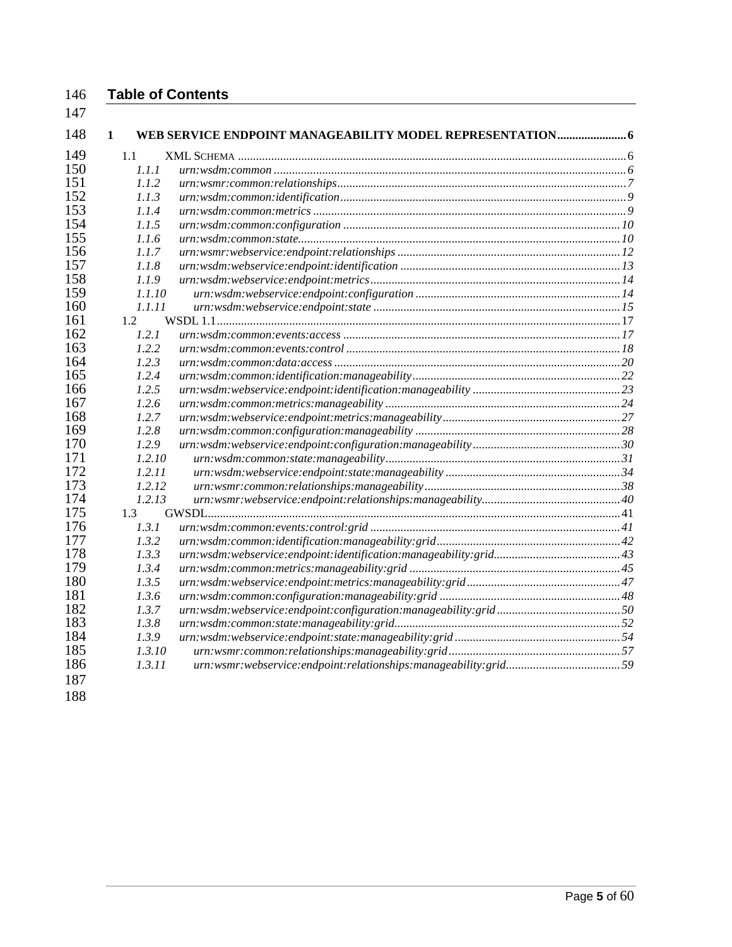### **Table of Contents**

| 148 | $\mathbf{1}$ | WEB SERVICE ENDPOINT MANAGEABILITY MODEL REPRESENTATION 6 |  |
|-----|--------------|-----------------------------------------------------------|--|
| 149 | 1.1          |                                                           |  |
| 150 | 1.1.1        |                                                           |  |
| 151 | 1.1.2        |                                                           |  |
| 152 | 1.1.3        |                                                           |  |
| 153 | 1.1.4        |                                                           |  |
| 154 | 1.1.5        |                                                           |  |
| 155 | 1.1.6        |                                                           |  |
| 156 | 1.1.7        |                                                           |  |
| 157 | 1.1.8        |                                                           |  |
| 158 | 1.1.9        |                                                           |  |
| 159 | 1.1.10       |                                                           |  |
| 160 | 1.1.11       |                                                           |  |
| 161 | 1.2          |                                                           |  |
| 162 | 1.2.1        |                                                           |  |
| 163 | 1.2.2        |                                                           |  |
| 164 | 1.2.3        |                                                           |  |
| 165 | 1.2.4        |                                                           |  |
| 166 | 1.2.5        |                                                           |  |
| 167 | 1.2.6        |                                                           |  |
| 168 | 1.2.7        |                                                           |  |
| 169 | 1.2.8        |                                                           |  |
| 170 | 1.2.9        |                                                           |  |
| 171 | 1.2.10       |                                                           |  |
| 172 | 1.2.11       |                                                           |  |
| 173 | 1.2.12       |                                                           |  |
| 174 | 1.2.13       |                                                           |  |
| 175 | 1.3          |                                                           |  |
| 176 | 1.3.1        |                                                           |  |
| 177 | 1.3.2        |                                                           |  |
| 178 | 1.3.3        |                                                           |  |
| 179 | 1.3.4        |                                                           |  |
| 180 | 1.3.5        |                                                           |  |
| 181 | 1.3.6        |                                                           |  |
| 182 | 1.3.7        |                                                           |  |
| 183 | 1.3.8        |                                                           |  |
| 184 | 1.3.9        |                                                           |  |
| 185 | 1.3.10       |                                                           |  |
| 186 | 1.3.11       |                                                           |  |
| 187 |              |                                                           |  |
| 100 |              |                                                           |  |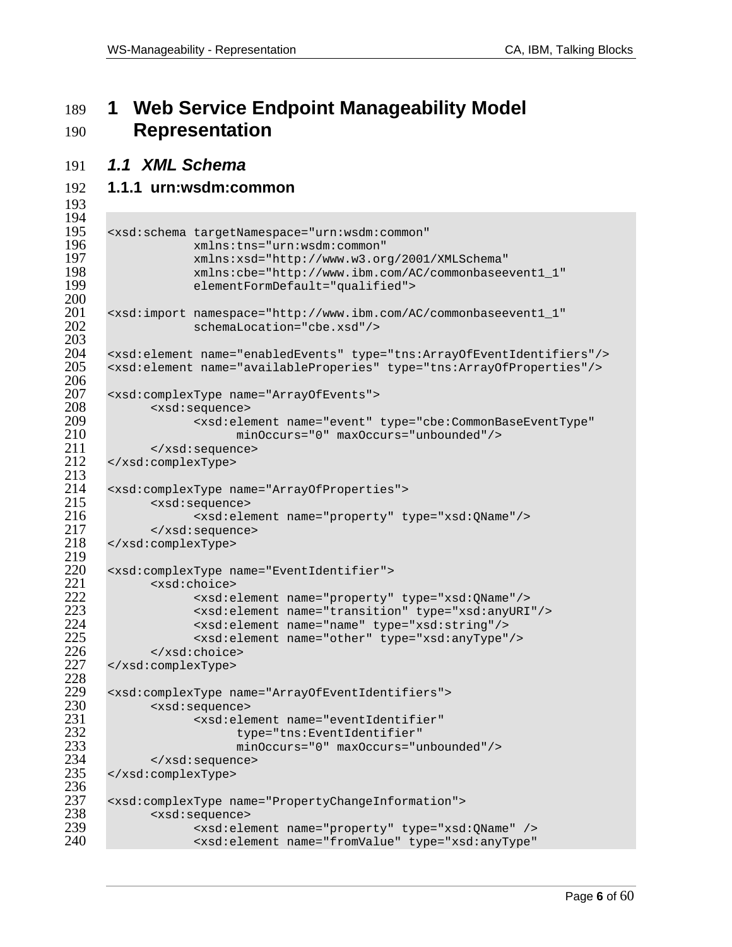# **1 Web Service Endpoint Manageability Model Representation**

### *1.1 XML Schema*

### **1.1.1 urn:wsdm:common**

```
194<br>195
195 <xsd:schema targetNamespace="urn:wsdm:common" 
196 xmlns:tns="urn:wsdm:common" 
197 xmlns:xsd="http://www.w3.org/2001/XMLSchema" 
198 xmlns:cbe="http://www.ibm.com/AC/commonbaseevent1_1" 
                  elementFormDefault="qualified">
200 
201 <xsd:import namespace="http://www.ibm.com/AC/commonbaseevent1_1"<br>202 schemaLocation="cbe.xsd"/>
                 schemaLocation="cbe.xsd"/>
203<br>204
204 <xsd:element name="enabledEvents" type="tns:ArrayOfEventIdentifiers"/> 
      205 <xsd:element name="availableProperies" type="tns:ArrayOfProperties"/> 
206 
207 <xsd:complexType name="ArrayOfEvents"> 
208 <xsd:sequence> 
209 <xsd:element name="event" type="cbe:CommonBaseEventType" 
210 minOccurs="0" maxOccurs="unbounded"/> 
211 </xsd:sequence><br>212 </xsd:complexType>
      212 </xsd:complexType> 
\frac{213}{214}214 <xsd:complexType name="ArrayOfProperties"> 
215 <xsd:sequence><br>216 <xsd:ele
216 <xsd:element name="property" type="xsd:QName"/> 
217 </xsd:sequence><br>218 </xsd:complexType>
      218 </xsd:complexType> 
219 
220 <xsd:complexType name="EventIdentifier"> 
221 <xsd:choice><br>222 <xsd:c
222 <xsd:element name="property" type="xsd:QName"/> 
223 <xsd:element name="transition" type="xsd:anyURI"/> 
224 <xsd:element name="name" type="xsd:string"/> 
225 <xsd:element name="other" type="xsd:anyType"/><br>226 </xsd:choice>
226 </xsd:choice><br>227 </xsd:complexType>
      227 </xsd:complexType> 
228 
229 <xsd:complexType name="ArrayOfEventIdentifiers"> 
230 <xsd:sequence> 
231 <xsd:element name="eventIdentifier" 
232 type="tns:EventIdentifier" 
233 minOccurs="0" maxOccurs="unbounded"/> 
234 </xsd:sequence><br>235 </xsd:complexType>
      235 </xsd:complexType> 
236<br>237
237 <xsd:complexType name="PropertyChangeInformation"> 
238 <xsd:sequence> 
239 <xsd:element name="property" type="xsd:QName" /> 
                  240 <xsd:element name="fromValue" type="xsd:anyType"
```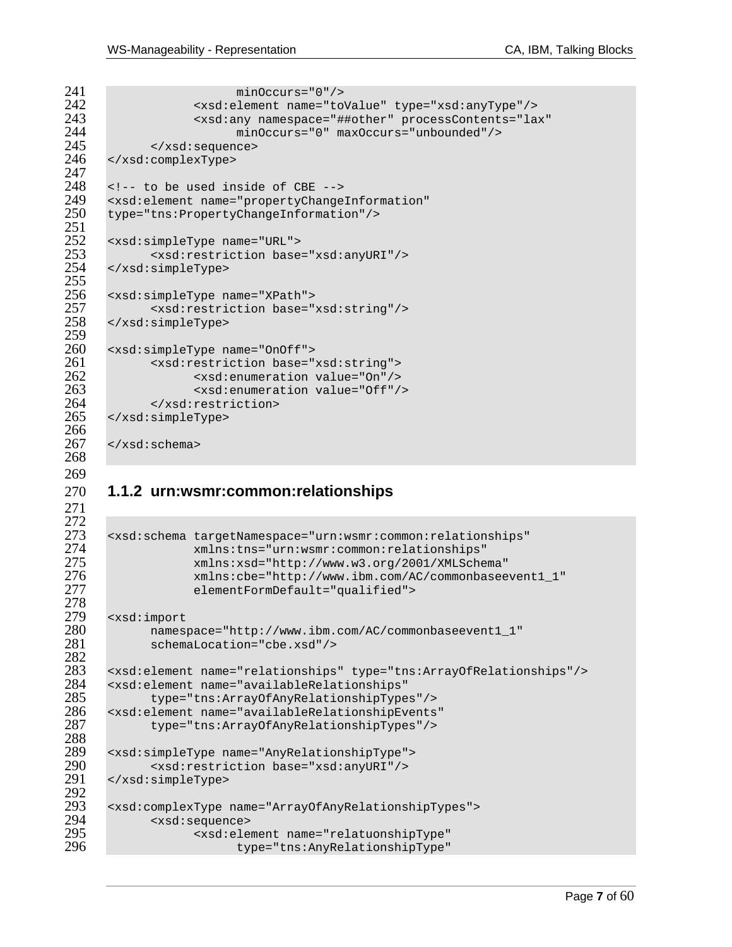```
241 minOccurs="0"/><br>242 sxsd:element.name="to
242 <xsd:element name="toValue" type="xsd:anyType"/> 
243 <xsd:any namespace="##other" processContents="lax" 
244 minOccurs="0" maxOccurs="unbounded"/> 
245 </xsd:sequence><br>246 </xsd:complexType>
       246 </xsd:complexType> 
247<br>248
248 <!-- to be used inside of CBE --><br>249 <xsd:element name="propertyChange
249 <xsd:element name="propertyChangeInformation" 
      250 type="tns:PropertyChangeInformation"/> 
251<br>252
252 <xsd:simpleType name="URL"> 
253 <xsd:restriction base="xsd:anyURI"/><br>254 </xsd:simpleType>
       254 </xsd:simpleType> 
255<br>256
256 <xsd:simpleType name="XPath"> 
257 <xsd:restriction base="xsd:string"/> 
      258 </xsd:simpleType> 
259 
260 <xsd:simpleType name="OnOff"> 
261 <xsd:restriction base="xsd:string"><br>262 <xsd:enumeration value="0n"/>
262 <xsd:enumeration value="On"/> 
263 <xsd:enumeration value="Off"/> 
264 </xsd:restriction><br>265 </xsd:simpleType>
      265 </xsd:simpleType> 
266<br>267
      \langle xsd:schema \rangle
```
### **1.1.2 urn:wsmr:common:relationships**

 

```
272 
273 <xsd:schema targetNamespace="urn:wsmr:common:relationships" 
274 xmlns:tns="urn:wsmr:common:relationships" 
275 xmlns:xsd="http://www.w3.org/2001/XMLSchema" 
276 xmlns:cbe="http://www.ibm.com/AC/commonbaseevent1_1" 
                  elementFormDefault="qualified">
278<br>279
279 <xsd:import 
280 namespace="http://www.ibm.com/AC/commonbaseevent1_1" 
            schemaLocation="cbe.xsd"/>
282 
283 <xsd:element name="relationships" type="tns:ArrayOfRelationships"/> 
284 <xsd:element name="availableRelationships" 
285 type="tns:ArrayOfAnyRelationshipTypes"/><br>286 <xsd:element name="availableRelationshipEvents
286 <xsd:element name="availableRelationshipEvents" 
            287 type="tns:ArrayOfAnyRelationshipTypes"/> 
288<br>289
289 <xsd:simpleType name="AnyRelationshipType"> 
290 <xsd:restriction base="xsd:anyURI"/><br>291 </xsd:simpleType>
      291 </xsd:simpleType> 
292<br>293
293 <xsd:complexType name="ArrayOfAnyRelationshipTypes"> 
294 <xsd:sequence> 
295 <xsd:element name="relatuonshipType" 
                         type="tns:AnyRelationshipType"
```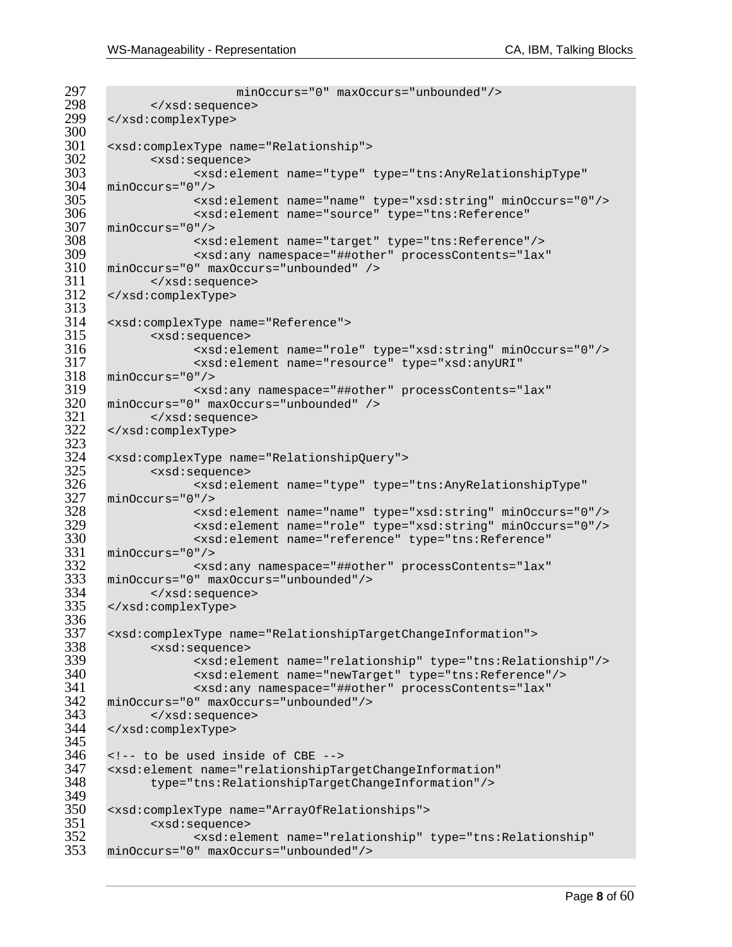```
297 minOccurs="0" maxOccurs="unbounded"/><br>298 </xsd:sequence>
298 </xsd:sequence><br>299 </xsd:complexType>
     299 </xsd:complexType> 
300<br>301
301 <xsd:complexType name="Relationship"> 
302 <xsd:sequence> 
303 <xsd:element name="type" type="tns:AnyRelationshipType" 
304 minOccurs="0"/> 
305 <xsd:element name="name" type="xsd:string" minOccurs="0"/> 
306 <xsd:element name="source" type="tns:Reference" 
307 minOccurs="0"/> 
308 <xsd:element name="target" type="tns:Reference"/> 
309 <xsd:any namespace="##other" processContents="lax" 
310 minOccurs="0" maxOccurs="unbounded" /><br>311 </xsd:sequence>
311 </xsd:sequence><br>312 </xsd:complexType>
     312 </xsd:complexType> 
313<br>314
314 <xsd:complexType name="Reference"><br>315 <xsd:sequence>
315 <xsd:sequence> 
316 <xsd:element name="role" type="xsd:string" minOccurs="0"/> 
317 <xsd:element name="resource" type="xsd:anyURI" 
318 minOccurs="0"/> 
319 <xsd:any namespace="##other" processContents="lax" 
320 minOccurs="0" maxOccurs="unbounded" /> 
321 </xsd:sequence> 
     322 </xsd:complexType> 
323<br>324
324 <xsd:complexType name="RelationshipQuery"> 
325 <xsd:sequence> 
326 <xsd:element name="type" type="tns:AnyRelationshipType" 
327 minOccurs="0"/> 
328 <xsd:element name="name" type="xsd:string" minOccurs="0"/> 
329 <xsd:element name="role" type="xsd:string" minOccurs="0"/> 
330 <xsd:element name="reference" type="tns:Reference" 
331 minOccurs="0"/> 
332 <xsd:any namespace="##other" processContents="lax" 
333 minOccurs="0" maxOccurs="unbounded"/> 
334 </xsd:sequence> 
     335 </xsd:complexType> 
336<br>337
337 <xsd:complexType name="RelationshipTargetChangeInformation"> 
338 <xsd:sequence> 
339 <xsd:element name="relationship" type="tns:Relationship"/> 
340 <xsd:element name="newTarget" type="tns:Reference"/> 
341 <xsd:any namespace="##other" processContents="lax" 
342 minOccurs="0" maxOccurs="unbounded"/> 
343 </xsd:sequence> 
     344 </xsd:complexType> 
345<br>346
346 <!-- to be used inside of CBE --> 
347 <xsd:element name="relationshipTargetChangeInformation" 
           348 type="tns:RelationshipTargetChangeInformation"/> 
349<br>350
350 <xsd:complexType name="ArrayOfRelationships"> 
351 <xsd:sequence> 
352 <xsd:element name="relationship" type="tns:Relationship" 
     353 minOccurs="0" maxOccurs="unbounded"/>
```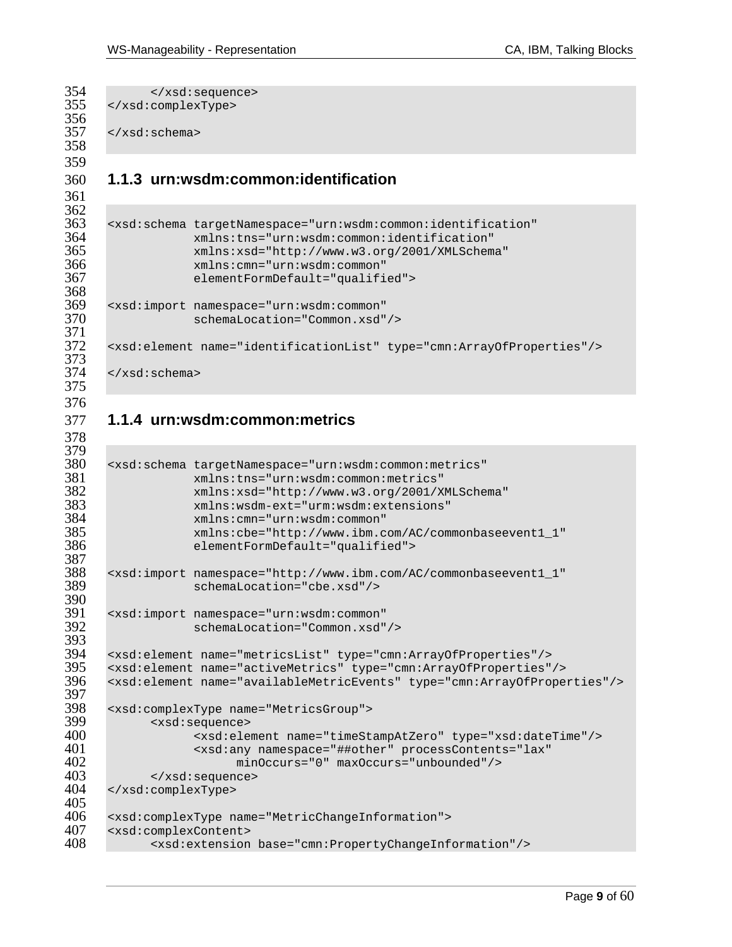```
354 </xsd:sequence><br>355 </xsd:complexType>
      355 </xsd:complexType> 
356<br>357
      </xsd:schema>
358 
359 
360 1.1.3 urn:wsdm:common:identification 
361 
362<br>363
363 <xsd:schema targetNamespace="urn:wsdm:common:identification" 
364 xmlns:tns="urn:wsdm:common:identification" 
365 xmlns:xsd="http://www.w3.org/2001/XMLSchema" 
366 xmlns:cmn="urn:wsdm:common" 
                  367 elementFormDefault="qualified"> 
368<br>369
369 <xsd:import namespace="urn:wsdm:common" 
                  schemaLocation="Common.xsd"/>
371<br>372
      372 <xsd:element name="identificationList" type="cmn:ArrayOfProperties"/> 
373 
374 \times /xsd:schema>
375 
376 
377 1.1.4 urn:wsdm:common:metrics 
378 
379<br>380
380 <xsd:schema targetNamespace="urn:wsdm:common:metrics" 
381 xmlns:tns="urn:wsdm:common:metrics" 
382 xmlns:xsd="http://www.w3.org/2001/XMLSchema" 
383 xmlns:wsdm-ext="urm:wsdm:extensions" 
384 xmlns:cmn="urn:wsdm:common" 
385 xmlns:cbe="http://www.ibm.com/AC/commonbaseevent1_1" 
                  elementFormDefault="qualified">
387<br>388
388 <xsd:import namespace="http://www.ibm.com/AC/commonbaseevent1_1" 
                  schemaLocation="cbe.xsd"/>
390<br>391
391 <xsd:import namespace="urn:wsdm:common" 
                  schemaLocation="Common.xsd"/>
393<br>394
394 <xsd:element name="metricsList" type="cmn:ArrayOfProperties"/> 
395 <xsd:element name="activeMetrics" type="cmn:ArrayOfProperties"/> 
      396 <xsd:element name="availableMetricEvents" type="cmn:ArrayOfProperties"/> 
397<br>398
398 <xsd:complexType name="MetricsGroup"> 
399 <xsd:sequence> 
400 <xsd:element name="timeStampAtZero" type="xsd:dateTime"/> 
401 <xsd:any namespace="##other" processContents="lax" 
402 minOccurs="0" maxOccurs="unbounded"/><br>403 </xsd:sequence>
403 </xsd:sequence><br>404 </xsd:complexType>
      404 </xsd:complexType> 
405<br>406
406 <xsd:complexType name="MetricChangeInformation"> 
407 <xsd:complexContent><br>408 <xsd:extension
            408 <xsd:extension base="cmn:PropertyChangeInformation"/>
```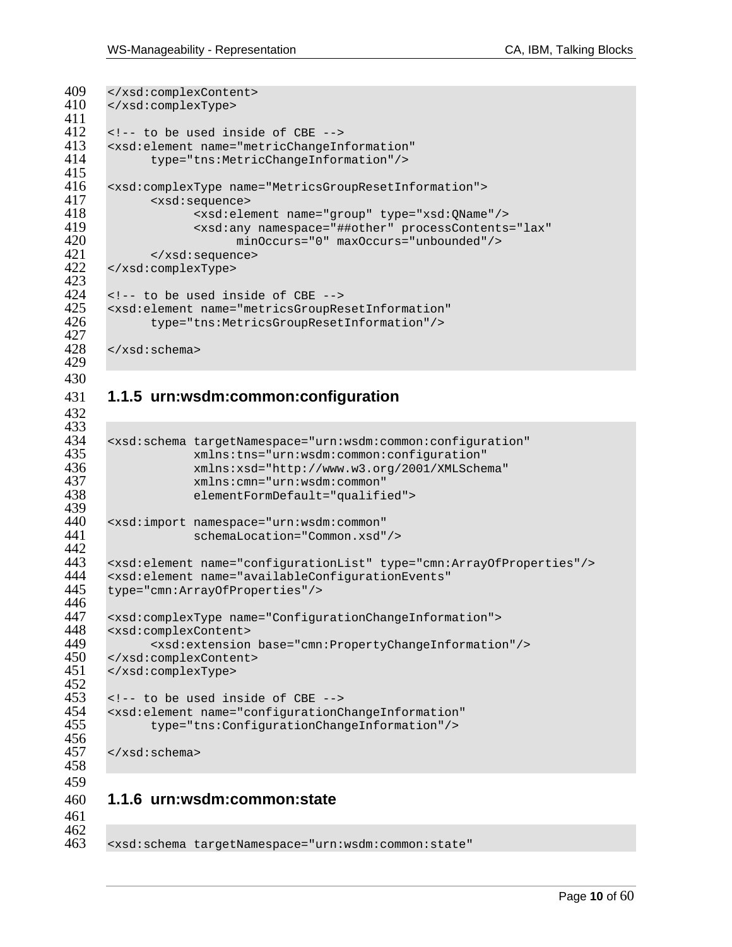```
409 </xsd:complexContent><br>410 </xsd:complexType>
      410 </xsd:complexType> 
411<br>412
412 <!-- to be used inside of CBE --><br>413 <xsd:element name="metricChangeIn
413 <xsd:element name="metricChangeInformation" 
             414 type="tns:MetricChangeInformation"/> 
415<br>416
416 <xsd:complexType name="MetricsGroupResetInformation"> 
417 <xsd:sequence> 
418 <xsd:element name="group" type="xsd:QName"/> 
419 <xsd:any namespace="##other" processContents="lax" 
420 minOccurs="0" maxOccurs="unbounded"/> 
421 </xsd:sequence><br>422 </xsd:complexType>
      422 </xsd:complexType> 
423<br>424
424 <!-- to be used inside of CBE --><br>425 <xsd:element name="metricsGroupRe
425 <xsd:element name="metricsGroupResetInformation" 
             426 type="tns:MetricsGroupResetInformation"/> 
427<br>428
      428 </xsd:schema> 
429 
430 
431 1.1.5 urn:wsdm:common:configuration 
432 
433<br>434
434 <xsd:schema targetNamespace="urn:wsdm:common:configuration" 
435 xmlns:tns="urn:wsdm:common:configuration" 
436 xmlns:xsd="http://www.w3.org/2001/XMLSchema" 
437 xmlns:cmn="urn:wsdm:common" 
                    elementFormDefault="qualified">
439<br>440
440 <xsd:import namespace="urn:wsdm:common" 
                    schemaLocation="Common.xsd"/>
442<br>443
443 <xsd:element name="configurationList" type="cmn:ArrayOfProperties"/> 
444 <xsd:element name="availableConfigurationEvents" 
      445 type="cmn:ArrayOfProperties"/> 
446 
447 <xsd:complexType name="ConfigurationChangeInformation"> 
448 <xsd:complexContent><br>449 <xsd:extension
449 <xsd:extension base="cmn:PropertyChangeInformation"/><br>450 </xsd:complexContent>
450 </xsd:complexContent><br>451 </xsd:complexType>
```

```
451 </xsd:complexType> 
452<br>453
```

```
453 <!-- to be used inside of CBE --><br>454 <xsd:element name="configurationC
454 <xsd:element name="configurationChangeInformation" 
                455 type="tns:ConfigurationChangeInformation"/> 
456
```
 $457 \times xsd:$ schema>

 

| 460 |  | 1.1.6 urn:wsdm:common:state |
|-----|--|-----------------------------|
|-----|--|-----------------------------|

 

<xsd:schema targetNamespace="urn:wsdm:common:state"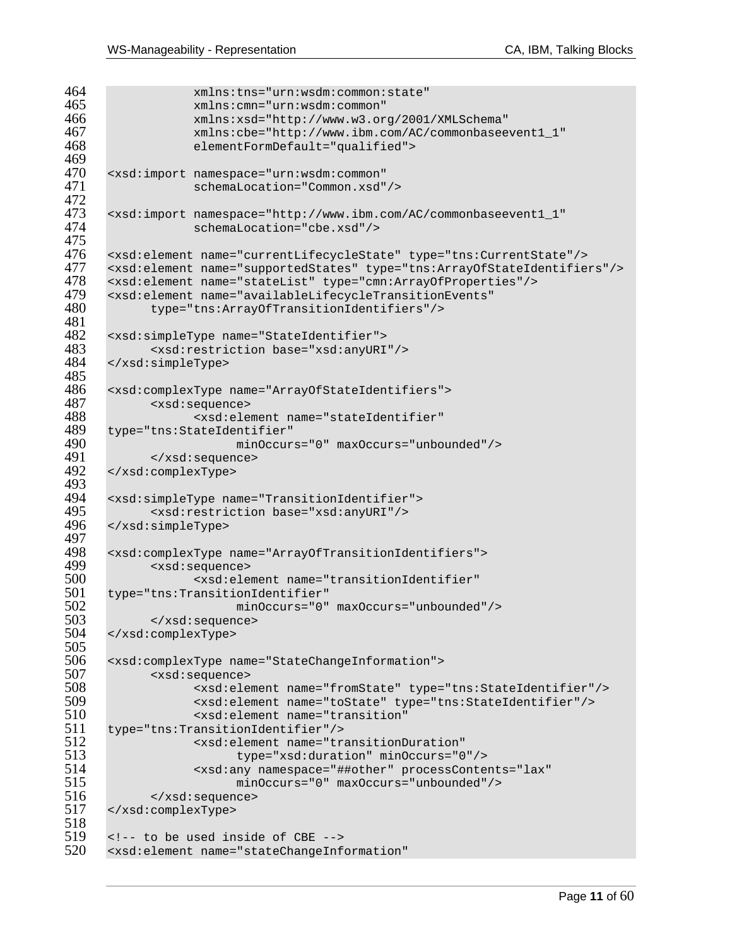```
464 xmlns:tns="urn:wsdm:common:state"<br>465 xmlns:cmn="urn:wsdm:common"
465 xmlns:cmn="urn:wsdm:common" 
466 xmlns:xsd="http://www.w3.org/2001/XMLSchema" 
467 xmlns:cbe="http://www.ibm.com/AC/commonbaseevent1_1" 
                    elementFormDefault="qualified">
469<br>470
470 <xsd:import namespace="urn:wsdm:common" 
                    schemaLocation="Common.xsd"/>
472 
473 <xsd:import namespace="http://www.ibm.com/AC/commonbaseevent1_1" 
                    schemaLocation="cbe.xsd"/>
475 
476 <xsd:element name="currentLifecycleState" type="tns:CurrentState"/> 
477 <xsd:element name="supportedStates" type="tns:ArrayOfStateIdentifiers"/><br>478 <xsd:element name="stateList" type="cmn:ArrayOfProperties"/>
478 <xsd:element name="stateList" type="cmn:ArrayOfProperties"/><br>479 <xsd:element name="availableLifecycleTransitionEvents"
479 <xsd:element name="availableLifecycleTransitionEvents" 
             480 type="tns:ArrayOfTransitionIdentifiers"/> 
481 
482 <xsd:simpleType name="StateIdentifier"> 
483 <xsd:restriction base="xsd:anyURI"/><br>484 </xsd:simpleType>
      484 </xsd:simpleType> 
485<br>486
486 <xsd:complexType name="ArrayOfStateIdentifiers"> 
487 <xsd:sequence> 
488 <xsd:element name="stateIdentifier" 
489 type="tns:StateIdentifier" 
490 minOccurs="0" maxOccurs="unbounded"/> 
491 </xsd:sequence><br>492 </xsd:complexType>
       492 </xsd:complexType> 
493<br>494
494 <xsd:simpleType name="TransitionIdentifier"><br>495 <xsd:restriction base="xsd:anyURI"/>
495 <xsd:restriction base="xsd:anyURI"/><br>496 </xsd:simpleType>
       496 </xsd:simpleType> 
497<br>498
498 <xsd:complexType name="ArrayOfTransitionIdentifiers"> 
499 <xsd:sequence> 
500 <xsd:element name="transitionIdentifier" 
501 type="tns:TransitionIdentifier"<br>502 minOccurs="0"
502 minOccurs="0" maxOccurs="unbounded"/> 
503 </xsd:sequence> 
       504 </xsd:complexType> 
505<br>506
506 <xsd:complexType name="StateChangeInformation"> 
507 <xsd:sequence> 
508 <xsd:element name="fromState" type="tns:StateIdentifier"/> 
509 <xsd:element name="toState" type="tns:StateIdentifier"/> 
510 <xsd:element name="transition"<br>511 type="tns:TransitionIdentifier"/>
511 type="tns:TransitionIdentifier"/> 
512 <xsd:element name="transitionDuration"<br>513 type="xsd:duration" minOccurs="0
513 type="xsd:duration" minOccurs="0"/> 
514 <xsd:any namespace="##other" processContents="lax" 
515 minOccurs="0" maxOccurs="unbounded"/><br>516 </xsd:sequence>
516 </xsd:sequence><br>517 </xsd:complexType>
      517 </xsd:complexType> 
518<br>519
519 <!-- to be used inside of CBE --><br>520 <xsd:element name="stateChangeInf
      520 <xsd:element name="stateChangeInformation"
```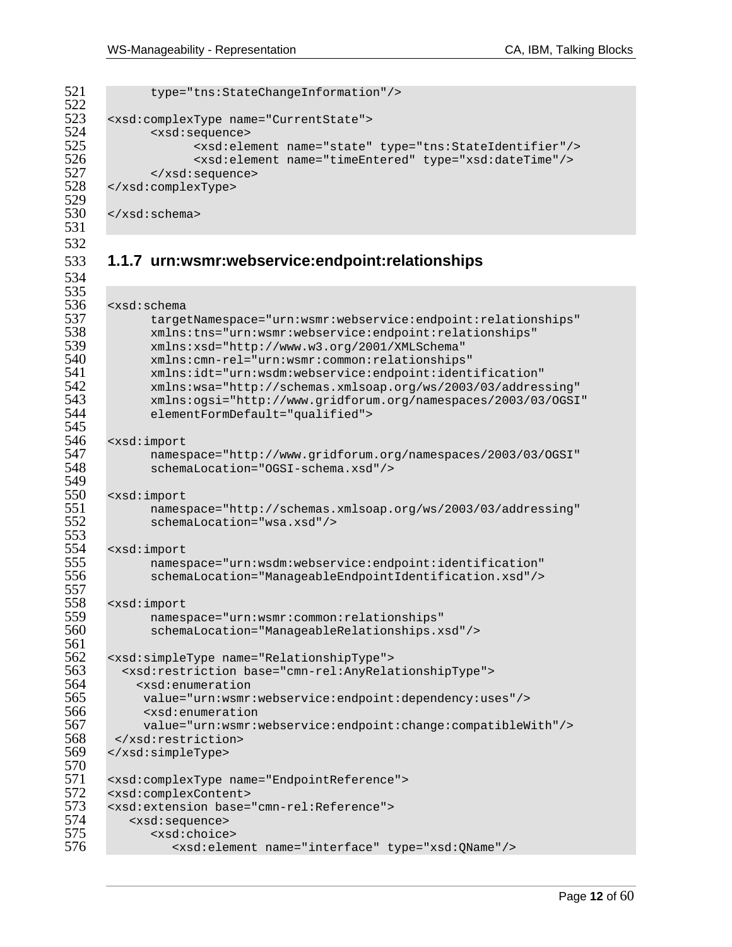522<br>523 529<br>530 531 532 534 535<br>536 545<br>546 549<br>550 553<br>554 557 561<br>562

```
521 type="tns:StateChangeInformation"/>
523 <xsd:complexType name="CurrentState"><br>524 <xsd:sequence>
524 <xsd:sequence> 
525 <xsd:element name="state" type="tns:StateIdentifier"/> 
526 <xsd:element name="timeEntered" type="xsd:dateTime"/> 
527 </xsd:sequence><br>528 </xsd:complexType>
      528 </xsd:complexType> 
      530 </xsd:schema>
```
### 533 **1.1.7 urn:wsmr:webservice:endpoint:relationships**

```
536 <xsd:schema 
537 targetNamespace="urn:wsmr:webservice:endpoint:relationships"<br>538 mmlns:tns="urn:wsmr:webservice:endpoint:relationships"
538 xmlns:tns="urn:wsmr:webservice:endpoint:relationships" 
539 xmlns:xsd="http://www.w3.org/2001/XMLSchema" 
540 xmlns:cmn-rel="urn:wsmr:common:relationships" 
541 xmlns:idt="urn:wsdm:webservice:endpoint:identification" 
542 xmlns:wsa="http://schemas.xmlsoap.org/ws/2003/03/addressing" 
543 xmlns:ogsi="http://www.gridforum.org/namespaces/2003/03/OGSI" 
             elementFormDefault="qualified">
546 <xsd:import 
547 namespace="http://www.gridforum.org/namespaces/2003/03/OGSI" 
             548 schemaLocation="OGSI-schema.xsd"/> 
550 <xsd:import<br>551 names
551 namespace="http://schemas.xmlsoap.org/ws/2003/03/addressing" 
             schemaLocation="wsa.xsd"/>
554 <xsd:import 
555 namespace="urn:wsdm:webservice:endpoint:identification" 
             556 schemaLocation="ManageableEndpointIdentification.xsd"/> 
558 <xsd:import<br>559 names
559 namespace="urn:wsmr:common:relationships" 
             560 schemaLocation="ManageableRelationships.xsd"/> 
562 <xsd:simpleType name="RelationshipType"> 
563 <xsd:restriction base="cmn-rel:AnyRelationshipType"> 
564 <xsd:enumeration<br>565 value="urn:wsmr
565 value="urn:wsmr:webservice:endpoint:dependency:uses"/> 
566 <xsd:enumeration 
567 value="urn:wsmr:webservice:endpoint:change:compatibleWith"/> 
568 </xsd:restriction><br>569 </xsd:simpleType>
      569 </xsd:simpleType> 
570<br>571
571 <xsd:complexType name="EndpointReference"><br>572 <xsd:complexContent>
572 <xsd:complexContent><br>573 <xsd:extension base=
573 <xsd:extension base="cmn-rel:Reference"><br>574 <xsd:sequence>
          574 <xsd:sequence> 
575 <xsd:choice><br>576 <xsd:elem
                576 <xsd:element name="interface" type="xsd:QName"/>
```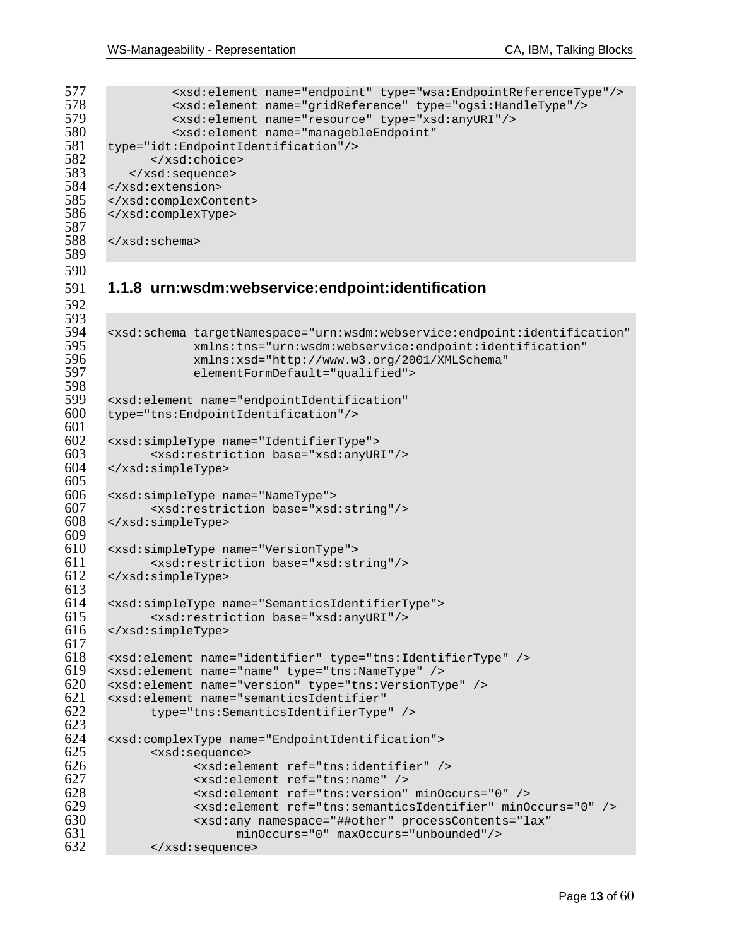```
577 <xsd:element name="endpoint" type="wsa:EndpointReferenceType"/><br>578 <xsd:element name="gridReference" type="ogsi:HandleType"/>
578 <xsd:element name="gridReference" type="ogsi:HandleType"/> 
579 <xsd:element name="resource" type="xsd:anyURI"/> 
580 <xsd:element name="managebleEndpoint" 
581 type="idt:EndpointIdentification"/><br>582 </xsd:choice>
582 </xsd:choice> 
583 </xsd:sequence><br>584 </xsd:extension>
584 </xsd:extension><br>585 </xsd:complexCon
585 </xsd:complexContent><br>586 </xsd:complexType>
        586 </xsd:complexType> 
587 
588 </xsd:schema> 
589 
590 
592 
593<br>594
598<br>599
601<br>602
        604 </xsd:simpleType> 
605 
        608 </xsd:simpleType> 
609<br>610
```
# **1.1.8 urn:wsdm:webservice:endpoint:identification**

```
594 <xsd:schema targetNamespace="urn:wsdm:webservice:endpoint:identification" 
595 xmlns:tns="urn:wsdm:webservice:endpoint:identification" 
596 xmlns:xsd="http://www.w3.org/2001/XMLSchema" 
                   elementFormDefault="qualified">
599 <xsd:element name="endpointIdentification"<br>600 type="tns:EndpointIdentification"/>
      600 type="tns:EndpointIdentification"/> 
602 <xsd:simpleType name="IdentifierType"> 
603 <xsd:restriction base="xsd:anyURI"/><br>604 </xsd:simpleType>
606 <xsd:simpleType name="NameType"> 
607 \langle xsd:restriction\ abase="xsd:string*/>608 \langle xsd:simpleType\rangle610 <xsd:simpleType name="VersionType"> 
             611 <xsd:restriction base="xsd:string"/> 
612 </xsd:simpleType> 
613 
614 <xsd:simpleType name="SemanticsIdentifierType"><br>615 <xsd:restriction base="xsd:anyURI"/>
615 <xsd:restriction base="xsd:anyURI"/><br>616 </xsd:simpleType>
      616 </xsd:simpleType> 
617<br>618618 <xsd:element name="identifier" type="tns:IdentifierType" /> 
619 <xsd:element name="name" type="tns:NameType" /> 
620 <xsd:element name="version" type="tns:VersionType" /> 
621 <xsd:element name="semanticsIdentifier" 
             622 type="tns:SemanticsIdentifierType" /> 
623<br>624
624 <xsd:complexType name="EndpointIdentification"> 
625 <xsd:sequence> 
626 <xsd:element ref="tns:identifier" /> 
627 <xsd:element ref="tns:name" /> 
628 <xsd:element ref="tns:version" minOccurs="0" /> 
629 <xsd:element ref="tns:semanticsIdentifier" minOccurs="0" /> 
                   630 <xsd:any namespace="##other" processContents="lax" 
631 minOccurs="0" maxOccurs="unbounded"/><br>632 </xsd:sequence>
             632 </xsd:sequence>
```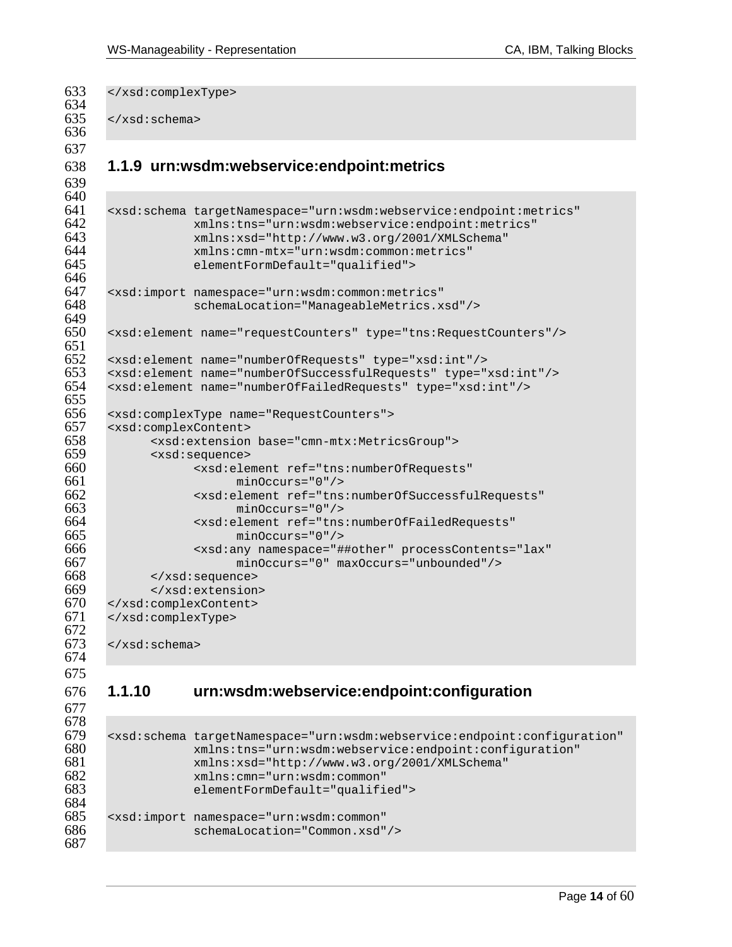```
633 </xsd:complexType> 
634<br>635
      </xsd:schema>
636 
637 
638 1.1.9 urn:wsdm:webservice:endpoint:metrics 
639 
640<br>641
641 <xsd:schema targetNamespace="urn:wsdm:webservice:endpoint:metrics" 
642 xmlns:tns="urn:wsdm:webservice:endpoint:metrics" 
643 xmlns:xsd="http://www.w3.org/2001/XMLSchema" 
644 xmlns:cmn-mtx="urn:wsdm:common:metrics" 
                  elementFormDefault="qualified">
646<br>647
647 <xsd:import namespace="urn:wsdm:common:metrics" 
                  648 schemaLocation="ManageableMetrics.xsd"/> 
649 
650 <xsd:element name="requestCounters" type="tns:RequestCounters"/> 
651<br>652
652 <xsd:element name="numberOfRequests" type="xsd:int"/> 
653 <xsd:element name="numberOfSuccessfulRequests" type="xsd:int"/> 
      654 <xsd:element name="numberOfFailedRequests" type="xsd:int"/> 
655<br>656
656 <xsd:complexType name="RequestCounters"> 
657 <xsd:complexContent><br>658 <xsd:extension
658 <xsd:extension base="cmn-mtx:MetricsGroup"> 
659 <xsd:sequence> 
660 <xsd:element ref="tns:numberOfRequests" 
661 minOccurs="0"/><br>662 sxsd:element ref="tns
662 <xsd:element ref="tns:numberOfSuccessfulRequests" 
663 minOccurs="0"/> 
664 <xsd:element ref="tns:numberOfFailedRequests" 
665 minOccurs="0"/> 
666 <xsd:any namespace="##other" processContents="lax" 
                       667 minOccurs="0" maxOccurs="unbounded"/> 
668 </xsd:sequence><br>669 </xsd:extension
669 </xsd:extension><br>670 </xsd:complexContent>
670 </xsd:complexContent><br>671 </xsd:complexType>
      671 </xsd:complexType> 
672 
      673 </xsd:schema> 
674 
675 
676 1.1.10 urn:wsdm:webservice:endpoint:configuration 
677 
678 
679 <xsd:schema targetNamespace="urn:wsdm:webservice:endpoint:configuration" 
680 xmlns:tns="urn:wsdm:webservice:endpoint:configuration"
```
xmlns:xsd="http://www.w3.org/2001/XMLSchema"

```
682 xmlns:cmn="urn:wsdm:common" 
               elementFormDefault="qualified">
```

```
685 <xsd:import namespace="urn:wsdm:common" 
                 schemaLocation="Common.xsd"/>
```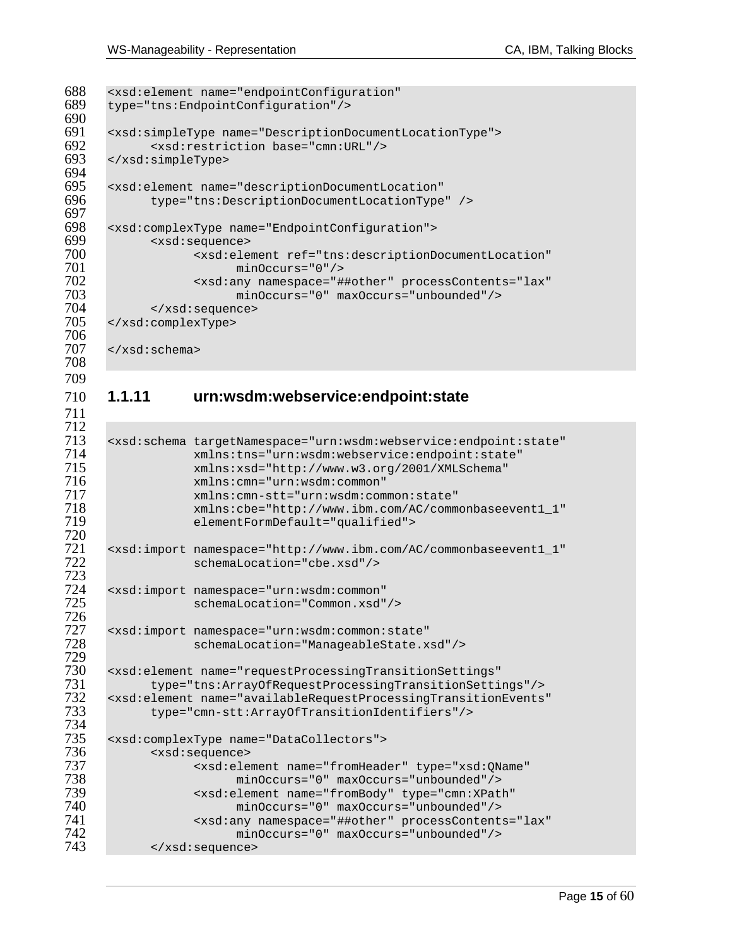```
688 <xsd:element name="endpointConfiguration"<br>689 type="tns:EndpointConfiguration"/>
      689 type="tns:EndpointConfiguration"/> 
690<br>691
691 <xsd:simpleType name="DescriptionDocumentLocationType"> 
692 \langle x \rangle <xsd:restriction base="cmn:URL"/> 693 \langle x \rangle </xsd:simpleType>
      693 </xsd:simpleType> 
694<br>695
695 <xsd:element name="descriptionDocumentLocation" 
            696 type="tns:DescriptionDocumentLocationType" /> 
697<br>698
698 <xsd:complexType name="EndpointConfiguration"> 
699 <xsd:sequence> 
700 <xsd:element ref="tns:descriptionDocumentLocation" 
701 minOccurs="0"/> 
702 <xsd:any namespace="##other" processContents="lax" 
703 minOccurs="0" maxOccurs="unbounded"/><br>704 </xsd:sequence>
704 </xsd:sequence><br>705 </xsd:complexType>
      705 </xsd:complexType> 
706<br>707
      \langle xsd:schema\rangle708 
709 
710 1.1.11 urn:wsdm:webservice:endpoint:state 
711 
712 
713 <xsd:schema targetNamespace="urn:wsdm:webservice:endpoint:state" 
714 xmlns:tns="urn:wsdm:webservice:endpoint:state"<br>715 xmlns:xsd="http://www.w3.org/2001/XMLSchema"
715 xmlns:xsd="http://www.w3.org/2001/XMLSchema" 
716 xmlns:cmn="urn:wsdm:common" 
717 xmlns:cmn-stt="urn:wsdm:common:state" 
718 xmlns:cbe="http://www.ibm.com/AC/commonbaseevent1_1" 
                  719 elementFormDefault="qualified"> 
720 
721 <xsd:import namespace="http://www.ibm.com/AC/commonbaseevent1_1" 
                  schemaLocation="cbe.xsd"/>
723 
724 <xsd:import namespace="urn:wsdm:common" 
                  schemaLocation="Common.xsd"/>
726 
727 <xsd:import namespace="urn:wsdm:common:state" 
                  schemaLocation="ManageableState.xsd"/>
729 
730 <xsd:element name="requestProcessingTransitionSettings" 
731 type="tns:ArrayOfRequestProcessingTransitionSettings"/><br>732 <xsd:element name="availableRequestProcessingTransitionEvents
732 <xsd:element name="availableRequestProcessingTransitionEvents" 
            733 type="cmn-stt:ArrayOfTransitionIdentifiers"/> 
734 
735 <xsd:complexType name="DataCollectors"> 
736 <xsd:sequence> 
737 <xsd:element name="fromHeader" type="xsd:QName" 
738 minOccurs="0" maxOccurs="unbounded"/> 
739 <xsd:element name="fromBody" type="cmn:XPath" 
740 minOccurs="0" maxOccurs="unbounded"/> 
                  <xsd:any namespace="##other" processContents="lax"
742 minOccurs="0" maxOccurs="unbounded"/> 
            743 </xsd:sequence>
```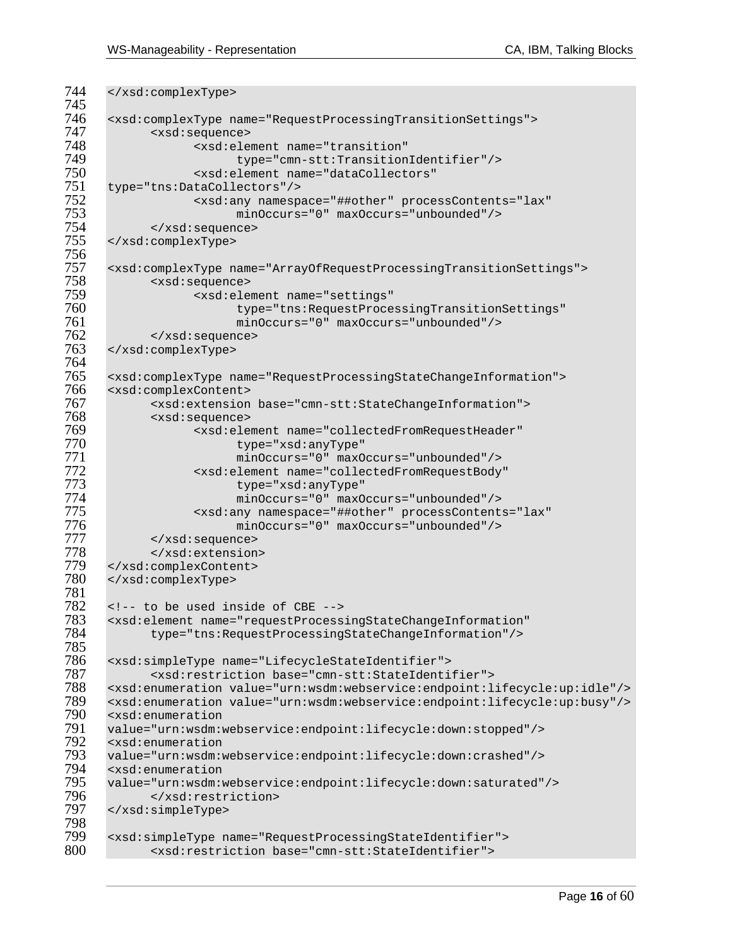```
744 </xsd:complexType>
745 
746 <xsd:complexType name="RequestProcessingTransitionSettings"> 
747 <xsd:sequence> 
748 <xsd:element name="transition" 
749 type="cmn-stt:TransitionIdentifier"/> 
750 <xsd:element name="dataCollectors"<br>751 type="tns:DataCollectors"/>
751 type="tns:DataCollectors"/><br>752 <xsd:any namesp
752 <xsd:any namespace="##other" processContents="lax" 
753 minOccurs="0" maxOccurs="unbounded"/> 
754 </xsd:sequence> 
      755 </xsd:complexType> 
756 
757 <xsd:complexType name="ArrayOfRequestProcessingTransitionSettings"> 
758 <xsd:sequence> 
759 <xsd:element name="settings" 
760 type="tns:RequestProcessingTransitionSettings" 
761 minOccurs="0" maxOccurs="unbounded"/> 
762 </xsd:sequence><br>763 </xsd:complexType>
     763 </xsd:complexType> 
764 
765 <xsd:complexType name="RequestProcessingStateChangeInformation"> 
766 <xsd:complexContent><br>767 - xsd:extension
767 <xsd:extension base="cmn-stt:StateChangeInformation"> 
768 <xsd:sequence> 
769 <xsd:element name="collectedFromRequestHeader" 
770 type="xsd:anyType" 
771 minOccurs="0" maxOccurs="unbounded"/> 
772 <xsd:element name="collectedFromRequestBody" 
773 type="xsd:anyType" 
774 minOccurs="0" maxOccurs="unbounded"/> 
775 <xsd:any namespace="##other" processContents="lax" 
776 minOccurs="0" maxOccurs="unbounded"/> 
777 </xsd:sequence> 
778 </xsd:extension><br>779 </xsd:complexContent>
779 </xsd:complexContent><br>780 </xsd:complexType>
     780 </xsd:complexType> 
781 
782 <!-- to be used inside of CBE --> 
783 <xsd:element name="requestProcessingStateChangeInformation" 
           784 type="tns:RequestProcessingStateChangeInformation"/> 
785<br>786
786 <xsd:simpleType name="LifecycleStateIdentifier"> 
787 <xsd:restriction base="cmn-stt:StateIdentifier"> 
788 <xsd:enumeration value="urn:wsdm:webservice:endpoint:lifecycle:up:idle"/> 
789 <xsd:enumeration value="urn:wsdm:webservice:endpoint:lifecycle:up:busy"/> 
790 <xsd:enumeration 
791 value="urn:wsdm:webservice:endpoint:lifecycle:down:stopped"/><br>792 <xsd:enumeration
792 <xsd:enumeration<br>793 value="urn:wsdm:
793 value="urn:wsdm:webservice:endpoint:lifecycle:down:crashed"/> 
794 <xsd:enumeration<br>795 value="urn:wsdm:w
795 value="urn:wsdm:webservice:endpoint:lifecycle:down:saturated"/> 
796 </xsd:restriction> 
     797 </xsd:simpleType> 
798<br>799
799 <xsd:simpleType name="RequestProcessingStateIdentifier"> 
           800 <xsd:restriction base="cmn-stt:StateIdentifier">
```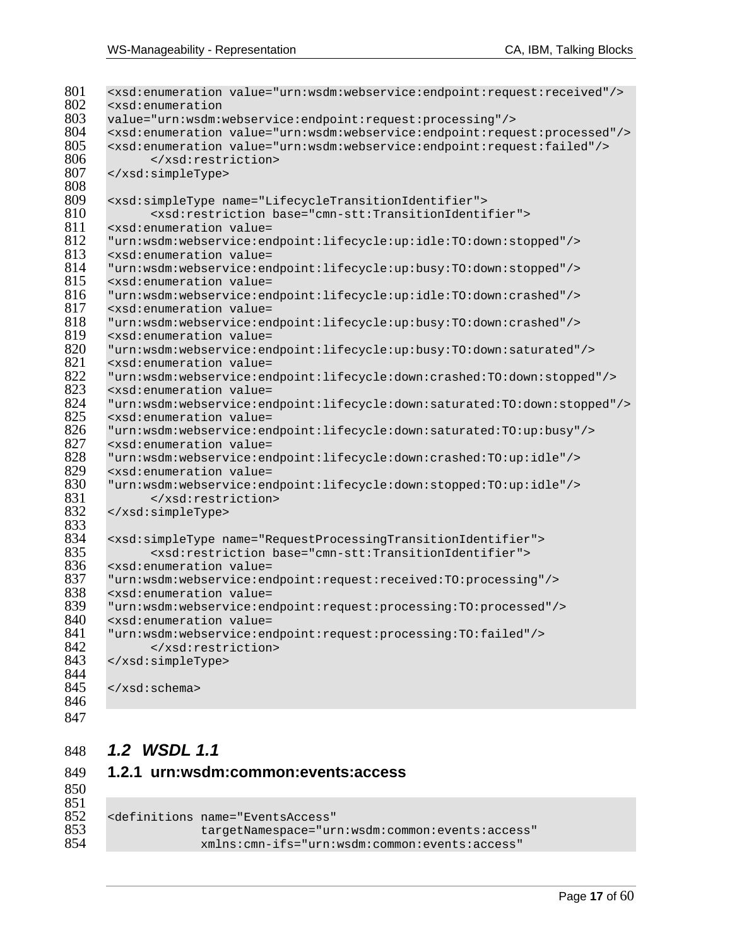| 801        | <xsd:enumeration value="urn:wsdm:webservice:endpoint:request:received"></xsd:enumeration>                                 |
|------------|---------------------------------------------------------------------------------------------------------------------------|
| 802        | <xsd:enumeration< td=""></xsd:enumeration<>                                                                               |
| 803        | value="urn:wsdm:webservice:endpoint:request:processing"/>                                                                 |
| 804        | <xsd:enumeration value="urn:wsdm:webservice:endpoint:request:processed"></xsd:enumeration>                                |
| 805        | <xsd:enumeration value="urn:wsdm:webservice:endpoint:request:failed"></xsd:enumeration>                                   |
| 806        |                                                                                                                           |
| 807        |                                                                                                                           |
| 808        |                                                                                                                           |
| 809        | <xsd:simpletype name="LifecycleTransitionIdentifier"></xsd:simpletype>                                                    |
| 810        | <xsd:restriction base="cmn-stt:TransitionIdentifier"></xsd:restriction>                                                   |
| 811        | <xsd:enumeration value="&lt;/td"></xsd:enumeration>                                                                       |
| 812        | "urn:wsdm:webservice:endpoint:lifecycle:up:idle:TO:down:stopped"/>                                                        |
| 813        | <xsd: enumeration="" value="&lt;/td"></xsd:>                                                                              |
| 814        | "urn:wsdm:webservice:endpoint:lifecycle:up:busy:TO:down:stopped"/>                                                        |
| 815        | <xsd:enumeration value="&lt;/td"></xsd:enumeration>                                                                       |
| 816        | "urn:wsdm:webservice:endpoint:lifecycle:up:idle:TO:down:crashed"/>                                                        |
| 817        | <xsd:enumeration value="&lt;/td"></xsd:enumeration>                                                                       |
| 818        | "urn:wsdm:webservice:endpoint:lifecycle:up:busy:TO:down:crashed"/>                                                        |
| 819        | <xsd:enumeration value="&lt;/td"></xsd:enumeration>                                                                       |
| 820        | "urn:wsdm:webservice:endpoint:lifecycle:up:busy:TO:down:saturated"/>                                                      |
| 821        | <xsd:enumeration value="&lt;/td"></xsd:enumeration>                                                                       |
| 822        | "urn:wsdm:webservice:endpoint:lifecycle:down:crashed:TO:down:stopped"/>                                                   |
| 823        | <xsd:enumeration value="&lt;/td"></xsd:enumeration>                                                                       |
| 824        | "urn:wsdm:webservice:endpoint:lifecycle:down:saturated:TO:down:stopped"/>                                                 |
| 825<br>826 | <xsd:enumeration value="&lt;/td"></xsd:enumeration>                                                                       |
| 827        | "urn:wsdm:webservice:endpoint:lifecycle:down:saturated:TO:up:busy"/>                                                      |
| 828        | <xsd: enumeration="" value="&lt;/td"></xsd:>                                                                              |
| 829        | "urn:wsdm:webservice:endpoint:lifecycle:down:crashed:TO:up:idle"/><br><xsd:enumeration value="&lt;/td"></xsd:enumeration> |
| 830        | "urn:wsdm:webservice:endpoint:lifecycle:down:stopped:TO:up:idle"/>                                                        |
| 831        |                                                                                                                           |
| 832        |                                                                                                                           |
| 833        |                                                                                                                           |
| 834        | <xsd:simpletype name="RequestProcessingTransitionIdentifier"></xsd:simpletype>                                            |
| 835        | <xsd:restriction base="cmn-stt:TransitionIdentifier"></xsd:restriction>                                                   |
| 836        | <xsd:enumeration value="&lt;/td"></xsd:enumeration>                                                                       |
| 837        | "urn:wsdm:webservice:endpoint:request:received:TO:processing"/>                                                           |
| 838        | <xsd:enumeration value="&lt;/td"></xsd:enumeration>                                                                       |
| 839        | "urn:wsdm:webservice:endpoint:request:processing:TO:processed"/>                                                          |
| 840        | <xsd:enumeration value="&lt;/td"></xsd:enumeration>                                                                       |
| 841        | "urn:wsdm:webservice:endpoint:request:processing:TO:failed"/>                                                             |
| 842        |                                                                                                                           |
| 843        |                                                                                                                           |
| 844        |                                                                                                                           |
| 845        |                                                                                                                           |
| 846        |                                                                                                                           |
|            |                                                                                                                           |

### *1.2 WSDL 1.1*

|     | 849 1.2.1 urn:wsdm:common:events:access |
|-----|-----------------------------------------|
| 850 |                                         |
| 851 |                                         |

| 852 | <definitions <="" name="EventsAccess" th=""></definitions> |
|-----|------------------------------------------------------------|
| 853 | targetNamespace="urn:wsdm:common:events:access"            |
| 854 | xmlns:cmn-ifs="urn:wsdm:common:events:access"              |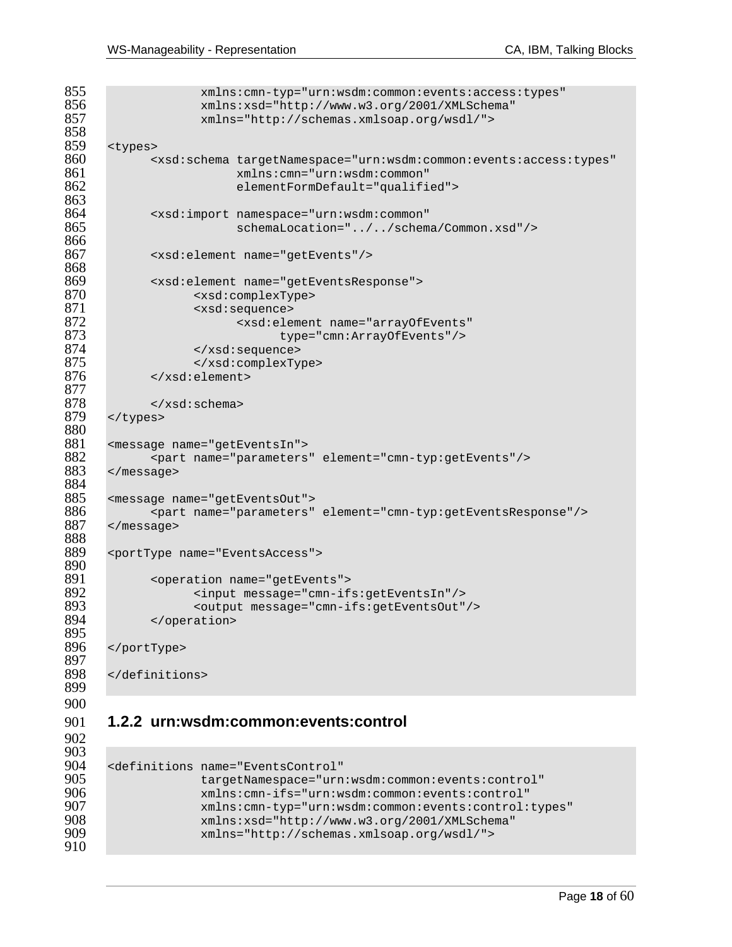```
855 xmlns:cmn-typ="urn:wsdm:common:events:access:types"<br>856 xmlns:xsd="http://www.w3.org/2001/XMLSchema"
856 xmlns:xsd="http://www.w3.org/2001/XMLSchema"<br>857 xmlns="http://schemas.xmlsoap.org/wsdl/">
                    857 xmlns="http://schemas.xmlsoap.org/wsdl/"> 
858<br>859
859 <types> 
860 <xsd:schema targetNamespace="urn:wsdm:common:events:access:types" 
861 xmlns:cmn="urn:wsdm:common" 
                         elementFormDefault="qualified">
863<br>864
864 <xsd:import namespace="urn:wsdm:common" 
                         865 schemaLocation="../../schema/Common.xsd"/> 
866 
867 <xsd:element name="getEvents"/> 
868 
869 <xsd:element name="getEventsResponse"> 
870 <xsd:complexType> 
871 <xsd:sequence> 
872 <xsd:element name="arrayOfEvents" 
873 type="cmn:ArrayOfEvents"/><br>874 </xsd:sequence>
874 </xsd:sequence> 
875 </xsd:complexType><br>876 </xsd:element>
            876 </xsd:element> 
877<br>878
878 </xsd:schema> 
      </types>
880<br>881
881 <message name="getEventsIn"> 
882 <part name="parameters" element="cmn-typ:getEvents"/><br>883 </message>
      883 </message> 
884<br>885
885 <message name="getEventsOut"> 
886 <part name="parameters" element="cmn-typ:getEventsResponse"/> 
      </message>
888 
      889 <portType name="EventsAccess"> 
890<br>891
891 <operation name="getEvents"><br>892 <input message="cmn-if
892 <input message="cmn-ifs:getEventsIn"/> 
893 <output message="cmn-ifs:getEventsOut"/><br>894 </operation>
            </operation>
895 
896 </portType> 
897 
      898 </definitions> 
899 
900 
901 1.2.2 urn:wsdm:common:events:control
```
# 903<br>904

```
904 <definitions name="EventsControl" 
905 targetNamespace="urn:wsdm:common:events:control" 
906 xmlns:cmn-ifs="urn:wsdm:common:events:control" 
907 xmlns:cmn-typ="urn:wsdm:common:events:control:types" 
908 xmlns:xsd="http://www.w3.org/2001/XMLSchema"<br>909 xmlns="http://schemas.xmlsoap.org/wsdl/">
                   909 xmlns="http://schemas.xmlsoap.org/wsdl/">
```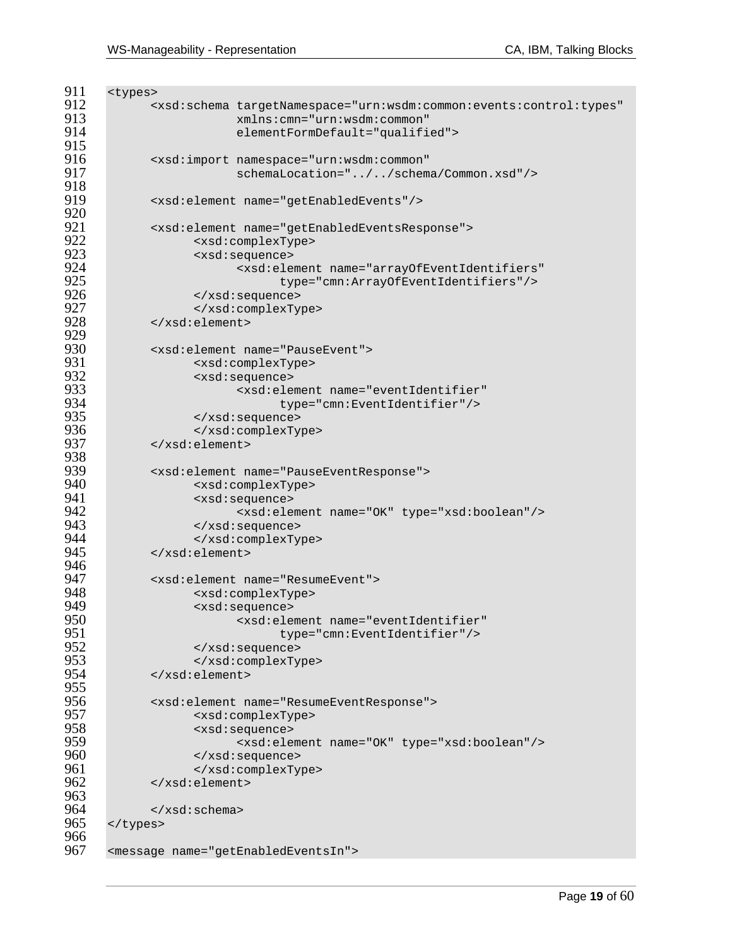```
911 <types><br>912 <
912 <xsd:schema targetNamespace="urn:wsdm:common:events:control:types"<br>913 mains:cmn="urn:wsdm:common"
913 xmlns:cmn="urn:wsdm:common" 
                      elementFormDefault="qualified">
915<br>916
916 <xsd:import namespace="urn:wsdm:common" 
                      917 schemaLocation="../../schema/Common.xsd"/> 
918<br>919
           919 <xsd:element name="getEnabledEvents"/> 
920<br>921
921 <xsd:element name="getEnabledEventsResponse"><br>922 <xsd:complexType>
922 <xsd:complexType> 
923 <xsd:sequence> 
924 <xsd:element name="arrayOfEventIdentifiers" 
925 type="cmn:ArrayOfEventIdentifiers"/><br>926 </xsd:sequence>
926 </xsd:sequence> 
927 </xsd:complexType><br>928 </xsd:element>
           928 </xsd:element> 
929<br>930
930 <xsd:element name="PauseEvent"> 
931 <xsd:complexType> 
932 <xsd:sequence> 
933 <xsd:element name="eventIdentifier" 
934 type="cmn:EventIdentifier"/><br>935 </xsd:sequence>
935 </xsd:sequence> 
936 </xsd:complexType><br>937 </xsd:element>
           937 </xsd:element> 
938<br>939
939 <xsd:element name="PauseEventResponse"><br>940 <xsd:complexTvpe>
940 <xsd:complexType> 
941 <xsd:sequence> 
942 <xsd:element name="OK" type="xsd:boolean"/> 
943 </xsd:sequence> 
944 </xsd:complexType><br>945 </xsd:element>
           945 </xsd:element> 
946<br>947
947 <xsd:element name="ResumeEvent"> 
948 <xsd:complexType> 
949 <xsd:sequence> 
950 <xsd:element name="eventIdentifier" 
951 type="cmn:EventIdentifier"/> 
952 </xsd:sequence> 
953 </xsd:complexType><br>954 </xsd:element>
           954 </xsd:element> 
955<br>956
956 <xsd:element name="ResumeEventResponse"> 
957 <xsd:complexType> 
958 <xsd:sequence> 
959 <xsd:element name="OK" type="xsd:boolean"/> 
960 </xsd:sequence> 
961 </xsd:complexType><br>962 </xsd:element>
           962 </xsd:element> 
963<br>964
964 </xsd:schema><br>965 </types>
     </types>
966<br>967
     967 <message name="getEnabledEventsIn">
```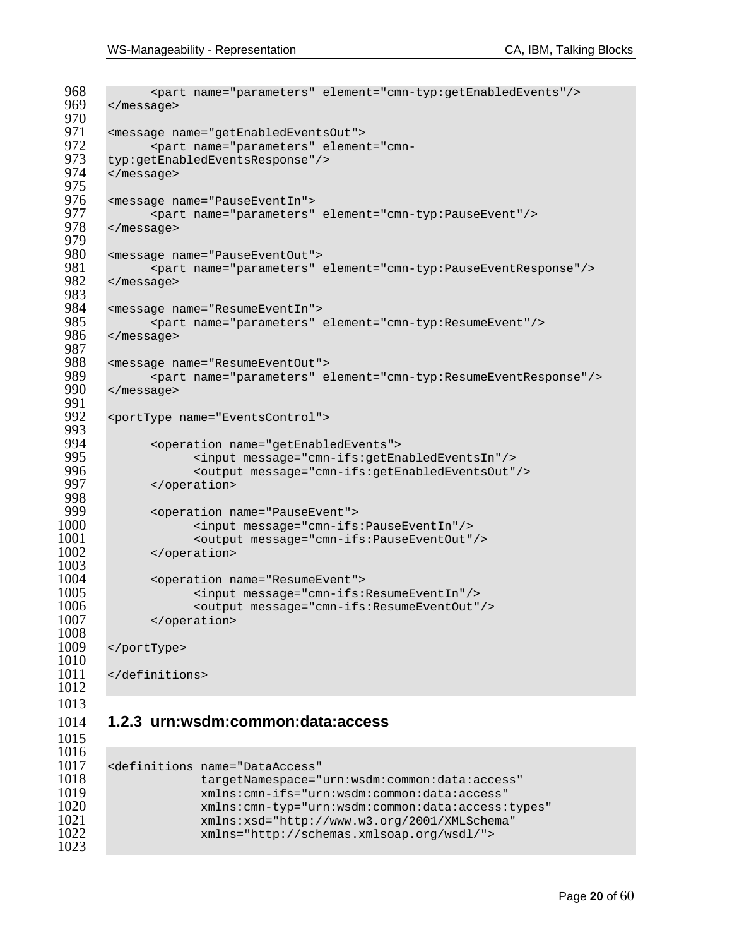```
968 <part name="parameters" element="cmn-typ:getEnabledEvents"/><br>969 </message>
       969 </message> 
 970<br>971
 971 <message name="getEnabledEventsOut"> 
 972 <part name="parameters" element="cmn-
 973 typ:getEnabledEventsResponse"/> 
       974 </message> 
 975<br>976
 976 <message name="PauseEventIn"> 
 977 <part name="parameters" element="cmn-typ:PauseEvent"/> 
       978 </message> 
 979<br>980
 980 <message name="PauseEventOut"> 
 981 <part name="parameters" element="cmn-typ:PauseEventResponse"/><br>982 </message>
        982 </message> 
 983<br>984
 984 <message name="ResumeEventIn"> 
 985 <part name="parameters" element="cmn-typ:ResumeEvent"/><br>986 </message>
       986 </message> 
 987<br>988
 988 <message name="ResumeEventOut"> 
 989 <part name="parameters" element="cmn-typ:ResumeEventResponse"/> 
       990 </message> 
 991<br>992
        992 <portType name="EventsControl"> 
 993<br>994
 994 <operation name="getEnabledEvents"> 
 995 <input message="cmn-ifs:getEnabledEventsIn"/><br>996 <output message="cmn-ifs:getEnabledEventsOut"
 996 <output message="cmn-ifs:getEnabledEventsOut"/><br>997 </operation>
              997 </operation> 
 998<br>999
999 <operation name="PauseEvent"> 
1000 <input message="cmn-ifs:PauseEventIn"/> 
1001 <output message="cmn-ifs:PauseEventOut"/> 
              </operation>
1003<br>1004
1004 < operation name="ResumeEvent"><br>1005 < input message="cmn-ifs:
1005 <input message="cmn-ifs:ResumeEventIn"/><br>1006 <output message="cmn-ifs:ResumeEventOut"
1006 <coutput message="cmn-ifs:ResumeEventOut"/><br>1007 </operation>
               </operation>
1008 
1009 </portType> 
1010 
1011 </definitions> 
1012 
1013
```
### **1.2.3 urn:wsdm:common:data:access**

| 1016 |                                                          |
|------|----------------------------------------------------------|
| 1017 | <definitions <="" name="DataAccess" th=""></definitions> |
| 1018 | targetNamespace="urn:wsdm:common:data:access"            |
| 1019 | xmlns:cmn-ifs="urn:wsdm:common:data:access"              |
| 1020 | xmlns:cmn-typ="urn:wsdm:common:data:access:types"        |
| 1021 | xmlns:xsd="http://www.w3.org/2001/XMLSchema"             |
| 1022 | xmlns="http://schemas.xmlsoap.org/wsdl/">                |
| 1023 |                                                          |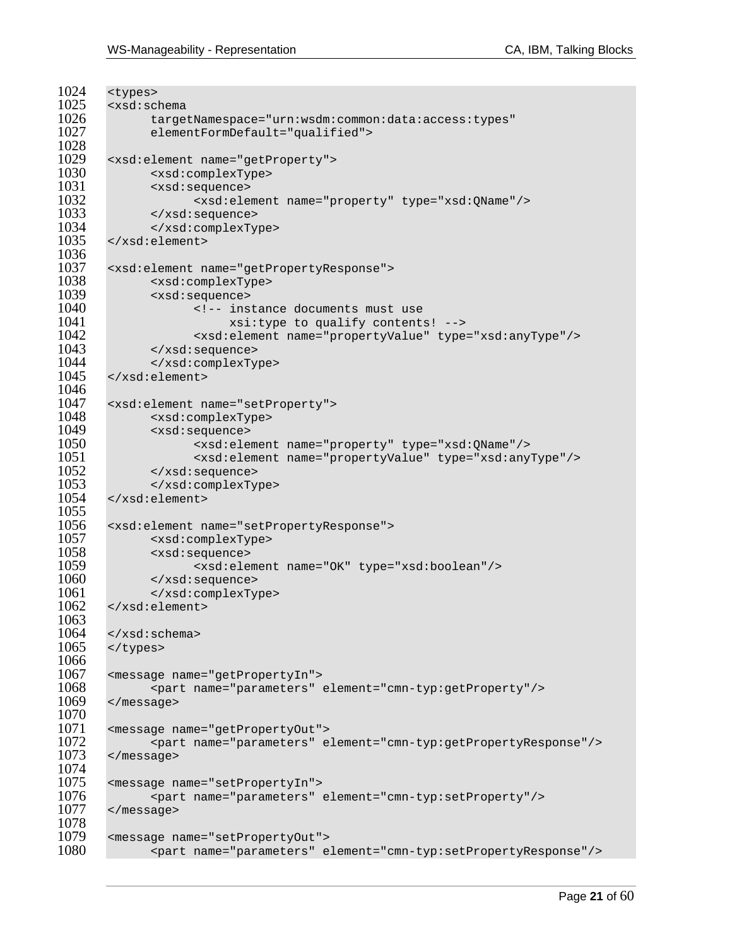```
1024 <types><br>1025 <xsd:sc
1025 <xsd:schema<br>1026 targe
1026 targetNamespace="urn:wsdm:common:data:access:types"<br>1027 elementFormDefault="qualified">
               elementFormDefault="qualified">
1028<br>1029
1029 <xsd:element name="getProperty"><br>1030 <xsd:complexType>
1030 <xsd:complexType> 
1031 <xsd:sequence> 
1032 <xsd:element name="property" type="xsd:QName"/> 
1033 </xsd:sequence> 
               1034 </xsd:complexType> 
1035 </xsd:element> 
1036 
1037 <xsd:element name="getPropertyResponse"><br>1038 <xsd:complexType>
1038 <xsd:complexType> 
1039 <xsd:sequence> 
1040 \leq -- instance documents must use<br>1041 \leq xsi:type to qualify content
1041 xsi:type to qualify contents! --><br>1042 xxsd:element name="propertyValue" type
1042 <xsd:element name="propertyValue" type="xsd:anyType"/> 
               1043 </xsd:sequence> 
1044 </xsd:complexType><br>1045 </xsd:element>
        1045 </xsd:element> 
1046 
1047 < xsd: element name="setProperty"><br>1048 < xsd: complexType>
1048 <xsd:complexType> 
1049 <xsd:sequence> 
1050 <xsd:element name="property" type="xsd:QName"/> 
1051 <xsd:element name="propertyValue" type="xsd:anyType"/> 
1052 </xsd:sequence><br>1053 </xsd:complexTy
               1053 </xsd:complexType> 
1054 </xsd:element> 
1055<br>1056
1056 <xsd:element name="setPropertyResponse"> 
1057 <xsd:complexType> 
1058 <xsd:sequence> 
1059 <xsd:element name="OK" type="xsd:boolean"/><br>1060 </xsd:sequence>
               1060 </xsd:sequence> 
1061 </xsd:complexType><br>1062 </xsd:element>
        1062 </xsd:element> 
1063 
1064 \times /xsd:schema><br>1065 \times /types>
        </types>
1066 
1067 <message name="getPropertyIn"> 
1068 <part name="parameters" element="cmn-typ:getProperty"/><br>1069 </message>
        </message>
1070<br>1071
1071 <message name="getPropertyOut"> 
1072 <part name="parameters" element="cmn-typ:getPropertyResponse"/><br>1073 </message>
        </message>
1074 
1075 <message name="setPropertyIn"> 
1076 <part name="parameters" element="cmn-typ:setProperty"/><br>1077 </message>
        </message>
1078<br>1079
1079 <message name="setPropertyOut"> 
               1080 <part name="parameters" element="cmn-typ:setPropertyResponse"/>
```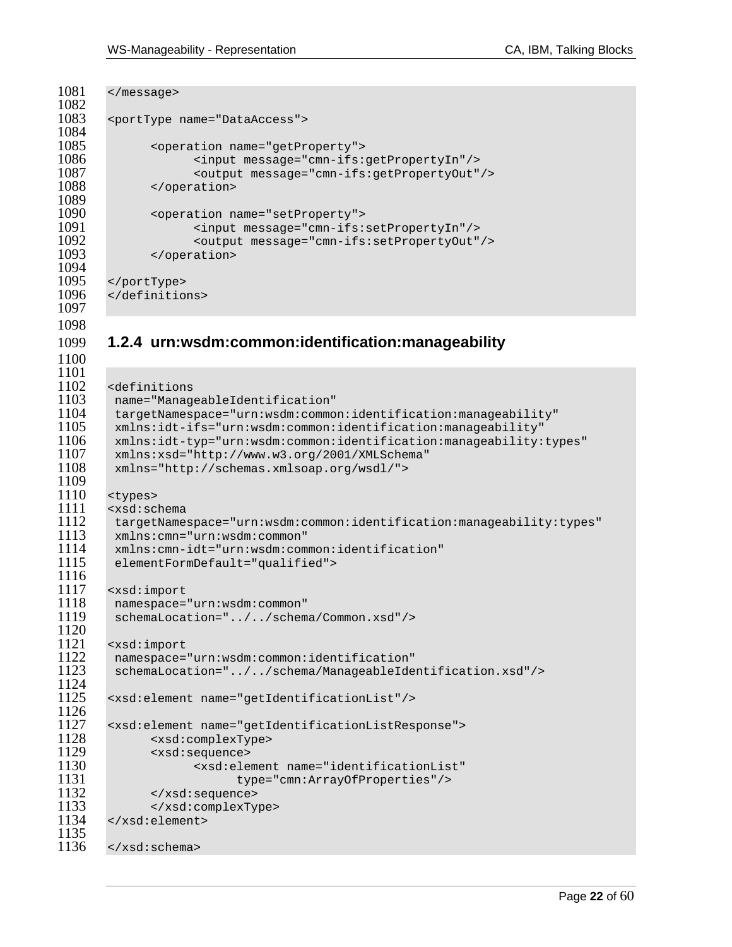```
1081 </message> 
1082<br>1083
         1083 <portType name="DataAccess"> 
1084<br>1085
1085 <operation name="getProperty"><br>1086 <input message="cmn-ifs:
1086 <input message="cmn-ifs:getPropertyIn"/> 
1087 <output message="cmn-ifs:getPropertyOut"/> 
                </operation>
1089<br>1090
1090 > <operation name="setProperty"><br>1091 > <input message="cmn-ifs:
1091 <input message="cmn-ifs:setPropertyIn"/> 
1092 <coutput message="cmn-ifs:setPropertyOut"/><br>1093 </operation>
                </operation>
1094 
1095 </portType><br>1096 </definitio
         </definitions>
1097 
1098 
1099 1.2.4 urn:wsdm:common:identification:manageability 
1100 
1101<br>1102
1102 <definitions<br>1103 name="Manag
1103 name="ManageableIdentification" 
1104 targetNamespace="urn:wsdm:common:identification:manageability"<br>1105 mlns:idt-ifs="urn:wsdm:common:identification:manageability"
1105 xmlns:idt-ifs="urn:wsdm:common:identification:manageability"<br>1106 xmlns:idt-typ="urn:wsdm:common:identification:manageability:
          1106 xmlns:idt-typ="urn:wsdm:common:identification:manageability:types" 
1107 xmlns:xsd="http://www.w3.org/2001/XMLSchema"<br>1108 xmlns="http://schemas.xmlsoap.org/wsdl/">
         1108 xmlns="http://schemas.xmlsoap.org/wsdl/"> 
1109<br>1110
1110 <types> 
1111 <xsd:schema<br>1112 targetName
1112 targetNamespace="urn:wsdm:common:identification:manageability:types" 
1113 xmlns:cmn="urn:wsdm:common" 
1114 xmlns:cmn-idt="urn:wsdm:common:identification" 
          elementFormDefault="qualified">
1116 
1117 <xsd:import<br>1118 namespace=
1118 namespace="urn:wsdm:common" 
          schemaLocation="../../schema/Common.xsd"/>
1120<br>1121
1121 <xsd:import<br>1122 namespace=
1122 namespace="urn:wsdm:common:identification"<br>1123 schemaLocation="../../schema/ManageableIde
          1123 schemaLocation="../../schema/ManageableIdentification.xsd"/> 
1124<br>1125
         1125 <xsd:element name="getIdentificationList"/> 
1126<br>1127
1127 <xsd:element name="getIdentificationListResponse"> 
1128 <xsd:complexType><br>1129 <xsd:sequence>
1129 <xsd:sequence> 
1130 <xsd:element name="identificationList" 
1131 type="cmn:ArrayOfProperties"/><br>1132 </xsd:sequence>
1132 </xsd:sequence><br>1133 </xsd:complexTy
1133 </xsd:complexType><br>1134 </xsd:element>
        </xsd:element>
1135<br>1136
        </xsd:schema>
```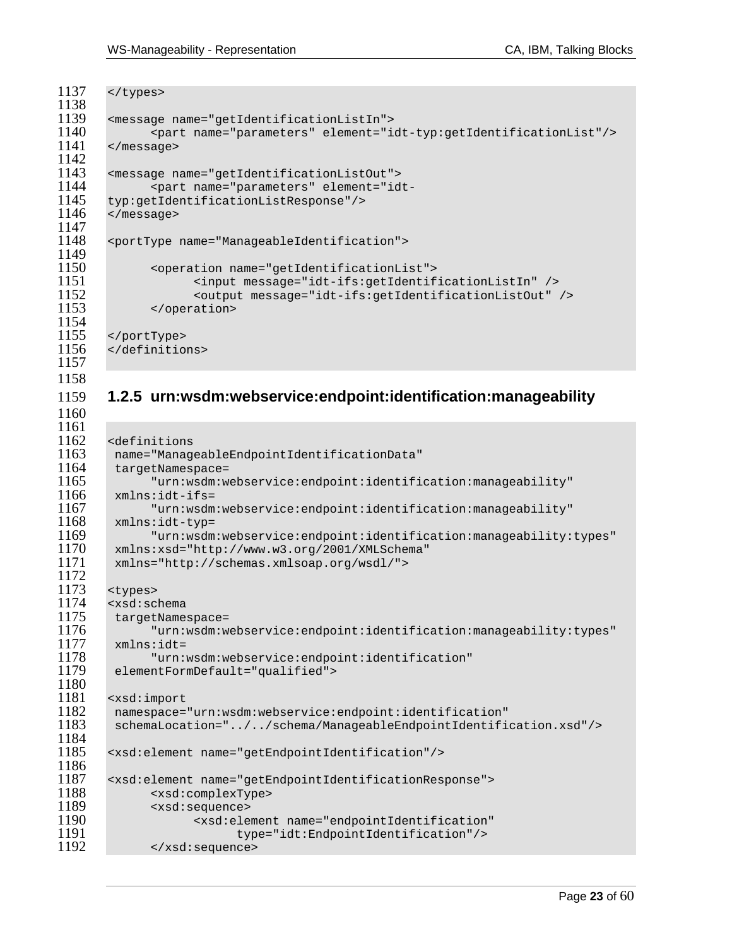1160

```
1137 </types> 
1138<br>1139
1139 <message name="getIdentificationListIn"> 
1140 <part name="parameters" element="idt-typ:getIdentificationList"/> 
       </message>
\frac{1142}{1143}1143 <message name="getIdentificationListOut"> 
1144 <part name="parameters" element="idt-<br>1145 typ:getIdentificationListResponse"/>
1145 typ:getIdentificationListResponse"/> 
       </message>
1147 
1148 <portType name="ManageableIdentification"> 
1149 
1150 <operation name="getIdentificationList"> 
1151 <input message="idt-ifs:getIdentificationListIn" /> 
1152 < coutput message="idt-ifs:getIdentificationListOut" /><br>1153 < / operation>
              </operation>
1154<br>1155
1155 </portType><br>1156 </definitio
       </definitions>
1157
```
### 1159 **1.2.5 urn:wsdm:webservice:endpoint:identification:manageability**

```
1161<br>1162
       <definitions
1163 name="ManageableEndpointIdentificationData" 
1164 targetNamespace=<br>1165 "urn:wsdm:w
1165 "urn:wsdm:webservice:endpoint:identification:manageability" 
1166 xmlns:idt-ifs=<br>1167 "urn:wsdm
1167 "urn:wsdm:webservice:endpoint:identification:manageability" 
1168 xmlns:idt-typ= 
1169 "urn:wsdm:webservice:endpoint:identification:manageability:types" 
1170 xmlns:xsd="http://www.w3.org/2001/XMLSchema" 
        1171 xmlns="http://schemas.xmlsoap.org/wsdl/"> 
1172 
1173 <types> 
1174 <xsd:schema<br>1175 targetName:
1175 targetNamespace=<br>1176 "urn:wsdm:w
1176 "urn:wsdm:webservice:endpoint:identification:manageability:types" 
1177 xmlns:idt= 
1178 "urn:wsdm:webservice:endpoint:identification"<br>1179 elementFormDefault="qualified">
        elementFormDefault="qualified">
1180<br>1181
1181 <xsd:import<br>1182 namespace=
1182 namespace="urn:wsdm:webservice:endpoint:identification" 
        1183 schemaLocation="../../schema/ManageableEndpointIdentification.xsd"/> 
1184<br>1185
       1185 <xsd:element name="getEndpointIdentification"/> 
1186<br>1187
1187 <xsd:element name="getEndpointIdentificationResponse"> 
1188 <xsd:complexType> 
1189 <xsd:sequence> 
                     1190 <xsd:element name="endpointIdentification" 
1191 type="idt:EndpointIdentification"/><br>1192 </xsd:sequence>
              </xsd:sequence>
```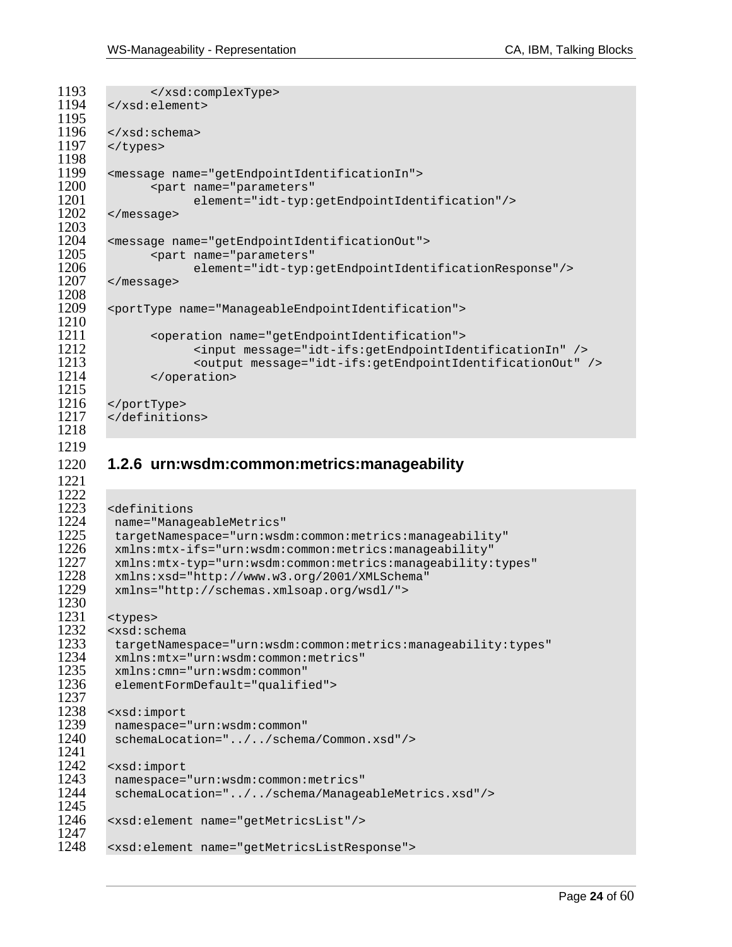1221

```
1193 </xsd:complexType><br>1194 </xsd:element>
        </xsd:element>
1195<br>1196
1196 </xsd:schema><br>1197 </types>
        </types>
1198<br>1199
1199 <message name="getEndpointIdentificationIn"> 
1200 <part name="parameters"<br>1201 element="idt-typ:
1201 element="idt-typ:getEndpointIdentification"/> 
        1202 </message> 
1203 
1204 <message name="getEndpointIdentificationOut"> 
1205 <part name="parameters"<br>1206 element="idt-tvp:
1206 element="idt-typ:getEndpointIdentificationResponse"/> 
        1207 </message> 
1208<br>1209
        1209 <portType name="ManageableEndpointIdentification"> 
\frac{1210}{1211}1211 <operation name="getEndpointIdentification"><br>1212 <input message="idt-ifs:getEndpointIde
                       1212 <input message="idt-ifs:getEndpointIdentificationIn" /> 
1213 <output message="idt-ifs:getEndpointIdentificationOut" /> 
               </operation>
1215 
1216 </portType><br>1217 </definitio
        </definitions>
1218
```
### 1220 **1.2.6 urn:wsdm:common:metrics:manageability**

```
1222<br>12231223 <definitions 
1224 name="ManageableMetrics" 
1225 targetNamespace="urn:wsdm:common:metrics:manageability"<br>1226 mlns:mtx-ifs="urn:wsdm:common:metrics:manageability"
1226 xmlns:mtx-ifs="urn:wsdm:common:metrics:manageability" 
1227 xmlns:mtx-typ="urn:wsdm:common:metrics:manageability:types"<br>1228 xmlns:xsd="http://www.w3.org/2001/XMLSchema"
1228 xmlns:xsd="http://www.w3.org/2001/XMLSchema" 
           1229 xmlns="http://schemas.xmlsoap.org/wsdl/"> 
1230<br>1231
1231 <types><br>1232 <xsd:sc
1232 <xsd:schema 
1233 targetNamespace="urn:wsdm:common:metrics:manageability:types"<br>1234 xmlns:mtx="urn:wsdm:common:metrics"
1234 xmlns:mtx="urn:wsdm:common:metrics"<br>1235 xmlns:cmn="urn:wsdm:common"
1235 xmlns:cmn="urn:wsdm:common"<br>1236 elementFormDefault="qualifi
           elementFormDefault="qualified">
1237<br>1238
1238 <xsd:import<br>1239 namespace=
1239 namespace="urn:wsdm:common"<br>1240 schemaLocation="../../schem
           1240 schemaLocation="../../schema/Common.xsd"/> 
1241<br>1242
1242 <xsd:import<br>1243 namespace=
1243 namespace="urn:wsdm:common:metrics"<br>1244 schemaLocation="../../schema/Manage
           1244 schemaLocation="../../schema/ManageableMetrics.xsd"/> 
1245<br>1246
          1246 <xsd:element name="getMetricsList"/> 
1247 
          1248 <xsd:element name="getMetricsListResponse">
```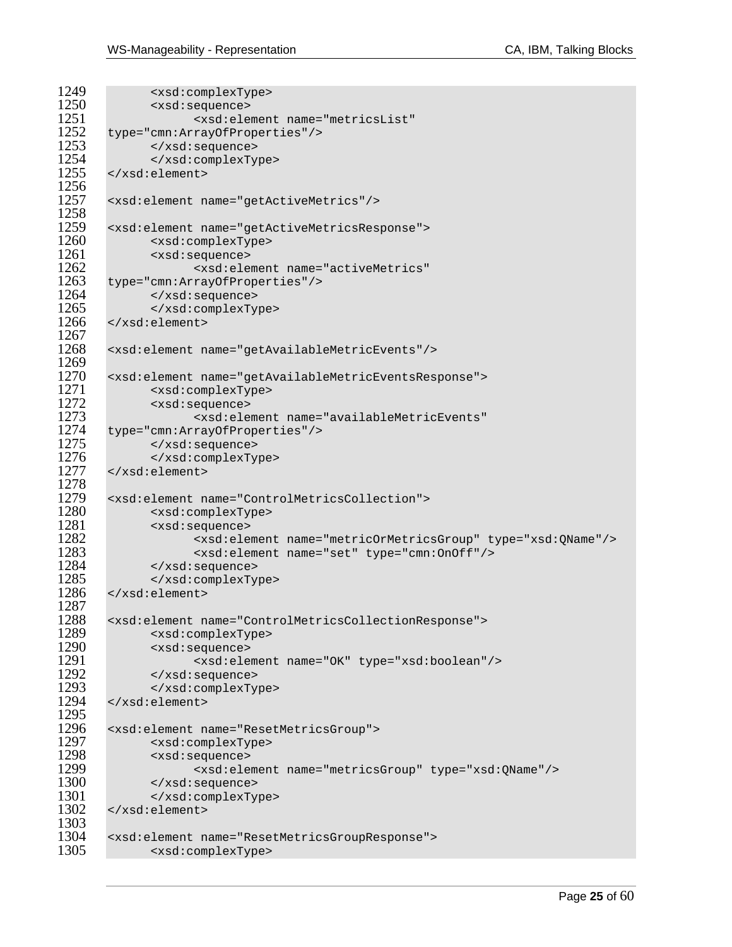```
1249 <xsd:complexType><br>1250 <xsd:sequence>
1250 <xsd:sequence><br>1251 <xsd:ele
1251 <xsd:element name="metricsList"<br>1252 type="cmn:ArrayOfProperties"/>
1252 type="cmn:ArrayOfProperties"/><br>1253 </xsd:sequence>
1253 </xsd:sequence><br>1254 </xsd:complexTv
1254 </xsd:complexType><br>1255 </xsd:element>
         1255 </xsd:element> 
1256<br>1257
        1257 <xsd:element name="getActiveMetrics"/> 
1258<br>1259
        1259 <xsd:element name="getActiveMetricsResponse"> 
1260 <xsd:complexType><br>1261 <xsd:sequence>
1261 <xsd:sequence> 
1262 <xsd:element name="activeMetrics"<br>1263 type="cmn:ArrayOfProperties"/>
1263 type="cmn:ArrayOfProperties"/><br>1264 </xsd:sequence>
1264 </xsd:sequence><br>1265 </xsd:complexTy
1265 </xsd:complexType><br>1266 </xsd:element>
         1266 </xsd:element> 
1267<br>1268
        1268 <xsd:element name="getAvailableMetricEvents"/> 
1269<br>1270
1270 <xsd:element name="getAvailableMetricEventsResponse"><br>1271 - <xsd:complexType>
1271 <xsd:complexType> 
1272 <xsd:sequence> 
1273 <xsd:element name="availableMetricEvents"<br>1274 type="cmn:ArravOfProperties"/>
1274 type="cmn:ArrayOfProperties"/><br>1275 </xsd:sequence>
1275 </xsd:sequence> 
1276 </xsd:complexType><br>1277 </xsd:element>
        1277 </xsd:element> 
1278<br>1279
1279 <xsd:element name="ControlMetricsCollection"><br>1280 <xsd:complexType>
1280 <xsd:complexType><br>1281 <xsd:sequence>
1281 <xsd:sequence><br>1282 - ^ <xsd:ele
1282 <xsd:element name="metricOrMetricsGroup" type="xsd:QName"/> 
1283 <xsd:element name="set" type="cmn:OnOff"/> 
1284 </xsd:sequence><br>1285 </xsd:complexTy
1285 </xsd:complexType><br>1286 </xsd:element>
        1286 </xsd:element> 
1287 
1288 <xsd:element name="ControlMetricsCollectionResponse"> 
1289 <xsd:complexType> 
1290 <xsd:sequence> 
1291 <xsd:element name="OK" type="xsd:boolean"/> 
1292 </xsd:sequence><br>1293 </xsd:complexTv
1293 </xsd:complexType><br>1294 </xsd:element>
        1294 </xsd:element> 
1295<br>1296
1296 <xsd:element name="ResetMetricsGroup"><br>1297 <xsd:complexType>
1297 <xsd:complexType><br>1298 <xsd:sequence>
1298 <xsd:sequence> 
1299 <xsd:element name="metricsGroup" type="xsd:QName"/> 
1300 </xsd:sequence><br>1301 </xsd:complexTv
1301 </xsd:complexType><br>1302 </xsd:element>
        1302 </xsd:element> 
1303<br>1304
1304 <xsd:element name="ResetMetricsGroupResponse"><br>1305 <xsd:complexType>
                 1305 <xsd:complexType>
```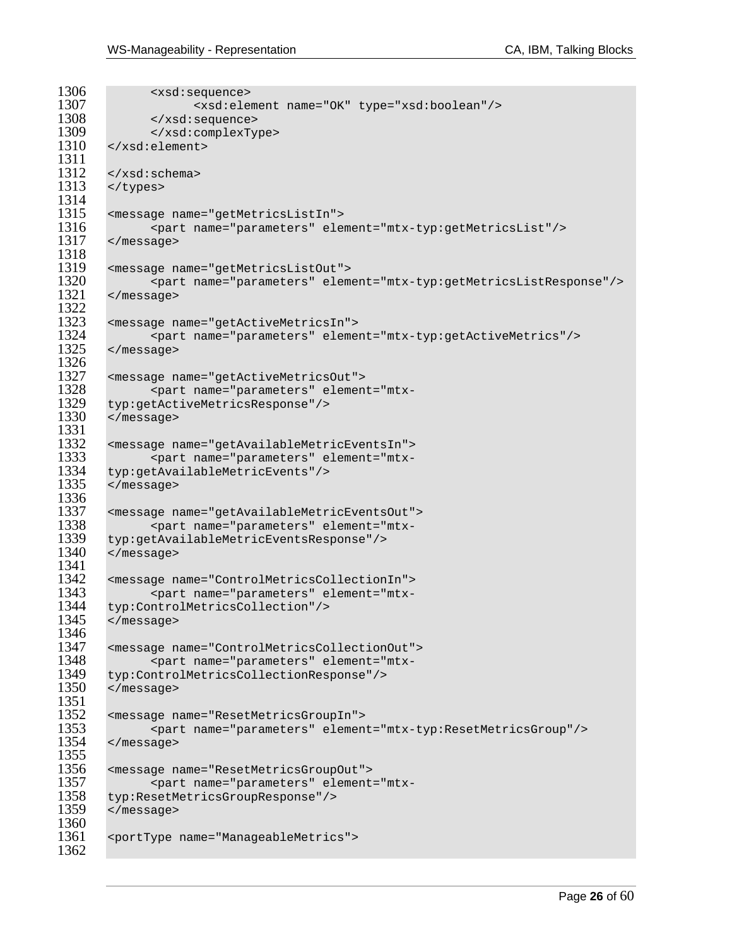```
1306 <xsd:sequence><br>1307 <xsd:sequence>
1307 <xsd:element name="OK" type="xsd:boolean"/><br>1308 </xsd:sequence>
1308 </xsd:sequence><br>1309 </xsd:complexTy
1309 </xsd:complexType><br>1310 </xsd:element>
        1310 </xsd:element> 
1311<br>1312
1312 \times /xsd:schema ><br>1313 \times /t~vpes ></types>
1314<br>1315
1315 <message name="getMetricsListIn"> 
               1316 <part name="parameters" element="mtx-typ:getMetricsList"/> 
1317 </message> 
1318 
1319 <message name="getMetricsListOut"> 
1320 <part name="parameters" element="mtx-typ:getMetricsListResponse"/><br>1321 </message>
        1321 </message> 
1322<br>1323
1323 <message name="getActiveMetricsIn"> 
1324 <part name="parameters" element="mtx-typ:getActiveMetrics"/><br>1325 </message>
        1325 </message> 
1326<br>1327
1327 <message name="getActiveMetricsOut"> 
1328 <part name="parameters" element="mtx-
1329 typ:getActiveMetricsResponse"/> 
        1330 </message> 
1331<br>1332
1332 <message name="getAvailableMetricEventsIn"> 
1333 <part name="parameters" element="mtx-<br>1334 typ:getAvailableMetricEvents"/>
1334 typ:getAvailableMetricEvents"/><br>1335 </message>
        1335 </message> 
1336<br>1337
1337 <message name="getAvailableMetricEventsOut"> 
1338 <part name="parameters" element="mtx-
1339 typ:getAvailableMetricEventsResponse"/> 
        1340 </message> 
1341 
1342 <message name="ControlMetricsCollectionIn"> 
1343 <part name="parameters" element="mtx-<br>1344 typ:ControlMetricsCollection"/>
1344 typ:ControlMetricsCollection"/><br>1345 </message>
        1345 </message> 
1346 
1347 <message name="ControlMetricsCollectionOut"> 
1348 <part name="parameters" element="mtx-
1349 typ:ControlMetricsCollectionResponse"/> 
        1350 </message> 
1351<br>1352
1352 <message name="ResetMetricsGroupIn"> 
1353 <part name="parameters" element="mtx-typ:ResetMetricsGroup"/> 
        1354 </message> 
1355<br>1356
1356 <message name="ResetMetricsGroupOut"> 
1357 <part name="parameters" element="mtx-<br>1358 typ:ResetMetricsGroupResponse"/>
1358 typ:ResetMetricsGroupResponse"/><br>1359 </message>
        1359 </message> 
1360<br>1361
        1361 <portType name="ManageableMetrics"> 
1362
```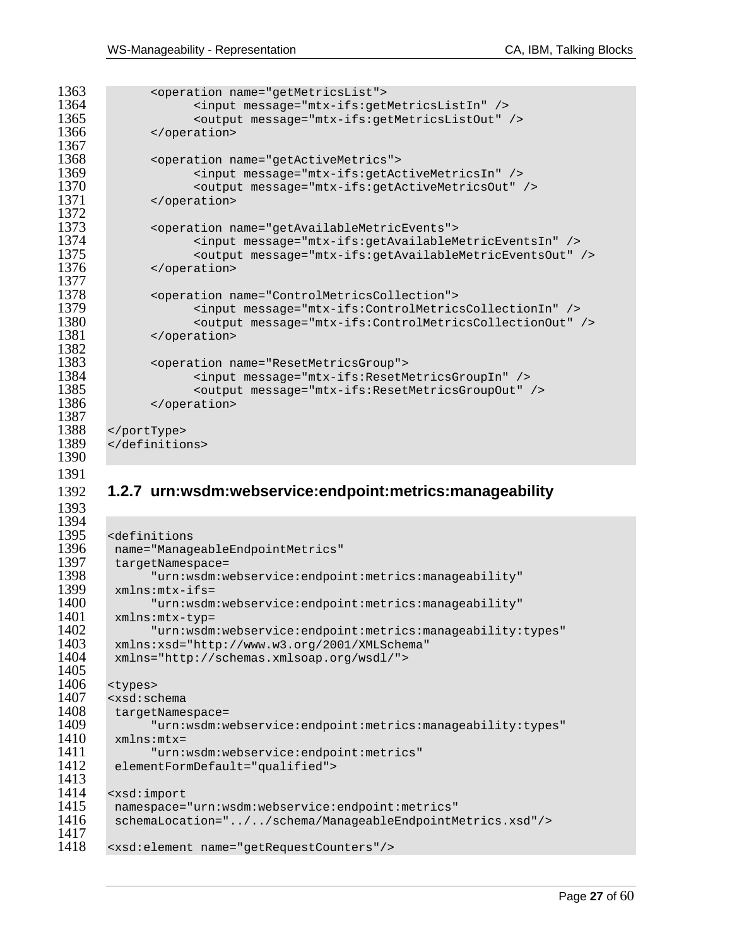1393

```
1363 <operation name="getMetricsList"><br>1364 <input message="mtx-ifs:get
1364 <input message="mtx-ifs:getMetricsListIn" /> 
1365 <coutput message="mtx-ifs:getMetricsListOut" /><br>1366 </coperation>
              </operation>
1367<br>1368
1368 <operation name="getActiveMetrics"><br>1369 <input message="mtx-ifs:getAc
1369 <input message="mtx-ifs:getActiveMetricsIn" /> 
1370 < coutput message="mtx-ifs:getActiveMetricsOut" /><br>1371 < / operation>
              1371 </operation> 
1372<br>1373
              1373 <operation name="getAvailableMetricEvents"> 
1374 <input message="mtx-ifs:getAvailableMetricEventsIn" /> 
1375 <output message="mtx-ifs:getAvailableMetricEventsOut" /> 
              1376 </operation> 
1377<br>1378
1378 <operation name="ControlMetricsCollection"><br>1379 <input message="mtx-ifs:ControlMetric
1379 <input message="mtx-ifs:ControlMetricsCollectionIn" /> 
1380 <output message="mtx-ifs:ControlMetricsCollectionOut" /> 
              </operation>
1382<br>1383
1383 <operation name="ResetMetricsGroup"><br>1384 <abd>>>>> <input message="mtx-ifs:ResetM
1384 <input message="mtx-ifs:ResetMetricsGroupIn" /> 
1385 <output message="mtx-ifs:ResetMetricsGroupOut" /> 
              </operation>
1387<br>1388
1388 </portType> 
       </definitions>
1390
```
### 1392 **1.2.7 urn:wsdm:webservice:endpoint:metrics:manageability**

```
1394<br>1395
1395 <definitions 
1396 name="ManageableEndpointMetrics"<br>1397 targetNamespace=
1397 targetNamespace=<br>1398 "urn:wsdm:w
1398 "urn:wsdm:webservice:endpoint:metrics:manageability" 
1399 xmlns:mtx-ifs= 
1400 "urn:wsdm:webservice:endpoint:metrics:manageability"<br>1401 mmlns:mtx-typ=
1401 xmlns:mtx-typ=<br>1402   "urn:wsdm
1402 "urn:wsdm:webservice:endpoint:metrics:manageability:types" 
1403 xmlns:xsd="http://www.w3.org/2001/XMLSchema"<br>1404 xmlns="http://schemas.xmlsoap.org/wsdl/">
          1404 xmlns="http://schemas.xmlsoap.org/wsdl/"> 
1405<br>1406
1406 <types><br>1407 <xsd:sc
1407 <xsd:schema<br>1408 targetName
1408 targetNamespace= 
1409 "urn:wsdm:webservice:endpoint:metrics:manageability:types" 
1410 xmlns:mtx=<br>1411 "urn:
1411 "urn:wsdm:webservice:endpoint:metrics"<br>1412 elementFormDefault="qualified">
          elementFormDefault="qualified">
1413<br>1414
1414 <xsd:import<br>1415 namespace=
1415 namespace="urn:wsdm:webservice:endpoint:metrics"<br>1416 schemaLocation="../../schema/ManageableEndpointM
          1416 schemaLocation="../../schema/ManageableEndpointMetrics.xsd"/> 
1417 
         1418 <xsd:element name="getRequestCounters"/>
```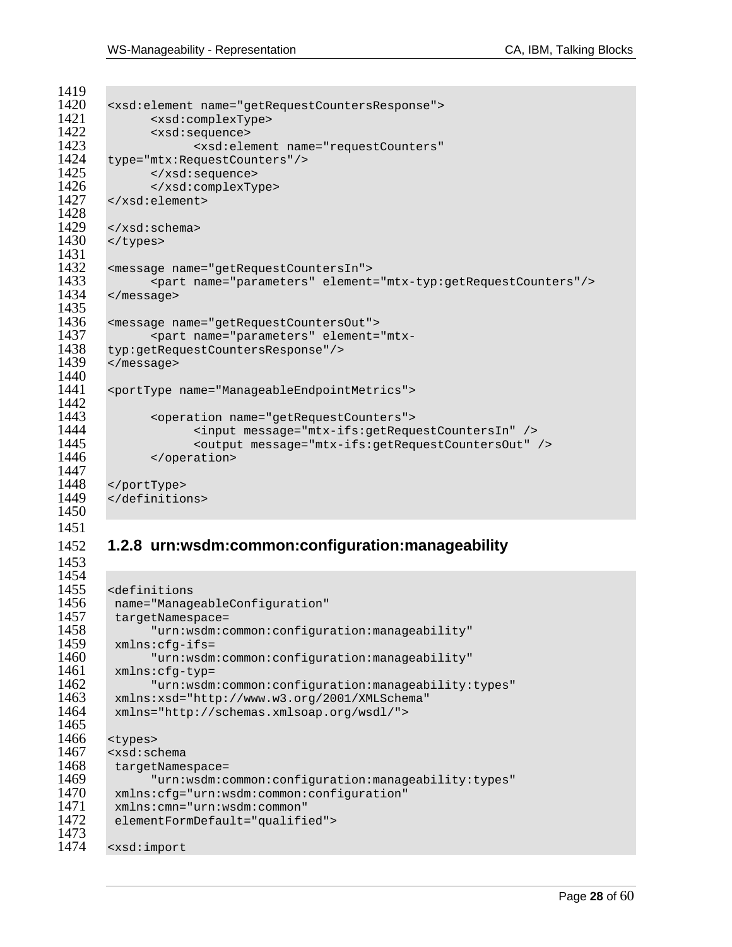1453

```
1419<br>1420
1420 <xsd:element name="getRequestCountersResponse"><br>1421 <xsd:complexType>
1421 <xsd:complexType><br>1422 <xsd:sequence>
1422 <xsd:sequence> 
1423 <xsd:element name="requestCounters" 
1424 type="mtx:RequestCounters"/><br>1425 </xsd:sequence>
1425 </xsd:sequence> 
1426 </xsd:complexType><br>1427 </xsd:element>
        </xsd:element>
1428<br>1429
1429 < xsd:schema><br>1430 < y>types</types>
1431 
1432 <message name="getRequestCountersIn"> 
1433 <part name="parameters" element="mtx-typ:getRequestCounters"/><br>1434 </message>
        1434 </message> 
1435<br>1436
1436 <message name="getRequestCountersOut"> 
1437 <part name="parameters" element="mtx-<br>1438 typ:getRequestCountersResponse"/>
1438 typ:getRequestCountersResponse"/> 
        1439 </message> 
1440<br>1441
        1441 <portType name="ManageableEndpointMetrics"> 
1442 
1443 <operation name="getRequestCounters"><br>1444 <abduct message="mtx-ifs:getRequ
1444 <input message="mtx-ifs:getRequestCountersIn" /> 
1445 <output message="mtx-ifs:getRequestCountersOut" /> 
               </operation>
1447<br>1448
1448 </portType> 
        </definitions>
1450
```
### 1452 **1.2.8 urn:wsdm:common:configuration:manageability**

```
1454 
1455 <definitions<br>1456 name="Manag
1456 name="ManageableConfiguration"<br>1457 targetNamespace=
1457 targetNamespace=<br>1458 "urn:wsdm:c
1458 "urn:wsdm:common:configuration:manageability" 
1459 xmlns:cfg-ifs=<br>1460 "urn:wsdm
1460 "urn:wsdm:common:configuration:manageability"<br>1461 mmlns:cfg-typ=
1461 xmlns:cfg-typ=<br>1462 "urn:wsdm
1462 "urn:wsdm:common:configuration:manageability:types"<br>1463 mlns:xsd="http://www.w3.org/2001/XMLSchema"
1463 xmlns:xsd="http://www.w3.org/2001/XMLSchema"<br>1464 xmlns="http://schemas.xmlsoap.org/wsdl/">
          1464 xmlns="http://schemas.xmlsoap.org/wsdl/"> 
1465 
1466 <types><br>1467 <xsd:sc
1467 <xsd:schema 
1468 targetNamespace= 
1469 "urn:wsdm:common:configuration:manageability:types" 
1470 xmlns:cfg="urn:wsdm:common:configuration" 
1471 xmlns:cmn="urn:wsdm:common" 
          elementFormDefault="qualified">
1473<br>1474
         1474 <xsd:import
```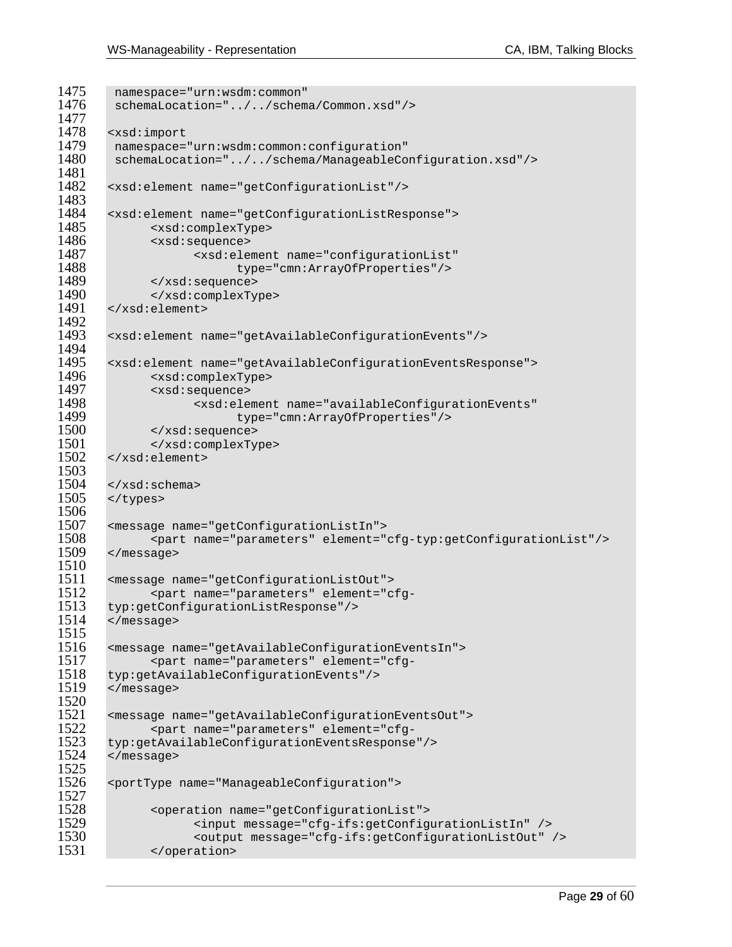```
1475 namespace="urn:wsdm:common"<br>1476 schemaLocation="......schem
         schemaLocation="../../schema/Common.xsd"/>
1477<br>1478
1478 <xsd:import 
1479 namespace="urn:wsdm:common:configuration"<br>1480 schemaLocation="../../schema/ManageableCo
         1480 schemaLocation="../../schema/ManageableConfiguration.xsd"/> 
1481<br>1482
        1482 <xsd:element name="getConfigurationList"/> 
1483<br>1484
1484 <xsd:element name="getConfigurationListResponse"><br>1485 <xsd:complexType>
               1485 <xsd:complexType> 
1486 <xsd:sequence> 
1487 <xsd:element name="configurationList" 
1488 type="cmn:ArrayOfProperties"/><br>1489 </xsd:sequence>
1489 </xsd:sequence><br>1490 </xsd:complexTy
1490 </xsd:complexType><br>1491 </xsd:element>
        1491 </xsd:element> 
1492<br>1493
        1493 <xsd:element name="getAvailableConfigurationEvents"/> 
1494<br>1495
1495 <xsd:element name="getAvailableConfigurationEventsResponse"> 
1496 <xsd:complexType> 
1497 <xsd:sequence> 
1498 <xsd:element name="availableConfigurationEvents" 
1499 type="cmn:ArrayOfProperties"/><br>1500 </xsd:sequence>
1500 </xsd:sequence> 
1501 </xsd:complexType><br>1502 </xsd:element>
        1502 </xsd:element> 
1503<br>1504
        </xsd:schema>
1505 </types>
1506<br>1507
1507 <message name="getConfigurationListIn"> 
1508 <part name="parameters" element="cfg-typ:getConfigurationList"/> 
        1509 </message> 
1510<br>1511
1511 <message name="getConfigurationListOut"> 
1512 <part name="parameters" element="cfg-<br>1513 typ:getConfigurationListResponse"/>
1513 typ:getConfigurationListResponse"/><br>1514 </message>
        1514 </message> 
1515 
1516 <message name="getAvailableConfigurationEventsIn"> 
1517 <part name="parameters" element="cfg-
1518 typ:getAvailableConfigurationEvents"/> 
        1519 </message> 
1520 
1521 <message name="getAvailableConfigurationEventsOut"> 
1522 <part name="parameters" element="cfg-
1523 typ:getAvailableConfigurationEventsResponse"/><br>1524 </message>
        1524 </message> 
1525<br>1526
        1526 <portType name="ManageableConfiguration"> 
1527<br>1528
1528 <operation name="getConfigurationList"><br>1529 <input message="cfg-ifs:getConfig
1529 <input message="cfg-ifs:getConfigurationListIn" /> 
1530 < output message="cfg-ifs:getConfigurationListOut" /><br>1531 </ operation>
               </operation>
```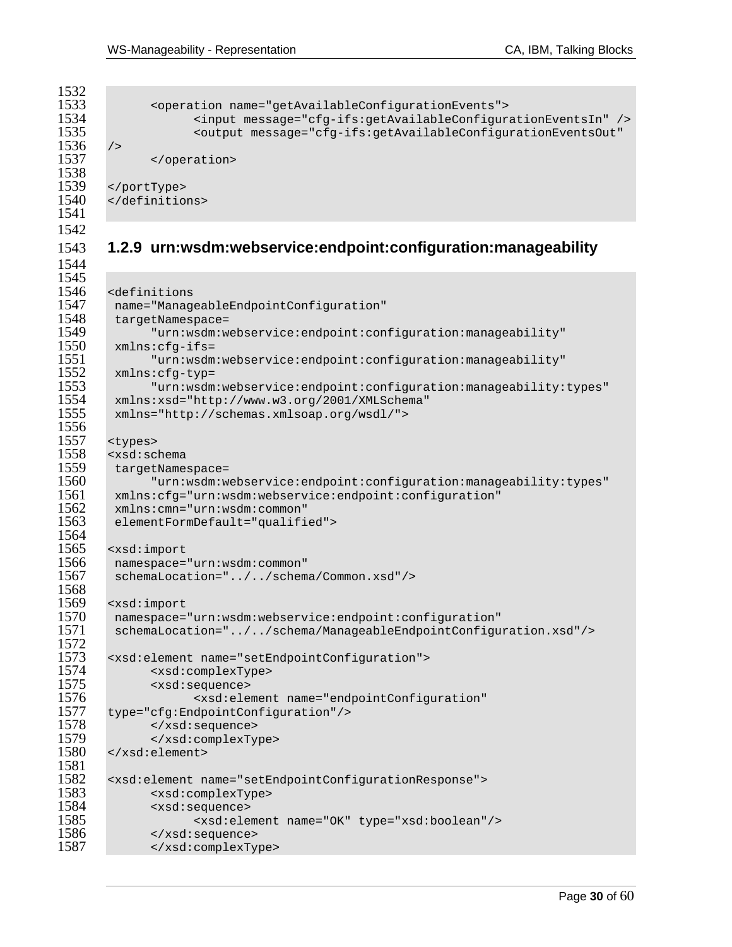```
1532<br>1533
1533 <operation name="getAvailableConfigurationEvents"><br>1534 <input message="cfg-ifs:getAvailableConfigur
1534 <input message="cfg-ifs:getAvailableConfigurationEventsIn" /> 
\begin{array}{c|c}\n 1536 & \rightarrow \\
 \hline\n 1537 & \n \end{array}</operation>
1538<br>1539
1539 </portType><br>1540 </definitio
           </definitions>
1541
```
1544

### 1543 **1.2.9 urn:wsdm:webservice:endpoint:configuration:manageability**

1535 <output message="cfg-ifs:getAvailableConfigurationEventsOut"

```
1545<br>1546
1546 <definitions 
1547 name="ManageableEndpointConfiguration" 
1548 targetNamespace= 
1549 "urn:wsdm:webservice:endpoint:configuration:manageability" 
=1550 xmlns:cfg-ifs<br>1551 "urn:wsdm
1551 "urn:wsdm:webservice:endpoint:configuration:manageability" 
1552 xmlns:cfg-typ=<br>1553 "urn:wsdm
1553 "urn:wsdm:webservice:endpoint:configuration:manageability:types"<br>1554 mmlns:xsd="http://www.w3.org/2001/XMLSchema"
1554 xmlns:xsd="http://www.w3.org/2001/XMLSchema" 
        1555 xmlns="http://schemas.xmlsoap.org/wsdl/"> 
1556<br>1557
1557 <types><br>1558 <xsd:sc
1558 <xsd:schema<br>1559 targetName
1559 targetNamespace= 
1560 "urn:wsdm:webservice:endpoint:configuration:manageability:types" 
1561 xmlns:cfg="urn:wsdm:webservice:endpoint:configuration" 
1562 xmlns:cmn="urn:wsdm:common" 
         elementFormDefault="qualified">
1564<br>1565
1565 <xsd:import<br>1566 namespace=
        1566 namespace="urn:wsdm:common" 
1567 schemaLocation="../../schema/Common.xsd"/> 
1568 
1569 <xsd:import<br>1570 namespace=
1570 namespace="urn:wsdm:webservice:endpoint:configuration" 
         1571 schemaLocation="../../schema/ManageableEndpointConfiguration.xsd"/> 
1572<br>1573
1573 <xsd:element name="setEndpointConfiguration"><br>1574 <xsd:complexType>
1574 <xsd:complexType> 
1575 <xsd:sequence> 
1576 <xsd:element name="endpointConfiguration"<br>1577 type="cfg:EndpointConfiguration"/>
1577 type="cfg:EndpointConfiguration"/> 
1578 </xsd:sequence> 
1579 </xsd:complexType> 
       1580 </xsd:element> 
1581 
1582 <xsd:element name="setEndpointConfigurationResponse"> 
1583 <xsd:complexType> 
1584 <xsd:sequence> 
                     1585 <xsd:element name="OK" type="xsd:boolean"/> 
1586 </xsd:sequence><br>1587 </xsd:complexTy
               1587 </xsd:complexType>
```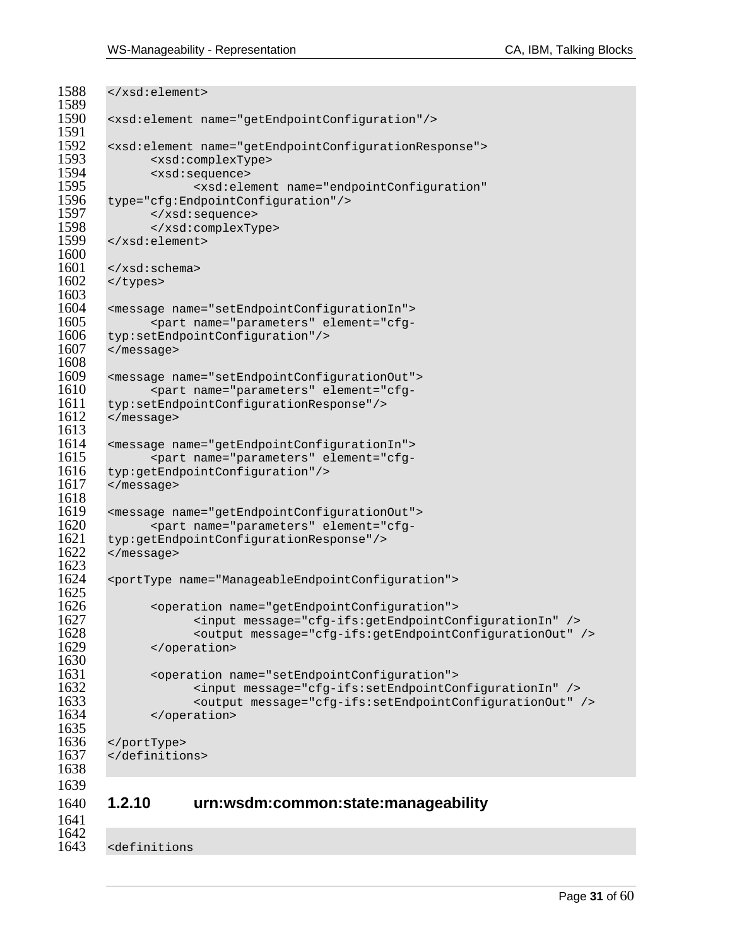```
1588 </xsd:element> 
1589<br>1590
        1590 <xsd:element name="getEndpointConfiguration"/> 
1591<br>1592
1592 <xsd:element name="getEndpointConfigurationResponse"> 
1593 <xsd:complexType> 
1594 <xsd:sequence> 
1595 <xsd:element name="endpointConfiguration"<br>1596 type="cfg:EndpointConfiguration"/>
1596 type="cfg:EndpointConfiguration"/><br>1597 </xsd:sequence>
1597 </xsd:sequence> 
1598 </xsd:complexType><br>1599 </xsd:element>
        1599 </xsd:element> 
1600 
1601 \times /xsd:schema><br>1602 \times /tvpes>
        </types>
1603<br>1604
1604 <message name="setEndpointConfigurationIn"> 
1605 <part name="parameters" element="cfg-<br>1606 typ:setEndpointConfiguration"/>
1606 typ:setEndpointConfiguration"/><br>1607 </message>
        1607 </message> 
1608<br>1609
1609 <message name="setEndpointConfigurationOut"> 
                1610 <part name="parameters" element="cfg-
1611 typ:setEndpointConfigurationResponse"/><br>1612 </message>
        </message>
1613<br>1614
1614 <message name="getEndpointConfigurationIn"> 
1615 <part name="parameters" element="cfg-<br>1616 typ:getEndpointConfiguration"/>
1616 typ:getEndpointConfiguration"/><br>1617 </message>
        1617 </message> 
1618<br>1619
1619 <message name="getEndpointConfigurationOut"> 
1620 <part name="parameters" element="cfg-<br>1621 typ:getEndpointConfigurationResponse"/>
1621 typ:getEndpointConfigurationResponse"/><br>1622 </message>
        1622 </message> 
1623<br>1624
        1624 <portType name="ManageableEndpointConfiguration"> 
1625<br>1626
1626 < operation name="getEndpointConfiguration"><br>1627 < input message="cfg-ifs:getEndpointCo
1627 <input message="cfg-ifs:getEndpointConfigurationIn" /> 
1628 <output message="cfg-ifs:getEndpointConfigurationOut" /> 
               1629 </operation> 
1630 
1631 <operation name="setEndpointConfiguration"> 
1632 <input message="cfg-ifs:setEndpointConfigurationIn" /> 
1633 <output message="cfg-ifs:setEndpointConfigurationOut" /> 
                </operation>
1635<br>1636
1636 </portType><br>1637 </definition
        </definitions>
1638 
1639 
1640 1.2.10 urn:wsdm:common:state:manageability
```
1642<br>1643

<definitions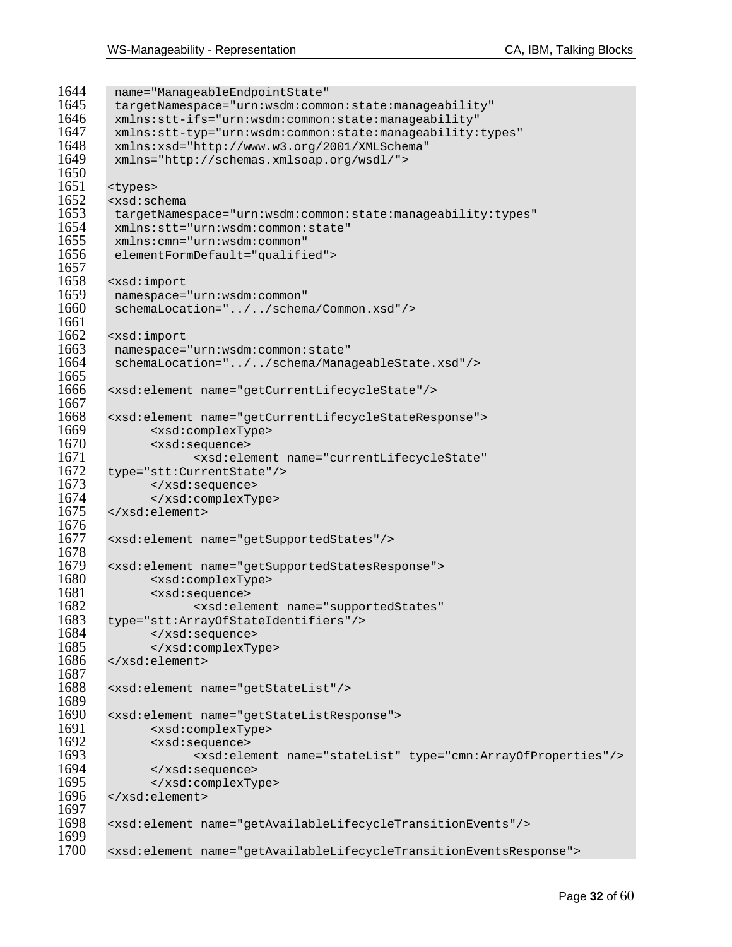```
1644 name="ManageableEndpointState"<br>1645 targetNamespace="urn:wsdm:comm
1645 targetNamespace="urn:wsdm:common:state:manageability"<br>1646 mmlns:stt-ifs="urn:wsdm:common:state:manageability"
1646 xmlns:stt-ifs="urn:wsdm:common:state:manageability" 
1647 xmlns:stt-typ="urn:wsdm:common:state:manageability:types"<br>1648 xmlns:xsd="http://www.w3.org/2001/XMLSchema"
1648 xmlns:xsd="http://www.w3.org/2001/XMLSchema" 
         1649 xmlns="http://schemas.xmlsoap.org/wsdl/"> 
1650<br>1651
1651 <types><br>1652 <xsd:sc
1652 <xsd:schema 
         1653 targetNamespace="urn:wsdm:common:state:manageability:types" 
1654 xmlns:stt="urn:wsdm:common:state" 
1655 xmlns:cmn="urn:wsdm:common" 
         elementFormDefault="qualified">
1657 
1658 <xsd:import<br>1659 namespace=
1659 namespace="urn:wsdm:common"<br>1660 schemaLocation="../../schem
         schemaLocation="../../schema/Common.xsd"/>
1661<br>1662
1662 <xsd:import<br>1663 namespace=
         1663 namespace="urn:wsdm:common:state" 
1664 schemaLocation="../../schema/ManageableState.xsd"/> 
1665 
1666 <xsd:element name="getCurrentLifecycleState"/> 
1667 
1668 <xsd:element name="getCurrentLifecycleStateResponse"> 
1669 <xsd:complexType> 
               1670 <xsd:sequence> 
1671 <xsd:element name="currentLifecycleState"<br>1672 type="stt:CurrentState"/>
1672 type="stt:CurrentState"/><br>1673 </xsd:sequence>
               1673 </xsd:sequence> 
1674 <br>
1675 <br>
\le/xsd:element>
        </xsd:element>
1676 
1677 <xsd:element name="getSupportedStates"/> 
1678<br>1679
1679 <xsd:element name="getSupportedStatesResponse"> 
1680 <xsd:complexType> 
1681 <xsd:sequence> 
1682 <xsd:element name="supportedStates" 
        1683 type="stt:ArrayOfStateIdentifiers"/> 
1684 </xsd:sequence> 
1685 </xsd:complexType><br>1686 </xsd:element>
        </xsd:element>
1687<br>1688
        1688 <xsd:element name="getStateList"/> 
1689<br>1690
1690 <xsd:element name="getStateListResponse"><br>1691 <xsd:complexType>
1691 <xsd:complexType> 
1692 <xsd:sequence> 
1693 <xsd:element name="stateList" type="cmn:ArrayOfProperties"/> 
1694 </xsd:sequence> 
1695 </xsd:complexType><br>1696 </xsd:element>
        1696 </xsd:element> 
1697<br>1698
        1698 <xsd:element name="getAvailableLifecycleTransitionEvents"/> 
1699<br>1700
        1700 <xsd:element name="getAvailableLifecycleTransitionEventsResponse">
```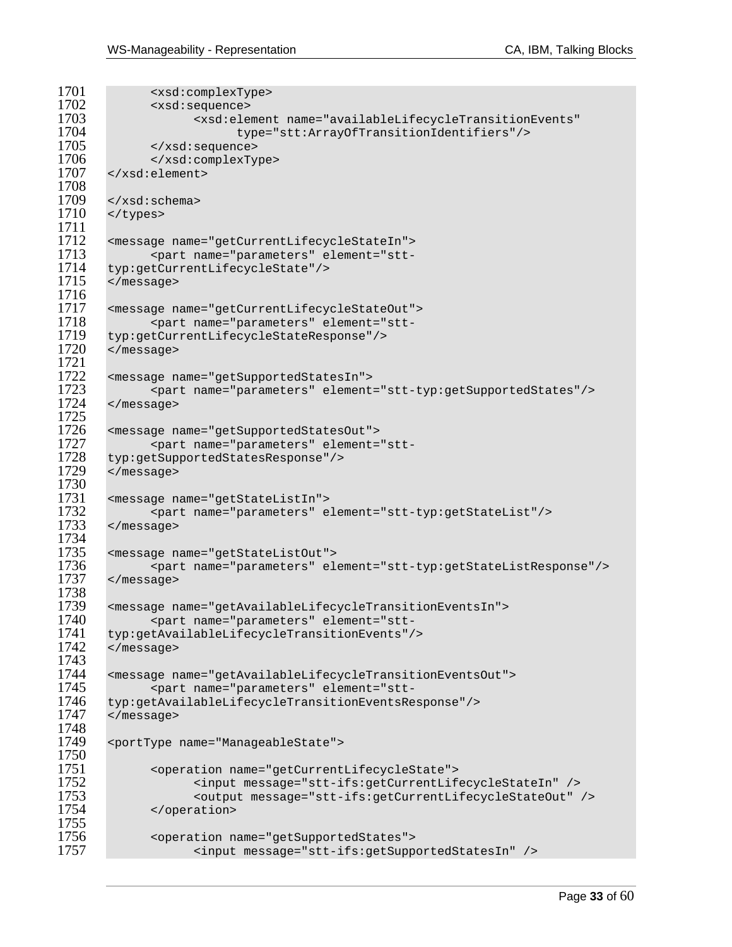```
1701 <xsd:complexType><br>1702 <xsd:sequence>
1702 <xsd:sequence> 
1703 <xsd:element name="availableLifecycleTransitionEvents" 
1704 type="stt:ArrayOfTransitionIdentifiers"/> 
1705 </xsd:sequence> 
1706 </xsd:complexType> 
       1707 </xsd:element> 
1708<br>1709
1709 \times /xsd:schema><br>1710 \times /tvpes>
       </types>
1711 
1712 <message name="getCurrentLifecycleStateIn"> 
1713 <part name="parameters" element="stt-
1714 typ:getCurrentLifecycleState"/><br>1715 </message>
        </message>
1716<br>1717
1717 <message name="getCurrentLifecycleStateOut"> 
1718 <part name="parameters" element="stt-<br>1719 typ:getCurrentLifecycleStateResponse"/>
1719 typ:getCurrentLifecycleStateResponse"/><br>1720 </message>
        1720 </message> 
1721 
1722 <message name="getSupportedStatesIn"> 
1723 <part name="parameters" element="stt-typ:getSupportedStates"/> 
       </message>
1725 
1726 <message name="getSupportedStatesOut"> 
1727 <part name="parameters" element="stt-
1728 typ:getSupportedStatesResponse"/><br>1729 </message>
       </message>
1730<br>1731
1731 <message name="getStateListIn"><br>1732 <part name="parameters" e
1732 <part name="parameters" element="stt-typ:getStateList"/><br>1733 </message>
        1733 </message> 
1734<br>1735
1735 <message name="getStateListOut"> 
1736 <part name="parameters" element="stt-typ:getStateListResponse"/><br>1737 </message>
        1737 </message> 
1738<br>1739
1739 <message name="getAvailableLifecycleTransitionEventsIn"> 
1740 <part name="parameters" element="stt-
1741 typ:getAvailableLifecycleTransitionEvents"/> 
        </message>
1743<br>1744
1744 <message name="getAvailableLifecycleTransitionEventsOut"> 
1745 <part name="parameters" element="stt-
1746 typ:getAvailableLifecycleTransitionEventsResponse"/><br>1747 </message>
        </message>
1748<br>1749
        1749 <portType name="ManageableState"> 
1750<br>1751
1751 <operation name="getCurrentLifecycleState"><br>1752 <input message="stt-ifs:getCurrentLif
1752 <input message="stt-ifs:getCurrentLifecycleStateIn" /> 
1753 <output message="stt-ifs:getCurrentLifecycleStateOut" /> 
               </operation>
1755<br>1756
1756 <operation name="getSupportedStates"><br>1757 <input message="stt-ifs:getSupp
                      1757 <input message="stt-ifs:getSupportedStatesIn" />
```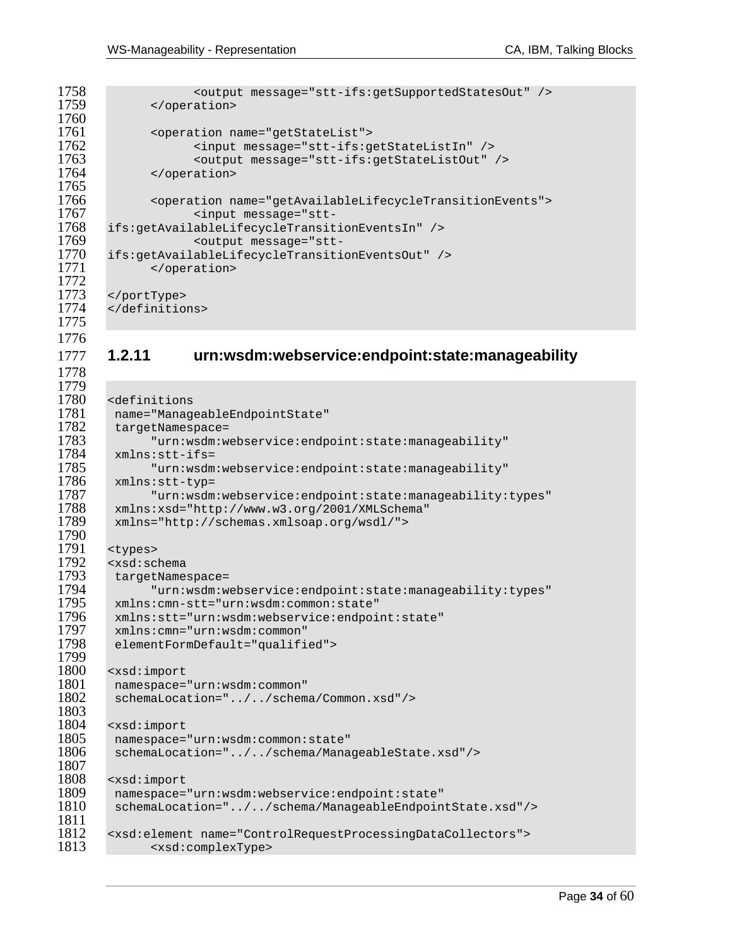```
1758 <output message="stt-ifs:getSupportedStatesOut" /><br>1759 </operation>
              </operation>
1760 
1761 <operation name="getStateList"><br>1762 <input message="stt-ifs:g
1762 <input message="stt-ifs:getStateListIn" /> 
1763 <output message="stt-ifs:getStateListOut" /> 
             </operation>
1765<br>1766
1766 <operation name="getAvailableLifecycleTransitionEvents"> 
1767 <input message="stt-
       1768 ifs:getAvailableLifecycleTransitionEventsIn" /> 
-1769 <output message="stt<br>1770 ifs:getAvailableLifecycleTransiti
1770 ifs:getAvailableLifecycleTransitionEventsOut" /> 
             </operation>
1772<br>1773
1773 </portType> 
       </definitions>
1775
```
1778

### 1777 **1.2.11 urn:wsdm:webservice:endpoint:state:manageability**

```
1779 
1780 <definitions<br>1781 name="Manag
1781 name="ManageableEndpointState"<br>1782 targetNamespace=
1782 targetNamespace=<br>1783 "urn:wsdm:w
1783 "urn:wsdm:webservice:endpoint:state:manageability"<br>1784 xmlns:stt-ifs=
1784 xmlns:stt-ifs=<br>1785 "urn:wsdm
1785 "urn:wsdm:webservice:endpoint:state:manageability" 
1786 xmlns:stt-typ= 
1787 "urn:wsdm:webservice:endpoint:state:manageability:types" 
1788 xmlns:xsd="http://www.w3.org/2001/XMLSchema"<br>1789 xmlns="http://schemas.xmlsoap.org/wsdl/">
          1789 xmlns="http://schemas.xmlsoap.org/wsdl/"> 
1790<br>1791
1791 <types><br>1792 <xsd:sc
1792 <xsd:schema<br>1793 targetName
1793 targetNamespace= 
1794 "urn:wsdm:webservice:endpoint:state:manageability:types" 
1795 xmlns:cmn-stt="urn:wsdm:common:state"<br>1796 xmlns:stt="urn:wsdm:webservice:endpoi
1796 xmlns:stt="urn:wsdm:webservice:endpoint:state" 
1797 xmlns:cmn="urn:wsdm:common" 
          elementFormDefault="qualified">
1799 
1800 <xsd:import<br>1801 namespace=
1801 namespace="urn:wsdm:common"<br>1802 schemaLocation="../../schem
          1802 schemaLocation="../../schema/Common.xsd"/> 
1803<br>1804
1804 <xsd:import<br>1805 namespace=
1805 namespace="urn:wsdm:common:state"<br>1806 schemaLocation="../../schema/Mana
          schemaLocation="../../schema/ManageableState.xsd"/>
1807<br>1808
1808 <xsd:import<br>1809 namespace=
1809 namespace="urn:wsdm:webservice:endpoint:state" 
          1810 schemaLocation="../../schema/ManageableEndpointState.xsd"/> 
1811 
1812 <xsd:element name="ControlRequestProcessingDataCollectors"><br>1813 <xsd:complexType>
                 1813 <xsd:complexType>
```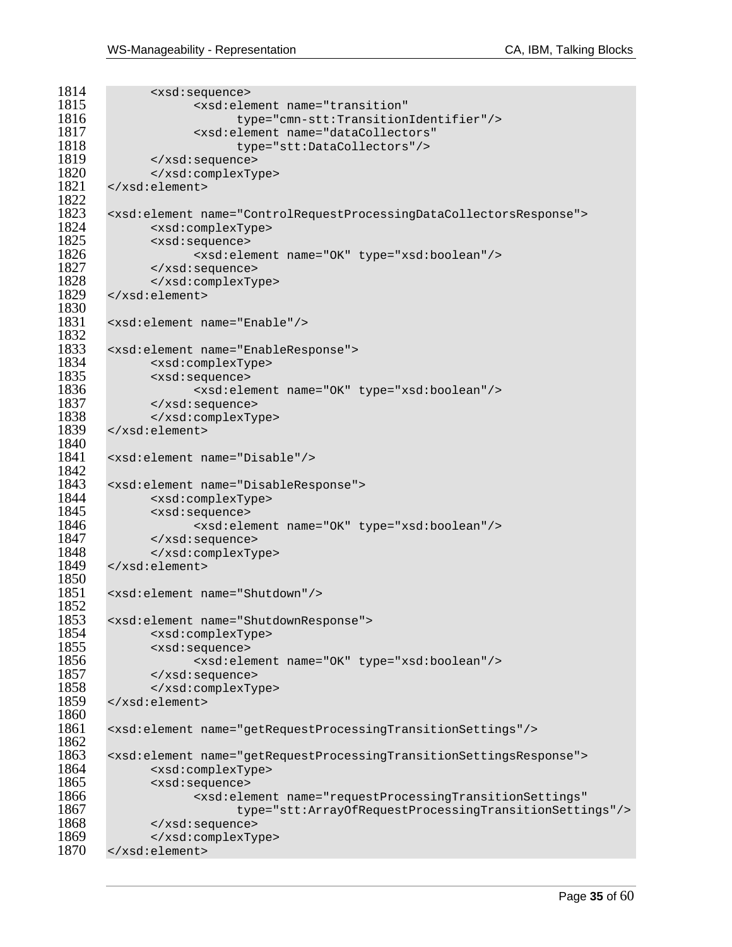```
1814 <xsd:sequence><br>1815 <xsd:sequence>
1815 - xsd:element name="transition"<br>1816 - type="cmn-stt:Transition"
1816 type="cmn-stt:TransitionIdentifier"/> 
1817 <xsd:element name="dataCollectors" 
1818 type="stt:DataCollectors"/><br>1819 </xsd:sequence>
1819 </xsd:sequence> 
1820 </xsd:complexType><br>1821 </xsd:element>
       1821 </xsd:element> 
1822<br>1823
1823 <xsd:element name="ControlRequestProcessingDataCollectorsResponse"><br>1824 <xsd:complexType>
              1824 <xsd:complexType> 
1825 <xsd:sequence><br>1826 - <a>
1826 <xsd:element name="OK" type="xsd:boolean"/> 
1827 </xsd:sequence><br>1828 </xsd:complexTv
1828 </xsd:complexType><br>1829 </xsd:element>
       1829 </xsd:element> 
1830<br>1831
       1831 <xsd:element name="Enable"/> 
1832<br>1833
1833 <xsd:element name="EnableResponse"> 
1834 <xsd:complexType> 
1835 <xsd:sequence> 
1836 <xsd:element name="OK" type="xsd:boolean"/> 
1837 </xsd:sequence> 
1838 </xsd:complexType><br>1839 </xsd:element>
       1839 </xsd:element> 
1840<br>1841
       1841 <xsd:element name="Disable"/> 
1842<br>1843
       1843 <xsd:element name="DisableResponse"> 
1844 <xsd:complexType> 
1845 <xsd:sequence> 
1846 <xsd:element name="OK" type="xsd:boolean"/> 
1847 </xsd:sequence> 
1848 </xsd:complexType><br>1849 </xsd:element>
       1849 </xsd:element> 
1850<br>1851
       1851 <xsd:element name="Shutdown"/> 
1852<br>1853
1853 <xsd:element name="ShutdownResponse"> 
1854 <xsd:complexType> 
1855 <xsd:sequence> 
1856 <xsd:element name="OK" type="xsd:boolean"/> 
1857 </xsd:sequence> 
1858 </xsd:complexType><br>1859 </xsd:element>
       1859 </xsd:element> 
1860<br>1861
       1861 <xsd:element name="getRequestProcessingTransitionSettings"/> 
1862<br>1863
1863 <xsd:element name="getRequestProcessingTransitionSettingsResponse"> 
1864 <xsd:complexType> 
1865 <xsd:sequence> 
1866 <xsd:element name="requestProcessingTransitionSettings" 
1867 type="stt:ArrayOfRequestProcessingTransitionSettings"/><br>1868 </xsd:sequence>
1868 </xsd:sequence><br>1869 </xsd:complexTv
1869 </xsd:complexType><br>1870 </xsd:element>
       1870 </xsd:element>
```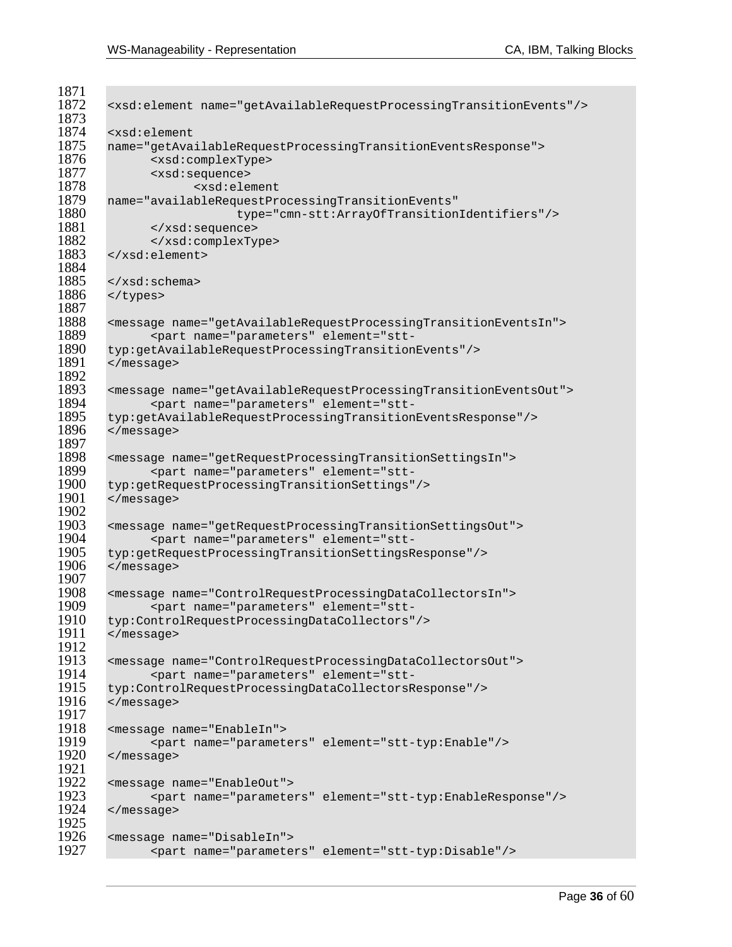```
1871<br>1872
       1872 <xsd:element name="getAvailableRequestProcessingTransitionEvents"/> 
1873 
1874 <xsd:element 
1875 name="getAvailableRequestProcessingTransitionEventsResponse"> 
1876 <xsd:complexType> 
1877 <xsd:sequence> 
1878 <xsd:element<br>1879 name="availableRequestPre
1879 name="availableRequestProcessingTransitionEvents" 
1880 type="cmn-stt:ArrayOfTransitionIdentifiers"/> 
1881 </xsd:sequence><br>1882 </xsd:complexTy
1882 </xsd:complexType><br>1883 </xsd:element>
       1883 </xsd:element> 
1884 
1885 \times /xsd:schema><br>1886 \times /types>
       </types>
1887 
1888 <message name="getAvailableRequestProcessingTransitionEventsIn"> 
1889 <part name="parameters" element="stt-
1890 typ:getAvailableRequestProcessingTransitionEvents"/> 
       1891 </message> 
1892<br>1893
1893 <message name="getAvailableRequestProcessingTransitionEventsOut"> 
1894 <part name="parameters" element="stt-
1895 typ:getAvailableRequestProcessingTransitionEventsResponse"/><br>1896 </message>
       1896 </message> 
1897<br>1898
1898 <message name="getRequestProcessingTransitionSettingsIn"> 
1899 <part name="parameters" element="stt-
1900 typ:getRequestProcessingTransitionSettings"/> 
       1901 </message> 
1902<br>1903
1903 <message name="getRequestProcessingTransitionSettingsOut"> 
1904 <part name="parameters" element="stt-
1905 typ:getRequestProcessingTransitionSettingsResponse"/> 
       1906 </message> 
1907<br>1908
1908 <message name="ControlRequestProcessingDataCollectorsIn"> 
1909 <part name="parameters" element="stt-
1910 typ:ControlRequestProcessingDataCollectors"/> 
       </message>
1912<br>1913
1913 <message name="ControlRequestProcessingDataCollectorsOut"> 
1914 <part name="parameters" element="stt-
1915 typ:ControlRequestProcessingDataCollectorsResponse"/><br>1916 </message>
       1916 </message> 
1917<br>1918
1918 <message name="EnableIn"> 
1919 <part name="parameters" element="stt-typ:Enable"/><br>1920 </message>
       1920 </message> 
1921<br>1922
1922 <message name="EnableOut"> 
1923 <part name="parameters" element="stt-typ:EnableResponse"/> 
       </message>
1925<br>1926
1926 <message name="DisableIn"> 
              1927 <part name="parameters" element="stt-typ:Disable"/>
```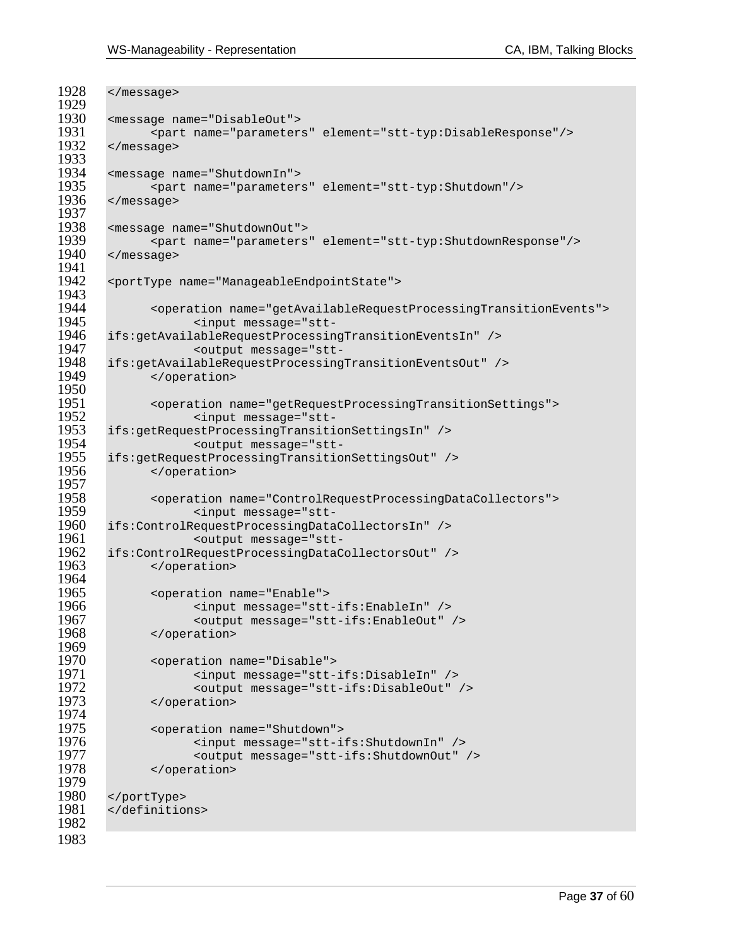```
1928 </message> 
1929<br>1930
1930 <message name="DisableOut"> 
1931 <part name="parameters" element="stt-typ:DisableResponse"/><br>1932 </message>
       \langle message>
1933<br>1934
1934 <message name="ShutdownIn"> 
1935 <part name="parameters" element="stt-typ:Shutdown"/> 
       \langle message>
1937<br>1938
1938 <message name="ShutdownOut"> 
1939 <part name="parameters" element="stt-typ:ShutdownResponse"/> 
       1940 </message> 
1941 
1942 <portType name="ManageableEndpointState"> 
1943<br>1944
1944 <operation name="getAvailableRequestProcessingTransitionEvents"> 
-1945 <input message="stt<br>1946 ifs:getAvailableRequestProcessin
1946 ifs:getAvailableRequestProcessingTransitionEventsIn" /> 
-1947 <output message="stt<br>1948 ifs:getAvailableRequestProcessing
1948 ifs:getAvailableRequestProcessingTransitionEventsOut" /> 
              1949 </operation> 
1950<br>1951
1951 <operation name="getRequestProcessingTransitionSettings"> 
1952 <input message="stt-
1953 ifs:getRequestProcessingTransitionSettingsIn" /> 
1954 <output message="stt-
1955 ifs:getRequestProcessingTransitionSettingsOut" /> 
              </operation>
1957 
1958 <operation name="ControlRequestProcessingDataCollectors"><br>1959 - <input message="stt-
-1959 <input message="stt<br>1960 ifs:ControlRequestProcessingData
1960 ifs:ControlRequestProcessingDataCollectorsIn" /> 
1961 <output message="stt-
1962 ifs:ControlRequestProcessingDataCollectorsOut" /> 1963 </operation>
              </operation>
1964<br>1965
1965 <operation name="Enable"><br>1966 <input message="stt
                    1966 <input message="stt-ifs:EnableIn" /> 
1967 < coutput message="stt-ifs:EnableOut" /><br>1968 </operation>
              1968 </operation> 
1969<br>1970
1970 <operation name="Disable"> 
1971 <input message="stt-ifs:DisableIn" /> 
1972 <output message="stt-ifs:DisableOut" /> 
              </operation>
1974<br>1975
1975 <operation name="Shutdown"> 
1976 <input message="stt-ifs:ShutdownIn" /> 
1977 <output message="stt-ifs:ShutdownOut" /> 
              </operation>
1979<br>1980
1980 </portType><br>1981 </definitio
       </definitions>
1982 
1983
```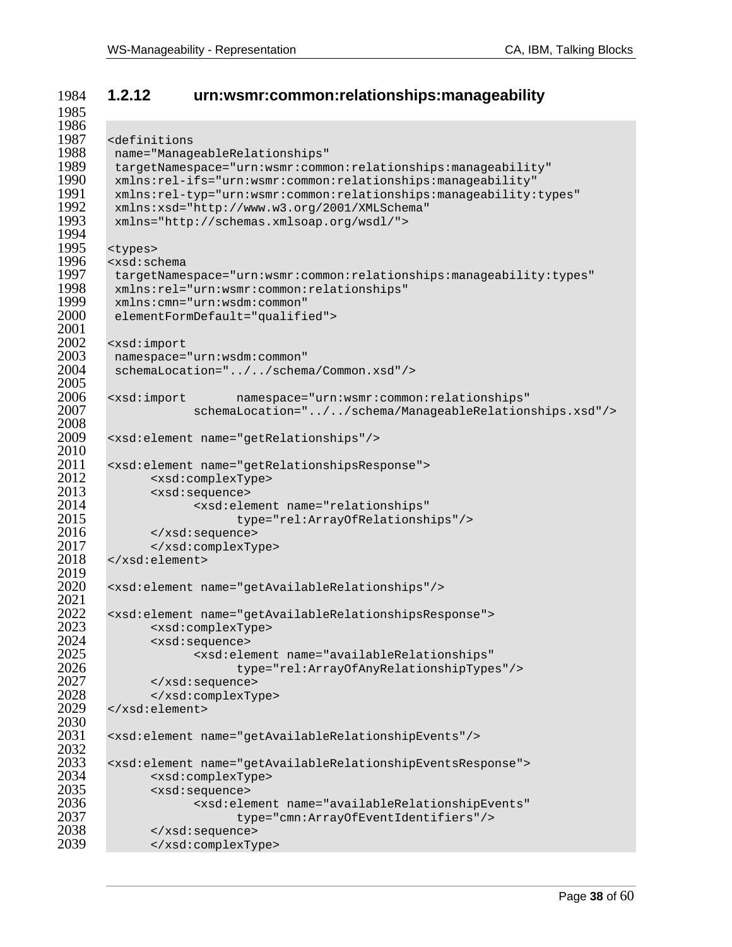### **1.2.12 urn:wsmr:common:relationships:manageability**

```
1986<br>1987
1987 <definitions<br>1988 name="Manag
1988 name="ManageableRelationships" 
1989 targetNamespace="urn:wsmr:common:relationships:manageability" 
1990 xmlns:rel-ifs="urn:wsmr:common:relationships:manageability" 
1991 xmlns:rel-typ="urn:wsmr:common:relationships:manageability:types"<br>1992 xmlns:xsd="http://www.w3.org/2001/XMLSchema"
1992 xmlns:xsd="http://www.w3.org/2001/XMLSchema" 
        1993 xmlns="http://schemas.xmlsoap.org/wsdl/"> 
1994<br>1995
1995 <types><br>1996 <xsd:sc
1996 <xsd:schema 
1997 targetNamespace="urn:wsmr:common:relationships:manageability:types" 
1998 xmlns:rel="urn:wsmr:common:relationships" 
1999 xmlns:cmn="urn:wsdm:common" 
        elementFormDefault="qualified">
2001 
2002 <xsd:import<br>2003 namespace=
2003 namespace="urn:wsdm:common"<br>2004 schemaLocation="../../schem
        schemaLocation="../../schema/Common.xsd"/>
2005<br>2006
2006 <xsd:import namespace="urn:wsmr:common:relationships" 
                    2007 schemaLocation="../../schema/ManageableRelationships.xsd"/> 
2008<br>2009
       2009 <xsd:element name="getRelationships"/> 
2010<br>2011
2011 <xsd:element name="getRelationshipsResponse"><br>2012 <xsd:complexType>
2012 <xsd:complexType><br>2013 <xsd:sequence>
2013 <xsd:sequence> 
2014 <xsd:element name="relationships" 
2015 type="rel:ArrayOfRelationships"/> 
2016 </xsd:sequence> 
2017 </xsd:complexType><br>2018 </xsd:element>
       2018 </xsd:element> 
2019 
       2020 <xsd:element name="getAvailableRelationships"/> 
2021 
2022 <xsd:element name="getAvailableRelationshipsResponse"> 
2023 <xsd:complexType> 
2024 <xsd:sequence> 
2025 <xsd:element name="availableRelationships" 
2026 type="rel:ArrayOfAnyRelationshipTypes"/> 
2027 </xsd:sequence> 
2028 </xsd:complexType> 
       2029 </xsd:element> 
2030<br>2031
       2031 <xsd:element name="getAvailableRelationshipEvents"/> 
2032<br>2033
2033 <xsd:element name="getAvailableRelationshipEventsResponse"> 
2034 <xsd:complexType> 
2035 <xsd:sequence> 
2036 <xsd:element name="availableRelationshipEvents" 
2037 type="cmn:ArrayOfEventIdentifiers"/><br>2038 </xsd:sequence>
2038 </xsd:sequence> 
              2039 </xsd:complexType>
```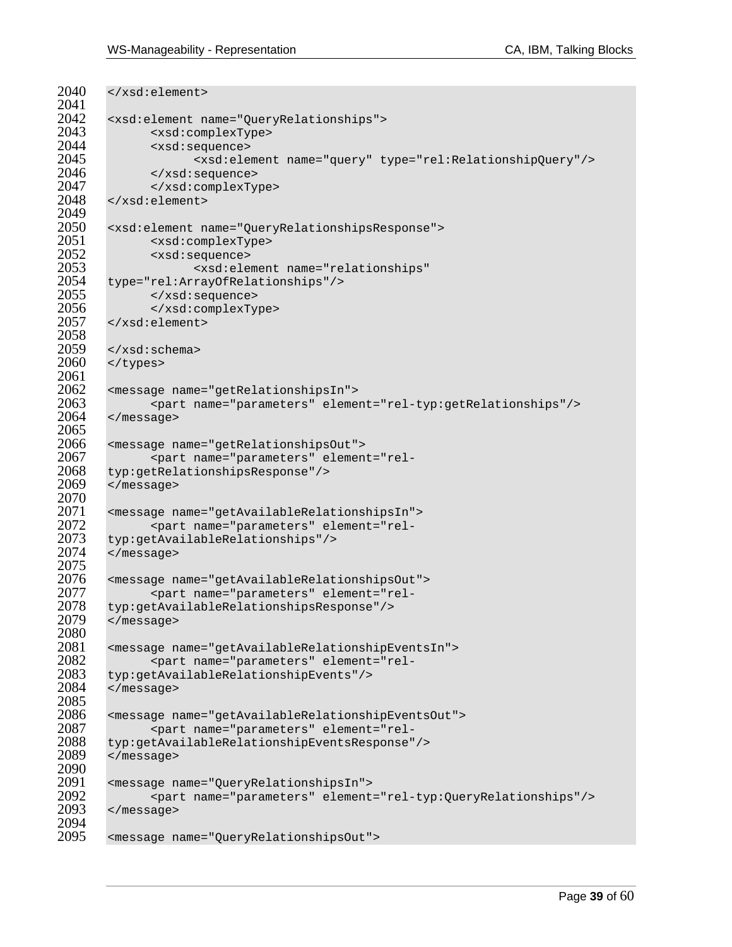```
2040 </xsd:element>
2041<br>2042
2042 <xsd:element name="QueryRelationships"> 
2043 <xsd:complexType> 
2044 <xsd:sequence> 
2045 <xsd:element name="query" type="rel:RelationshipQuery"/> 
2046 </xsd:sequence> 
2047 </xsd:complexType> 
        2048 </xsd:element> 
2049<br>2050
        2050 <xsd:element name="QueryRelationshipsResponse"> 
2051 <xsd:complexType> 
2052 <xsd:sequence> 
2053 <xsd:element name="relationships" 
2054 type="rel:ArrayOfRelationships"/><br>2055 </xsd:sequence>
2055 </xsd:sequence> 
2056 </xsd:complexType> 
        2057 </xsd:element> 
2058<br>2059
2059 </xsd:schema><br>2060 </types>
        </types>
2061<br>2062
2062 <message name="getRelationshipsIn"> 
2063 <part name="parameters" element="rel-typ:getRelationships"/><br>2064 </message>
        </message>
2065<br>2066
2066 <message name="getRelationshipsOut"> 
2067 <part name="parameters" element="rel-<br>2068 typ:getRelationshipsResponse"/>
2068 typ:getRelationshipsResponse"/><br>2069 </message>
        2069 </message> 
2070<br>2071
2071 <message name="getAvailableRelationshipsIn"> 
2072 <part name="parameters" element="rel-<br>2073 typ:getAvailableRelationships"/>
2073 typ:getAvailableRelationships"/> 
        </message>
2075<br>2076
2076 <message name="getAvailableRelationshipsOut"> 
2077 <part name="parameters" element="rel-<br>2078 typ:getAvailableRelationshipsResponse"/>
2078 typ:getAvailableRelationshipsResponse"/><br>2079 </message>
        </message>
2080<br>2081
2081 <message name="getAvailableRelationshipEventsIn"> 
2082 <part name="parameters" element="rel-
2083 typ:getAvailableRelationshipEvents"/> 
        </message>
2085<br>2086
2086 <message name="getAvailableRelationshipEventsOut"> 
2087 <part name="parameters" element="rel-
2088 typ:getAvailableRelationshipEventsResponse"/><br>2089 </message>
        </message>
2090<br>2091
2091 <message name="QueryRelationshipsIn"> 
2092 <part name="parameters" element="rel-typ:QueryRelationships"/> 
        </message>
2094<br>2095
       2095 <message name="QueryRelationshipsOut">
```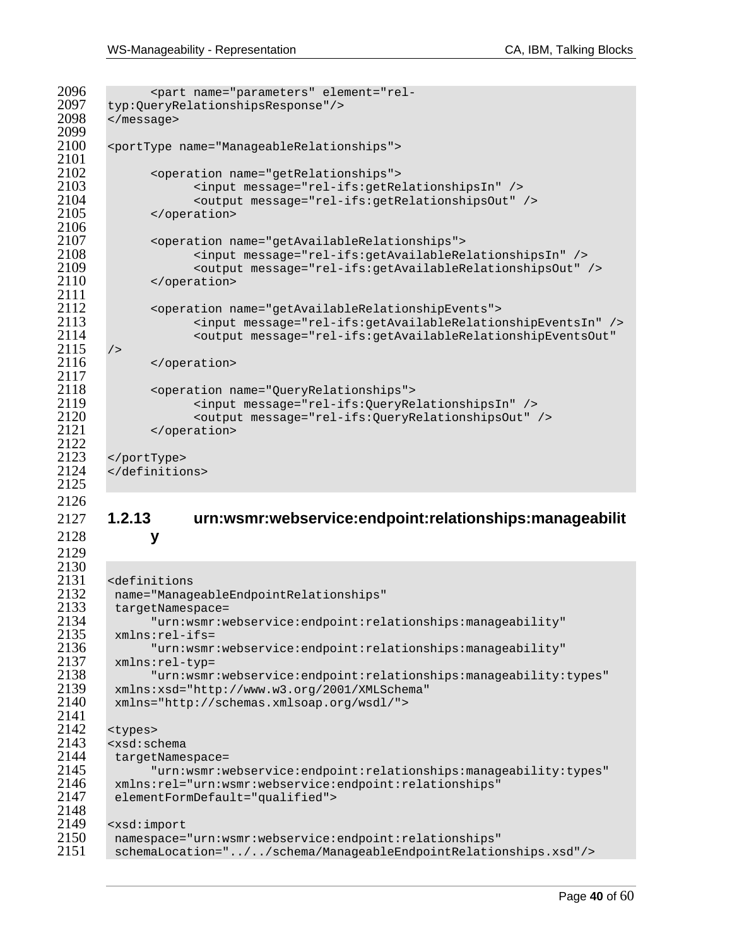```
2096 <part name="parameters" element="rel-<br>2097 typ:OueryRelationshipsResponse"/>
2097 typ:QueryRelationshipsResponse"/><br>2098 </message>
       </message>
2099<br>2100
       2100 <portType name="ManageableRelationships"> 
2101<br>2102
2102 - <operation name="getRelationships"><br>2103 - <input message="rel-ifs:getRe
2103 <input message="rel-ifs:getRelationshipsIn" /> 
2104 <output message="rel-ifs:getRelationshipsOut" /> 
              </operation>
2106 
2107 <operation name="getAvailableRelationships"> 
2108 <input message="rel-ifs:getAvailableRelationshipsIn" /> 
2109 <output message="rel-ifs:getAvailableRelationshipsOut" /> 
              </operation>
2111<br>2112
2112 <operation name="getAvailableRelationshipEvents"> 
2113 <input message="rel-ifs:getAvailableRelationshipEventsIn" /> 
                    2114 <output message="rel-ifs:getAvailableRelationshipEventsOut" 
2115 />
2116 </operation> 
\frac{2117}{2118}2118 <operation name="QueryRelationships"> 
2119 <input message="rel-ifs:QueryRelationshipsIn" /> 
2120 <output message="rel-ifs:QueryRelationshipsOut" /> 
              </operation>
2122<br>2123
2123 </portType><br>2124 </definitio
       2124 </definitions> 
2125 
2126 
2127 1.2.13 urn:wsmr:webservice:endpoint:relationships:manageabilit
2128 y 
2129 
2130<br>2131
2131 <definitions 
2132 name="ManageableEndpointRelationships" 
2133 targetNamespace=<br>2134 "urn:wsmr:w
2134 "urn:wsmr:webservice:endpoint:relationships:manageability" 
2135 xmlns:rel-ifs= 
2136 "urn:wsmr:webservice:endpoint:relationships:manageability" 
2137 xmlns:rel-typ= 
2138 "urn:wsmr:webservice:endpoint:relationships:manageability:types" 
2139 xmlns:xsd="http://www.w3.org/2001/XMLSchema" 
        2140 xmlns="http://schemas.xmlsoap.org/wsdl/"> 
2141<br>2142
2142 <types><br>2143 <xsd:sc
2143 <xsd:schema 
2144     targetNamespace=<br>2145              "urn:wsmr:w
2145 "urn:wsmr:webservice:endpoint:relationships:manageability:types" 
2146 xmlns:rel="urn:wsmr:webservice:endpoint:relationships" 
        elementFormDefault="qualified">
2148<br>2149
2149 <xsd:import<br>2150 namespace=
2150 namespace="urn:wsmr:webservice:endpoint:relationships" 
        2151 schemaLocation="../../schema/ManageableEndpointRelationships.xsd"/>
```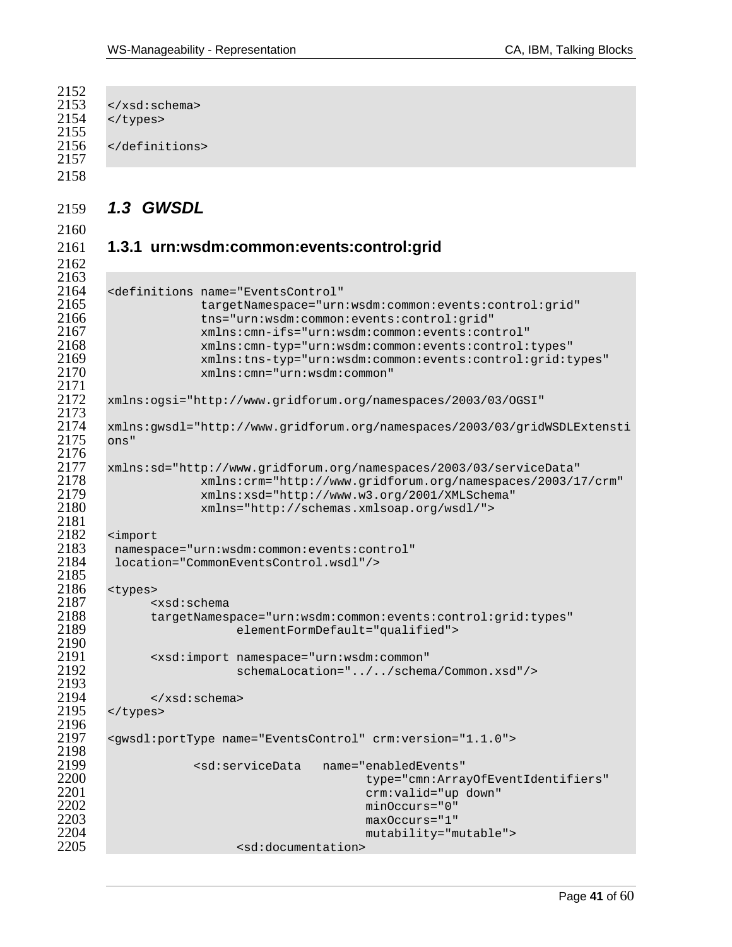```
\frac{2152}{2153}2153 \times /xsd:schema><br>2154 \times /types>
       </types>
2155<br>2156
       </definitions>
2157 
2158 
2159 1.3 GWSDL 
2160 
2161 1.3.1 urn:wsdm:common:events:control:grid 
2162 
2163<br>2164
2164 <definitions name="EventsControl" 
2165 targetNamespace="urn:wsdm:common:events:control:grid"<br>2166 this="urn:wsdm:common:events:control:grid"
2166 tns="urn:wsdm:common:events:control:grid" 
2167 xmlns:cmn-ifs="urn:wsdm:common:events:control" 
2168 xmlns:cmn-typ="urn:wsdm:common:events:control:types" 
2169 xmlns:tns-typ="urn:wsdm:common:events:control:grid:types" 
                   2170 xmlns:cmn="urn:wsdm:common" 
2171 
      2172 xmlns:ogsi="http://www.gridforum.org/namespaces/2003/03/OGSI" 
2173<br>2174
      2174 xmlns:gwsdl="http://www.gridforum.org/namespaces/2003/03/gridWSDLExtensti
2175 ons" 
2176<br>2177
2177 xmlns:sd="http://www.gridforum.org/namespaces/2003/03/serviceData" 
2178 xmlns:crm="http://www.gridforum.org/namespaces/2003/17/crm" 
2179 xmlns:xsd="http://www.w3.org/2001/XMLSchema" 
                   2180 xmlns="http://schemas.xmlsoap.org/wsdl/"> 
2181<br>2182
2182 <import 
2183 namespace="urn:wsdm:common:events:control" 
       location="CommonEventsControl.wsdl"/>
2185<br>2186
2186 <types> 
2187 <xsd:schema
2188 targetNamespace="urn:wsdm:common:events:control:grid:types"<br>2189 elementFormDefault="qualified">
                        elementFormDefault="qualified">
2190<br>2191
2191 <xsd:import namespace="urn:wsdm:common" 
                        schemaLocation="../../schema/Common.xsd"/>
2193 
2194 </xsd:schema><br>2195 </types>
       </types>
2196<br>2197
       2197 <gwsdl:portType name="EventsControl" crm:version="1.1.0"> 
2198<br>2199
2199 <sd:serviceData name="enabledEvents" 
2200 type="cmn:ArrayOfEventIdentifiers" 
2201 crm:valid="up down"<br>2202 crm:valid="up down" crm:valid="up down"
2202 minOccurs="0" 
2203 maxOccurs="1" 
2204 mutability="mutable"> 
                         <sd:documentation>
```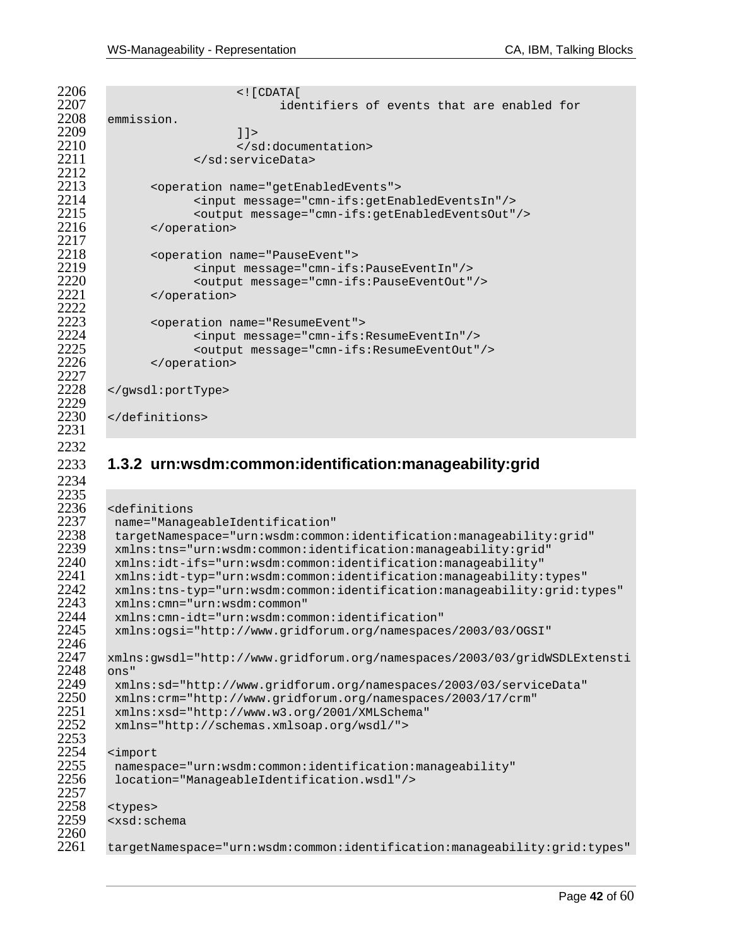$\frac{2212}{2213}$ 2217<br>2218 2222<br>2223 2227<br>2228 2229<br>2230 2246<br>2247 2248 ons"<br>2249 xml 2253<br>2254 2257<br>2258

```
2206 <![CDATA[ 
2207 identifiers of events that are enabled for<br>2208 emmission.
      emmission.
2209 11><br>2210 \leq/s
2210 </sd:documentation><br>2211 </sd:serviceData>
                2211 </sd:serviceData> 
2213 <operation name="getEnabledEvents"> 
2214 <input message="cmn-ifs:getEnabledEventsIn"/> 
2215 <output message="cmn-ifs:getEnabledEventsOut"/> 
           </operation>
2218 <operation name="PauseEvent"> 
2219 <input message="cmn-ifs:PauseEventIn"/> 
2220 <coutput message="cmn-ifs:PauseEventOut"/><br>2221 </operation>
           </operation>
2223 <operation name="ResumeEvent"> 
2224 <input message="cmn-ifs:ResumeEventIn"/> 
2225 <output message="cmn-ifs:ResumeEventOut"/> 
           </operation>
      </gwsdl:portType>
```
</definitions>

### **1.3.2 urn:wsdm:common:identification:manageability:grid**

```
2236 <definitions 
2237 name="ManageableIdentification" 
2238 targetNamespace="urn:wsdm:common:identification:manageability:grid" 
2239 xmlns:tns="urn:wsdm:common:identification:manageability:grid" 
2240 xmlns:idt-ifs="urn:wsdm:common:identification:manageability" 
2241 xmlns:idt-typ="urn:wsdm:common:identification:manageability:types" 
2242 xmlns:tns-typ="urn:wsdm:common:identification:manageability:grid:types" 
2243 xmlns:cmn="urn:wsdm:common" 
2244 xmlns:cmn-idt="urn:wsdm:common:identification" 
        2245 xmlns:ogsi="http://www.gridforum.org/namespaces/2003/03/OGSI" 
       2247 xmlns:gwsdl="http://www.gridforum.org/namespaces/2003/03/gridWSDLExtensti
2249 xmlns:sd="http://www.gridforum.org/namespaces/2003/03/serviceData"<br>2250 xmlns:crm="http://www.gridforum.org/namespaces/2003/17/crm"
2250 xmlns:crm="http://www.gridforum.org/namespaces/2003/17/crm" 
2251 xmlns:xsd="http://www.w3.org/2001/XMLSchema" 
        2252 xmlns="http://schemas.xmlsoap.org/wsdl/"> 
2254 <import<br>2255 namesp
2255 namespace="urn:wsdm:common:identification:manageability" 
        2256 location="ManageableIdentification.wsdl"/> 
2258 <types><br>2259 <xsd:sc
       2259 <xsd:schema 
2260<br>2261
       2261 targetNamespace="urn:wsdm:common:identification:manageability:grid:types"
```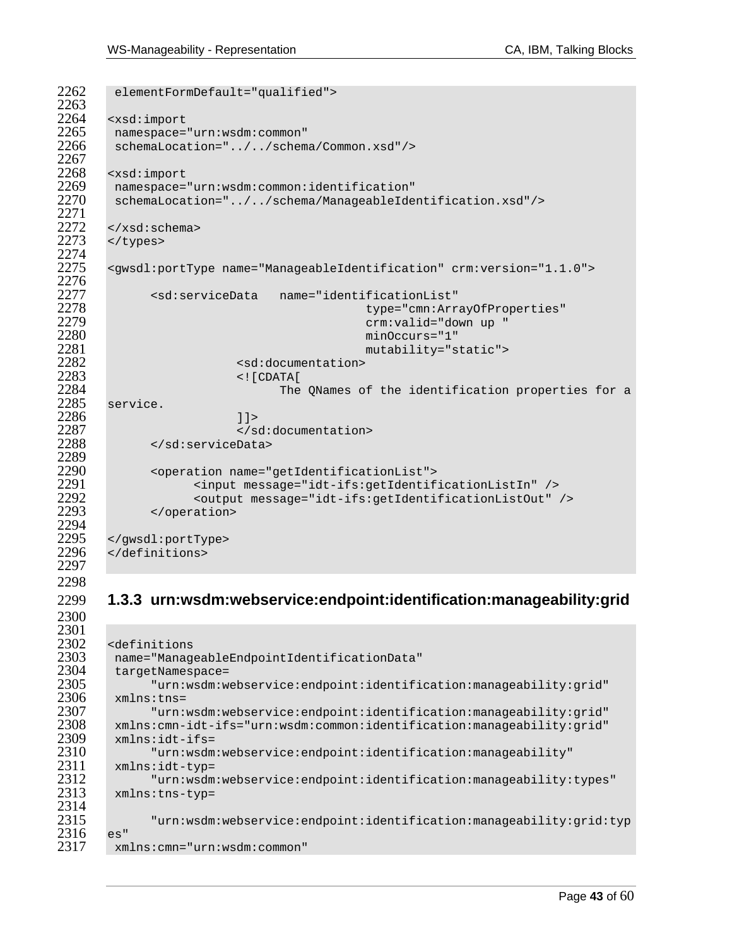```
2262 elementFormDefault="qualified"> 
2263<br>2264
2264 <xsd:import 
2265 namespace="urn:wsdm:common" 
       schemaLocation="../../schema/Common.xsd"/>
2267<br>2268
2268 <xsd:import<br>2269 namespace=
2269 namespace="urn:wsdm:common:identification" 
       2270 schemaLocation="../../schema/ManageableIdentification.xsd"/> 
2271<br>2272
      \langle xsd:schema\rangle2273 </types>
2274<br>2275
      2275 <gwsdl:portType name="ManageableIdentification" crm:version="1.1.0"> 
2276<br>2277
2277 <sd:serviceData name="identificationList" 
2278 type="cmn:ArrayOfProperties" 
2279 crm:valid="down up " 
2280 minOccurs="1" 
2281 mutability="static"> 
2282 <sd:documentation><br>2283 <sd:documentation>
2283 <![CDATA[ 
2284 $\tt{service.}service.
2286 11><br>2287 </a>
2287 </sd:documentation><br>2288 </sd:serviceData>
           2288 </sd:serviceData> 
2289<br>2290
2290 <operation name="getIdentificationList"> 
2291 <input message="idt-ifs:getIdentificationListIn" /> 
2292 <output message="idt-ifs:getIdentificationListOut" /><br>2293 </operation>
            </operation>
2294<br>2295
2295 </gwsdl:portType><br>2296 </definitions>
      2296 </definitions> 
2297
```
### **1.3.3 urn:wsdm:webservice:endpoint:identification:manageability:grid**

```
2301<br>2302
2302 <definitions 
2303 name="ManageableEndpointIdentificationData" 
2304 targetNamespace=<br>2305 "urn:wsdm:w
2305 "urn:wsdm:webservice:endpoint:identification:manageability:grid" 
2306 xmlns:tns=<br>2307 "urn:
2307 "urn:wsdm:webservice:endpoint:identification:manageability:grid" 
2308 xmlns:cmn-idt-ifs="urn:wsdm:common:identification:manageability:grid" 
2309 xmlns:idt-ifs= 
2310 "urn:wsdm:webservice:endpoint:identification:manageability" 
2311 xmlns:idt-typ= 
2312 "urn:wsdm:webservice:endpoint:identification:manageability:types" 
        2313 xmlns:tns-typ= 
2314<br>2315
              2315 "urn:wsdm:webservice:endpoint:identification:manageability:grid:typ
2316 es"<br>2317 xm
       2317 xmlns:cmn="urn:wsdm:common"
```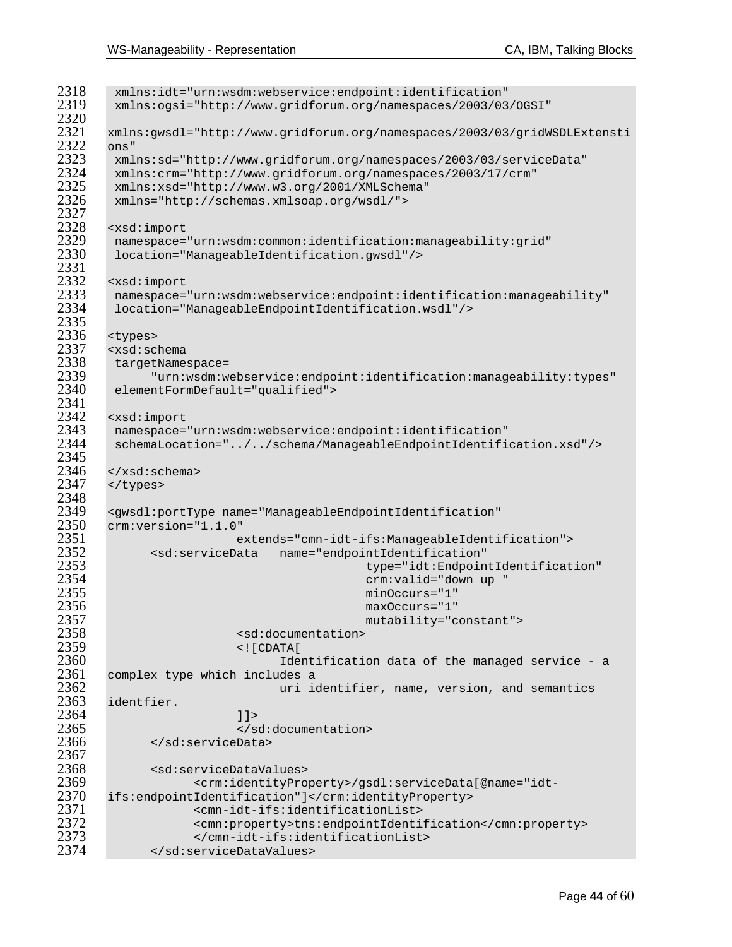| 2318 | xmlns:idt="urn:wsdm:webservice:endpoint:identification"                              |
|------|--------------------------------------------------------------------------------------|
| 2319 | xmlns:ogsi="http://www.gridforum.org/namespaces/2003/03/OGSI"                        |
| 2320 |                                                                                      |
| 2321 | xmlns:gwsdl="http://www.gridforum.org/namespaces/2003/03/gridWSDLExtensti            |
| 2322 |                                                                                      |
|      | ons"                                                                                 |
| 2323 | xmlns:sd="http://www.gridforum.org/namespaces/2003/03/serviceData"                   |
| 2324 | xmlns:crm="http://www.gridforum.org/namespaces/2003/17/crm"                          |
| 2325 | xmlns:xsd="http://www.w3.org/2001/XMLSchema"                                         |
| 2326 | xmlns="http://schemas.xmlsoap.org/wsdl/">                                            |
| 2327 |                                                                                      |
| 2328 | <xsd:import< td=""></xsd:import<>                                                    |
| 2329 | namespace="urn:wsdm:common:identification:manageability:grid"                        |
| 2330 | location="ManageableIdentification.gwsdl"/>                                          |
| 2331 |                                                                                      |
| 2332 | <xsd:import< td=""></xsd:import<>                                                    |
| 2333 | namespace="urn:wsdm:webservice:endpoint:identification:manageability"                |
| 2334 |                                                                                      |
|      | location="ManageableEndpointIdentification.wsdl"/>                                   |
| 2335 |                                                                                      |
| 2336 | <types></types>                                                                      |
| 2337 | <xsd:schema< td=""></xsd:schema<>                                                    |
| 2338 | targetNamespace=                                                                     |
| 2339 | "urn:wsdm:webservice:endpoint:identification:manageability:types"                    |
| 2340 | elementFormDefault="qualified">                                                      |
| 2341 |                                                                                      |
| 2342 | <xsd:import< td=""></xsd:import<>                                                    |
| 2343 | namespace="urn:wsdm:webservice:endpoint:identification"                              |
| 2344 | schemaLocation="//schema/ManageableEndpointIdentification.xsd"/>                     |
| 2345 |                                                                                      |
| 2346 | $\langle xsd:$ schema>                                                               |
| 2347 |                                                                                      |
|      |                                                                                      |
| 2348 |                                                                                      |
| 2349 | <gwsdl:porttype <="" name="ManageableEndpointIdentification" td=""></gwsdl:porttype> |
| 2350 | $crm:version='1.1.0"$                                                                |
| 2351 | extends="cmn-idt-ifs:ManageableIdentification">                                      |
| 2352 | name="endpointIdentification"<br><sd:servicedata< td=""></sd:servicedata<>           |
| 2353 | type="idt:EndpointIdentification"                                                    |
| 2354 | crm: valid="down up "                                                                |
| 2355 | $minOccurs = "1"$                                                                    |
| 2356 | $maxOccurs = "1"$                                                                    |
| 2357 | mutability="constant">                                                               |
| 2358 | <sd:documentation></sd:documentation>                                                |
| 2359 | $\lt$ ! [ $CDATA$ [                                                                  |
| 2360 |                                                                                      |
|      | Identification data of the managed service - a                                       |
| 2361 | complex type which includes a                                                        |
| 2362 | uri identifier, name, version, and semantics                                         |
| 2363 | identfier.                                                                           |
| 2364 | $]$ ] >                                                                              |
| 2365 |                                                                                      |
| 2366 |                                                                                      |
| 2367 |                                                                                      |
| 2368 | <sd:servicedatavalues></sd:servicedatavalues>                                        |
| 2369 | <crm:identityproperty>/gsdl:serviceData[@name="idt-</crm:identityproperty>           |
| 2370 | ifs:endpointIdentification"]                                                         |
| 2371 |                                                                                      |
|      | <cmn-idt-ifs:identificationlist></cmn-idt-ifs:identificationlist>                    |
| 2372 | <cmn:property>tns:endpointIdentification</cmn:property>                              |
| 2373 |                                                                                      |
| 2374 |                                                                                      |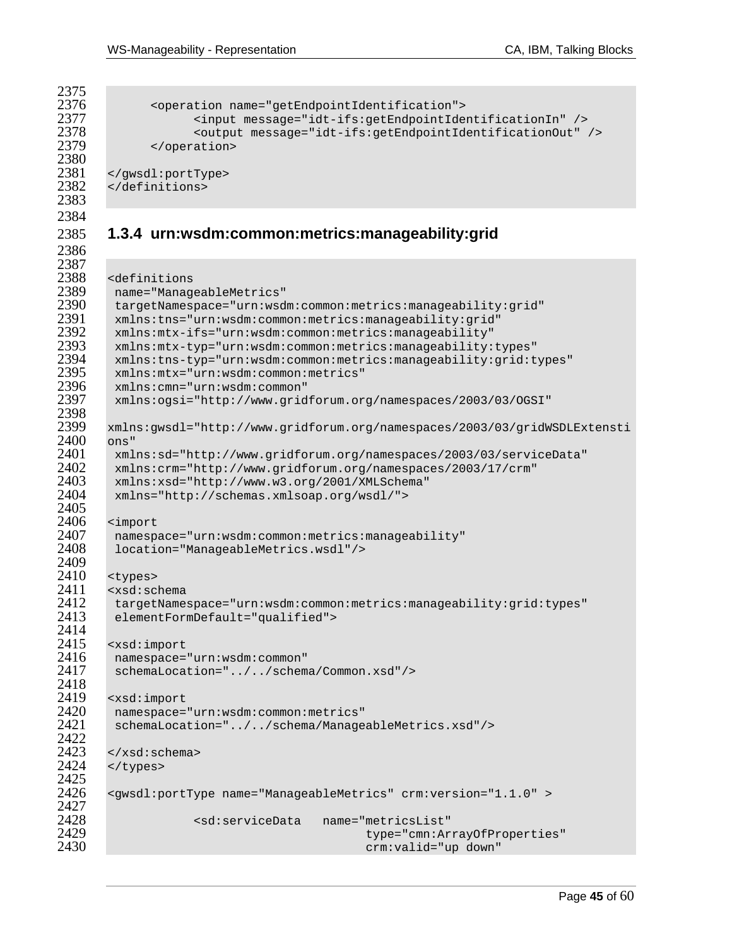```
2375<br>2376
2376 < operation name="getEndpointIdentification"><br>2377 <input message="idt-ifs:getEndpointIde
2377 <input message="idt-ifs:getEndpointIdentificationIn" /> 
2378 <output message="idt-ifs:getEndpointIdentificationOut" /> 
               </operation>
2380<br>2381
2381 </gwsdl:portType> 
        2382 </definitions> 
2383 
2384 
2385 1.3.4 urn:wsdm:common:metrics:manageability:grid 
2386 
2387<br>2388
2388 <definitions 
2389 name="ManageableMetrics" 
2390 targetNamespace="urn:wsdm:common:metrics:manageability:grid" 
2391 xmlns:tns="urn:wsdm:common:metrics:manageability:grid" 
2392 xmlns:mtx-ifs="urn:wsdm:common:metrics:manageability" 
2393 xmlns:mtx-typ="urn:wsdm:common:metrics:manageability:types" 
2394 xmlns:tns-typ="urn:wsdm:common:metrics:manageability:grid:types" 
2395 xmlns:mtx="urn:wsdm:common:metrics" 
2396 xmlns:cmn="urn:wsdm:common" 
         2397 xmlns:ogsi="http://www.gridforum.org/namespaces/2003/03/OGSI" 
2398<br>2399
       2399 xmlns:gwsdl="http://www.gridforum.org/namespaces/2003/03/gridWSDLExtensti
2400 ons" 
2401 xmlns:sd="http://www.gridforum.org/namespaces/2003/03/serviceData"<br>2402 xmlns:crm="http://www.gridforum.org/namespaces/2003/17/crm"
2402 xmlns:crm="http://www.gridforum.org/namespaces/2003/17/crm" 
2403 xmlns:xsd="http://www.w3.org/2001/XMLSchema" 
         2404 xmlns="http://schemas.xmlsoap.org/wsdl/"> 
2405<br>2406
2406 <import 
2407 namespace="urn:wsdm:common:metrics:manageability" 
         2408 location="ManageableMetrics.wsdl"/> 
2409<br>2410
2410 <types><br>2411 <xsd:sc
2411 <xsd:schema<br>2412 targetName
2412 targetNamespace="urn:wsdm:common:metrics:manageability:grid:types"<br>2413 elementFormDefault="qualified">
         elementFormDefault="qualified">
2414<br>2415
2415 <xsd:import 
2416 namespace="urn:wsdm:common" 
         schemaLocation="../../schema/Common.xsd"/>
2418<br>2419
2419 <xsd:import<br>2420 namespace=
2420 namespace="urn:wsdm:common:metrics" 
         2421 schemaLocation="../../schema/ManageableMetrics.xsd"/> 
2422<br>2423
2423 </xsd:schema><br>2424 </types>
        </types>
2425<br>2426
        <gwsdl:portType name="ManageableMetrics" crm:version="1.1.0" >
2427<br>2428
                     2428 <sd:serviceData name="metricsList" 
2429 type="cmn:ArrayOfProperties" 
                                                 crm: valid="up down"
```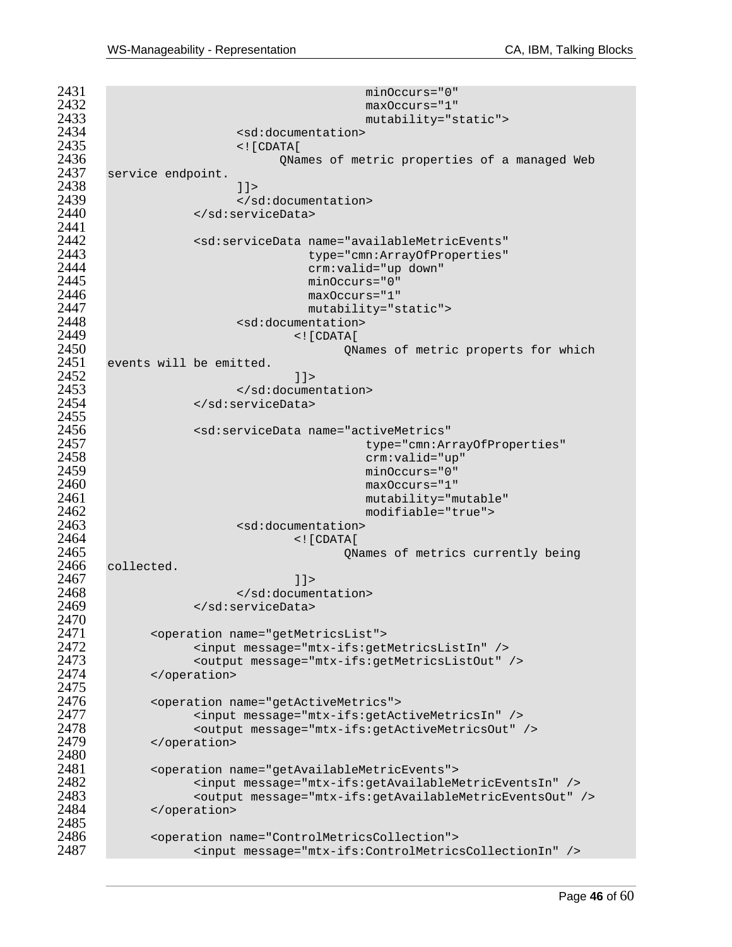minOccurs="0"<br> $2432$  maxOccurs="1" maxOccurs="1" mutability="static"> <sd:documentation> <![CDATA[ QNames of metric properties of a managed Web service endpoint.  $11>$ <br> $2439$   $(18)$ 2439 </sd:documentation><br>2440 </sd:serviceData> </sd:serviceData> <sd:serviceData name="availableMetricEvents" type="cmn:ArrayOfProperties" crm:valid="up down" minOccurs="0" maxOccurs="1" mutability="static"> 2448 <sd:documentation><br>2449 <sd:documentation> <![CDATA[ QNames of metric properts for which events will be emitted.  $1$ 2453 </sd:documentation><br>2454 </sd:serviceData> </sd:serviceData> 2455<br>2456 <sd:serviceData name="activeMetrics" type="cmn:ArrayOfProperties" crm:valid="up" minOccurs="0" maxOccurs="1" mutability="mutable" modifiable="true"> 2463 <sd:documentation><br>2464 <sd:documentation> <![CDATA[ QNames of metrics currently being 2466 collected.<br>2467  $1$ 2468 </sd:documentation><br>2469 </sd:serviceData> </sd:serviceData> <operation name="getMetricsList"> <input message="mtx-ifs:getMetricsListIn" /> 2473 <coutput message="mtx-ifs:getMetricsListOut" /><br>2474 </coveration> </operation> 2475<br>2476 <operation name="getActiveMetrics"> <input message="mtx-ifs:getActiveMetricsIn" /> 2478 <coutput message="mtx-ifs:getActiveMetricsOut" /><br>2479 </coeration> </operation> 2480<br>2481 <operation name="getAvailableMetricEvents"> <input message="mtx-ifs:getAvailableMetricEventsIn" /> <output message="mtx-ifs:getAvailableMetricEventsOut" /> </operation> 2485<br>2486 <operation name="ControlMetricsCollection"> <input message="mtx-ifs:ControlMetricsCollectionIn" />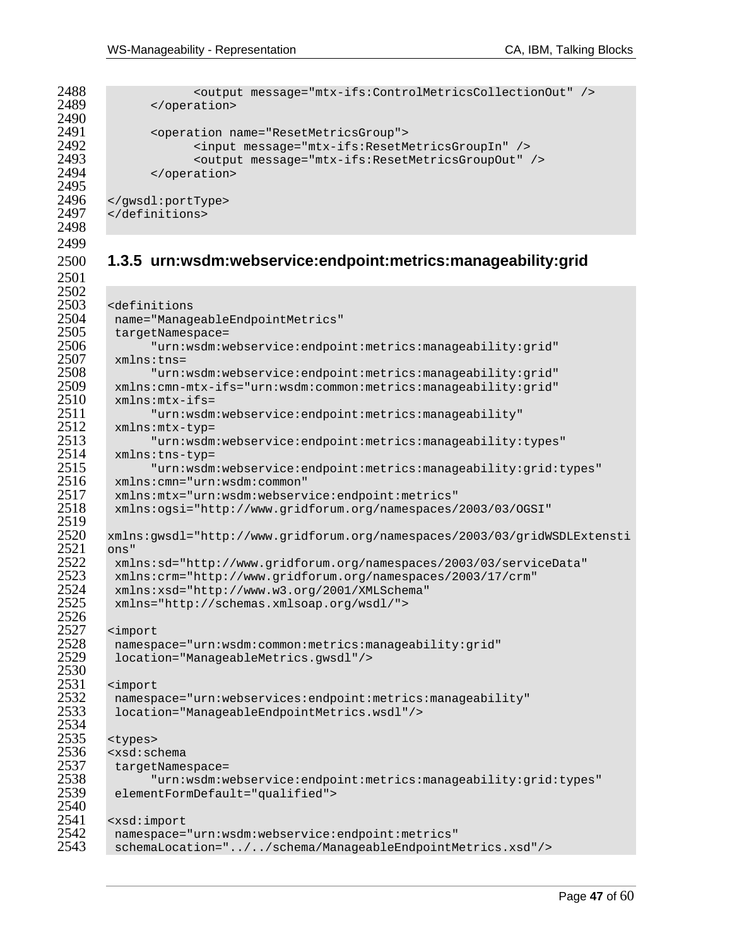```
2488 <output message="mtx-ifs:ControlMetricsCollectionOut" /><br>2489 </operation>
            </operation>
2491 <operation name="ResetMetricsGroup"> 
2492 <input message="mtx-ifs:ResetMetricsGroupIn" /> 
2493 <output message="mtx-ifs:ResetMetricsGroupOut" /> 
            </operation>
2496 </gwsdl:portType> 
      2497 </definitions>
```

```
2498 
2499
```
2490<br>2491

2495<br>2496

### **1.3.5 urn:wsdm:webservice:endpoint:metrics:manageability:grid**

```
2502<br>2503
2503 <definitions 
2504 name="ManageableEndpointMetrics" 
2505 targetNamespace=<br>2506 "urn:wsdm:w
2506 "urn:wsdm:webservice:endpoint:metrics:manageability:grid" 
2507 xmlns:tns= 
2508 "urn:wsdm:webservice:endpoint:metrics:manageability:grid" 
2509 xmlns:cmn-mtx-ifs="urn:wsdm:common:metrics:manageability:grid" 
2510 xmlns:mtx-ifs= 
2511 "urn:wsdm:webservice:endpoint:metrics:manageability"<br>2512 mmlns:mtx-typ=
2512 xmlns:mtx-typ=<br>2513 "urn:wsdm
2513 "urn:wsdm:webservice:endpoint:metrics:manageability:types" 
2514 xmlns:tns-typ= 
2515 "urn:wsdm:webservice:endpoint:metrics:manageability:grid:types" 
2516 xmlns:cmn="urn:wsdm:common" 
2517 xmlns:mtx="urn:wsdm:webservice:endpoint:metrics" 
        2518 xmlns:ogsi="http://www.gridforum.org/namespaces/2003/03/OGSI" 
2519<br>2520
       2520 xmlns:gwsdl="http://www.gridforum.org/namespaces/2003/03/gridWSDLExtensti
2521 ons"<br>2522 xml
2522 xmlns:sd="http://www.gridforum.org/namespaces/2003/03/serviceData" 
2523 xmlns:crm="http://www.gridforum.org/namespaces/2003/17/crm" 
2524 xmlns:xsd="http://www.w3.org/2001/XMLSchema" 
        2525 xmlns="http://schemas.xmlsoap.org/wsdl/"> 
2526<br>2527
2527 <import 
2528 namespace="urn:wsdm:common:metrics:manageability:grid" 
        2529 location="ManageableMetrics.gwsdl"/> 
2530<br>2531
2531 <import 
2532 namespace="urn:webservices:endpoint:metrics:manageability" 
        2533 location="ManageableEndpointMetrics.wsdl"/> 
2534<br>2535
2535 <types><br>2536 <xsd:sc
2536 <xsd∶schema<br>2537 targetName
2537 targetNamespace=<br>2538 "urn:wsdm:w
2538 "urn:wsdm:webservice:endpoint:metrics:manageability:grid:types" 
        elementFormDefault="qualified">
2540<br>2541
       2541 <xsd:import 
2542 namespace="urn:wsdm:webservice:endpoint:metrics" 
        2543 schemaLocation="../../schema/ManageableEndpointMetrics.xsd"/>
```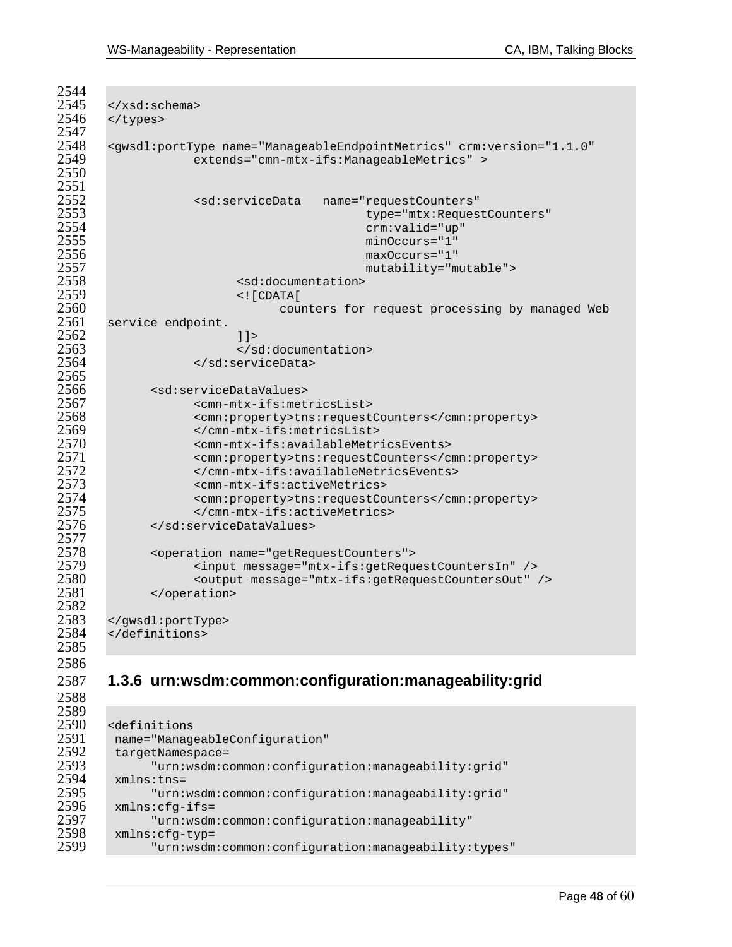| <br>              |                                                                                                                                                                     |
|-------------------|---------------------------------------------------------------------------------------------------------------------------------------------------------------------|
|                   | <gwsdl:porttype <br="" crm:version="1.1.0" name="ManageableEndpointMetrics">extends="cmn-mtx-ifs:ManageableMetrics" &gt;</gwsdl:porttype>                           |
|                   | <sd:servicedata<br>name="requestCounters"<br/>type="mtx:RequestCounters"</sd:servicedata<br>                                                                        |
|                   | $crm:$ valid="up"<br>$minOccurs = "1"$<br>$maxOccurs = "1"$                                                                                                         |
|                   | mutability="mutable"><br><sd:documentation><br/><math>\leq</math>! [CDATA [</sd:documentation>                                                                      |
| service endpoint. | counters for request processing by managed Web                                                                                                                      |
|                   | 11                                                                                                                                                                  |
|                   |                                                                                                                                                                     |
|                   |                                                                                                                                                                     |
|                   |                                                                                                                                                                     |
|                   | <sd:servicedatavalues></sd:servicedatavalues>                                                                                                                       |
|                   | <cmn-mtx-ifs:metricslist></cmn-mtx-ifs:metricslist>                                                                                                                 |
|                   | <cmn:property>tns:requestCounters</cmn:property>                                                                                                                    |
|                   | <br><cmn-mtx-ifs:availablemetricsevents></cmn-mtx-ifs:availablemetricsevents>                                                                                       |
|                   | <cmn:property>tns:requestCounters</cmn:property>                                                                                                                    |
|                   |                                                                                                                                                                     |
|                   | <cmn-mtx-ifs:activemetrics></cmn-mtx-ifs:activemetrics>                                                                                                             |
|                   | <cmn:property>tns:requestCounters</cmn:property>                                                                                                                    |
|                   |                                                                                                                                                                     |
|                   |                                                                                                                                                                     |
|                   | <operation name="getRequestCounters"><br/><input message="mtx-ifs:getRequestCountersIn"/><br/><output message="mtx-ifs:getRequestCountersOut"></output></operation> |
|                   |                                                                                                                                                                     |
|                   |                                                                                                                                                                     |
|                   |                                                                                                                                                                     |
|                   | 1.3.6 urn:wsdm:common:configuration:manageability:grid                                                                                                              |

```
2589<br>2590
2590 <definitions<br>2591 name="Manage
2591 name="ManageableConfiguration"<br>2592 targetNamespace=
2592 targetNamespace= 
2593 "urn:wsdm:common:configuration:manageability:grid"<br>2594 mulns:tns=
2594 xmlns:tns=<br>2595 "urn:
2595 "urn:wsdm:common:configuration:manageability:grid"<br>2596 xmlns:cfg-ifs=
2596 xmlns:cfg-ifs=<br>2597 "urn:wsdm
2597 "urn:wsdm:common:configuration:manageability"<br>2598 mlns:cfg-typ=
2598 xmlns:cfg-typ=<br>2599 "urn:wsdm
                  2599 "urn:wsdm:common:configuration:manageability:types"
```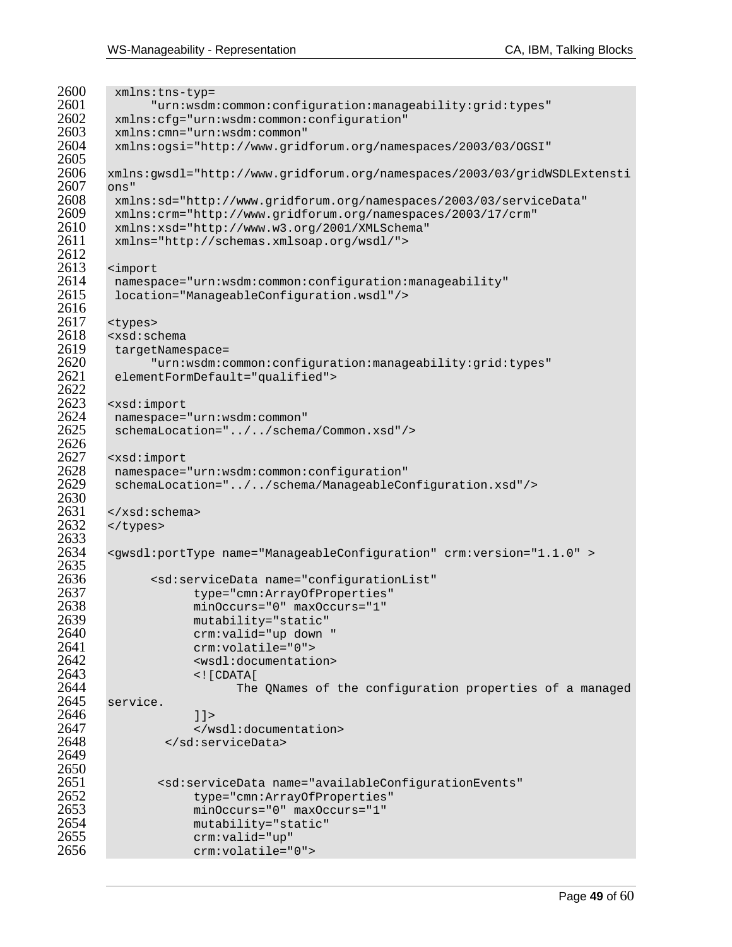$2600$  xmlns:tns-typ=<br> $2601$  "urn:wsdm 2601 "urn:wsdm:common:configuration:manageability:grid:types" 2602 xmlns:cfg="urn:wsdm:common:configuration" 2603 xmlns:cmn="urn:wsdm:common" 2604 xmlns:ogsi="http://www.gridforum.org/namespaces/2003/03/OGSI" 2605<br>2606 2606 xmlns:gwsdl="http://www.gridforum.org/namespaces/2003/03/gridWSDLExtensti  $\frac{2607}{2608}$  ons" 2608 xmlns:sd="http://www.gridforum.org/namespaces/2003/03/serviceData" 2609 xmlns:crm="http://www.gridforum.org/namespaces/2003/17/crm" 2610 xmlns:xsd="http://www.w3.org/2001/XMLSchema" 2611 xmlns="http://schemas.xmlsoap.org/wsdl/"> 2612 2613 <import<br>2614 namesp  $2614$  namespace="urn:wsdm:common:configuration:manageability"<br> $2615$  location="ManageableConfiguration.wsdl"/> 2615 location="ManageableConfiguration.wsdl"/> 2616<br>2617 2617 <types><br>2618 <xsd:sc 2618 <xsd:schema 2619 targetNamespace= 2620 "urn:wsdm:common:configuration:manageability:grid:types" elementFormDefault="qualified"> 2622<br>2623 2623 <xsd:import 2624 namespace="urn:wsdm:common" schemaLocation="../../schema/Common.xsd"/> 2626<br>2627 2627 <xsd:import<br>2628 namespace= 2628 namespace="urn:wsdm:common:configuration"<br>2629 schemaLocation="../../schema/ManageableCo 2629 schemaLocation="../../schema/ManageableConfiguration.xsd"/> 2630<br>2631 2631 </xsd:schema><br>2632 </types> </types> 2633<br>2634 2634 <gwsdl:portType name="ManageableConfiguration" crm:version="1.1.0" > 2635<br>2636 2636 <sd:serviceData name="configurationList" 2637 type="cmn:ArrayOfProperties" 2638 minOccurs="0" maxOccurs="1" 2639 mutability="static" 2640 crm:valid="up down " 2641 crm:volatile="0"> 2642 <wsdl:documentation> 2643 <![CDATA[ 2644 The QNames of the configuration properties of a managed service. service.  $2646$   $11>$ <br> $2647$   $\leq N$ 2647 </wsdl:documentation><br>2648 </sd:serviceData> 2648 </sd:serviceData> 2649 2650 2651 <sd:serviceData name="availableConfigurationEvents"<br>2652 type="cmn:ArravOfProperties" 2652 type="cmn:ArrayOfProperties"<br>2653 minOccurs="0" maxOccurs="1" 2653 minOccurs="0" maxOccurs="1" 2654 mutability="static"<br>2655 crm:valid="up" 2655 crm:valid="up"<br>2656 crm:volatile=" 2656 crm:volatile="0">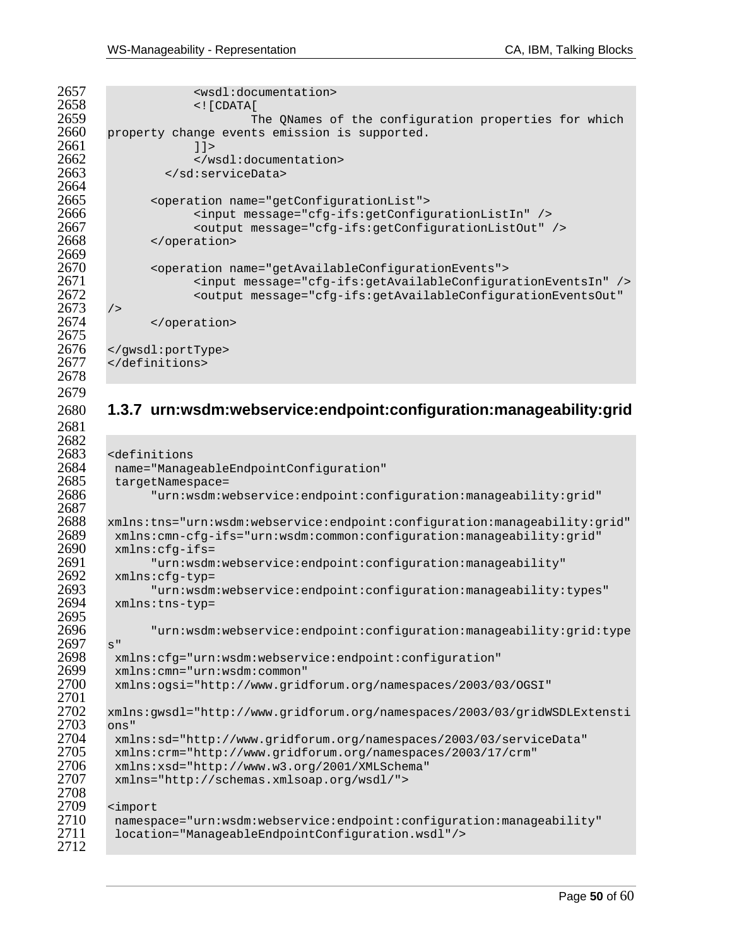```
2657 (and the state of the state of the state of the state of the state of the state of the state of the state of the state of the state of the state of the state of the state of the state of the state of the state of the 
2658 <![CDATA[ 
2659 The QNames of the configuration properties for which 
        property change events emission is supported.
2661 1 ><br>2662 < /w
2662 </wsdl:documentation> 
                   2663 </sd:serviceData> 
2664<br>2665
2665 <operation name="getConfigurationList"> 
2666 <input message="cfg-ifs:getConfigurationListIn" /> 
                        2667 <output message="cfg-ifs:getConfigurationListOut" /> 
2668 </operation> 
2669 
2670 < operation name="getAvailableConfigurationEvents"><br>2671 < input message="cfg-ifs:getAvailableConfigur
2671 <input message="cfg-ifs:getAvailableConfigurationEventsIn" /> 
                        2672 <output message="cfg-ifs:getAvailableConfigurationEventsOut" 
2673 /><br>2674
                </operation>
2675<br>2676
         2676 </gwsdl:portType> 
2677 </definitions> 
2678
```
### **1.3.7 urn:wsdm:webservice:endpoint:configuration:manageability:grid**

```
2682<br>2683
2683 <definitions 
2684 name="ManageableEndpointConfiguration" 
2685 targetNamespace=<br>2686 "urn:wsdm:w
              2686 "urn:wsdm:webservice:endpoint:configuration:manageability:grid" 
2687<br>2688
2688 xmlns:tns="urn:wsdm:webservice:endpoint:configuration:manageability:grid" 
2689 xmlns:cmn-cfg-ifs="urn:wsdm:common:configuration:manageability:grid" 
2690 xmlns:cfg-ifs= 
2691 "urn:wsdm:webservice:endpoint:configuration:manageability" 
2692 xmlns:cfg-typ= 
2693 "urn:wsdm:webservice:endpoint:configuration:manageability:types" 
        2694 xmlns:tns-typ= 
2695<br>2696
              2696 "urn:wsdm:webservice:endpoint:configuration:manageability:grid:type
\frac{2697}{2698} s"
2698 xmlns:cfg="urn:wsdm:webservice:endpoint:configuration" 
2699 xmlns:cmn="urn:wsdm:common" 
        2700 xmlns:ogsi="http://www.gridforum.org/namespaces/2003/03/OGSI" 
2701<br>2702
       2702 xmlns:gwsdl="http://www.gridforum.org/namespaces/2003/03/gridWSDLExtensti
2703 ons" 
2704 xmlns:sd="http://www.gridforum.org/namespaces/2003/03/serviceData" 
2705 xmlns:crm="http://www.gridforum.org/namespaces/2003/17/crm" 
2706 xmlns:xsd="http://www.w3.org/2001/XMLSchema" 
        2707 xmlns="http://schemas.xmlsoap.org/wsdl/"> 
2708<br>2709
2709 <import 
        2710 namespace="urn:wsdm:webservice:endpoint:configuration:manageability" 
2711 location="ManageableEndpointConfiguration.wsdl"/>
2712
```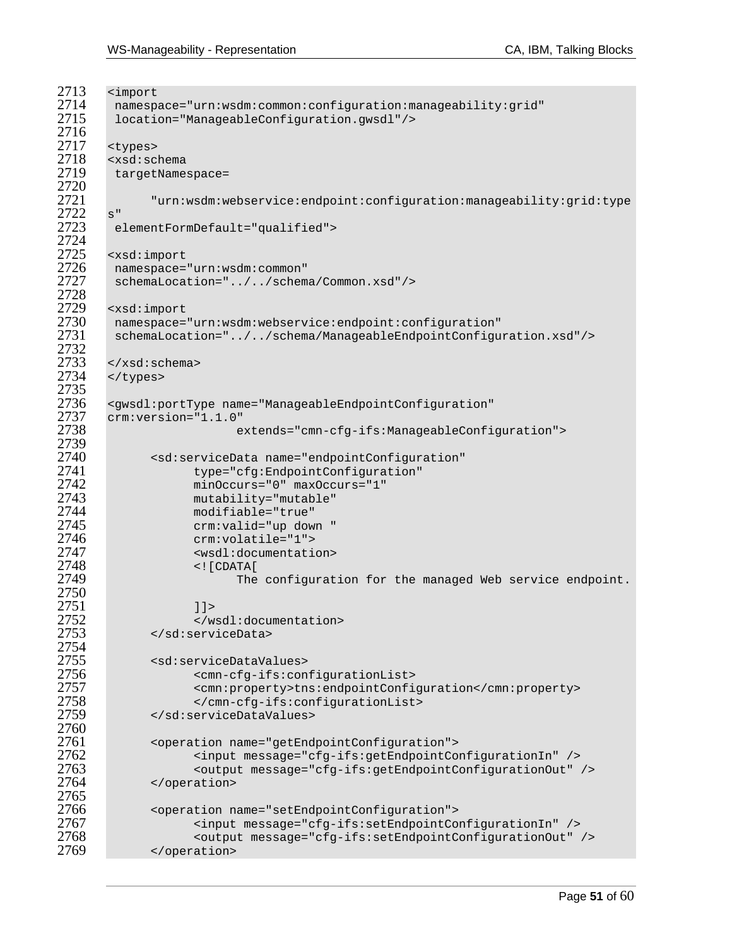```
2713 <import<br>2714 namesp
2714 namespace="urn:wsdm:common:configuration:manageability:grid"<br>2715 location="ManageableConfiguration.gwsdl"/>
         2715 location="ManageableConfiguration.gwsdl"/> 
2716<br>2717
2717 <types> 
2718 <xsd:schema 
         targetNamespace=
2720<br>2721
               2721 "urn:wsdm:webservice:endpoint:configuration:manageability:grid:type
\frac{2722}{2723} s"
         elementFormDefault="qualified">
2724 
2725 <xsd:import<br>2726 namespace=
2726 namespace="urn:wsdm:common"<br>2727 schemaLocation="../../schem
         schemaLocation="../../schema/Common.xsd"/>
2728<br>2729
2729 <xsd:import<br>2730 namespace=
2730 namespace="urn:wsdm:webservice:endpoint:configuration" 
         2731 schemaLocation="../../schema/ManageableEndpointConfiguration.xsd"/> 
2732<br>2733
2733 </xsd:schema><br>2734 </types>
        </types>
2735<br>2736
2736 <gwsdl:portType name="ManageableEndpointConfiguration" 
2737 crm:version="1.1.0" 
                            extends="cmn-cfg-ifs:ManageableConfiguration">
2739<br>2740
2740 <sd:serviceData name="endpointConfiguration"<br>2741 type="cfg:EndpointConfiguration"
2741 type="cfg:EndpointConfiguration"<br>2742 minOccurs="0" maxOccurs="1"
2742 minOccurs="0" maxOccurs="1" 
2743 mutability="mutable" 
2744 modifiable="true" 
2745 crm:valid="up down " 
2746 crm:volatile="1"> 
2747 <wsdl:documentation> 
2748 <![CDATA[ 
                            The configuration for the managed Web service endpoint.
2750 
2751 12752 </wsdl:documentation><br>2753 </sd:serviceData>
               2753 </sd:serviceData> 
2754<br>2755
2755 <sd:serviceDataValues> 
2756 <cmn-cfg-ifs:configurationList> 
2757 <cmn:property>tns:endpointConfiguration</cmn:property> 
2758 </cmn-cfg-ifs:configurationList><br>2759 </sd:serviceDataValues>
               2759 </sd:serviceDataValues> 
2760<br>2761
2761 < operation name="getEndpointConfiguration"><br>2762 < input message="cfg-ifs:getEndpointCo
2762 <input message="cfg-ifs:getEndpointConfigurationIn" /> 
2763 <output message="cfg-ifs:getEndpointConfigurationOut" /> 
              </operation>
2765<br>2766
2766 <operation name="setEndpointConfiguration"><br>2767 - <input message="cfg-ifs:setEndpointCo
2767 <input message="cfg-ifs:setEndpointConfigurationIn" /> 
2768 <coutput message="cfg-ifs:setEndpointConfigurationOut" /><br>2769 </coeration>
               </operation>
```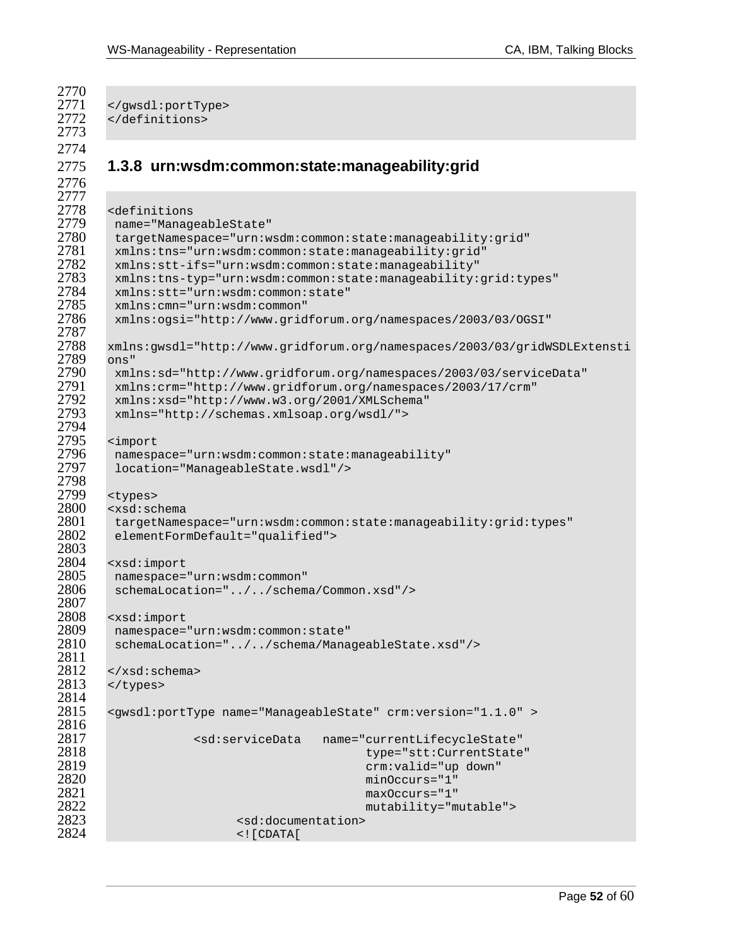2770<br>2771 2771 </gwsdl:portType><br>2772 </definitions> </definitions> **1.3.8 urn:wsdm:common:state:manageability:grid**  <definitions 2779 name="ManageableState"<br>2780 tarqetNamespace="urn:w targetNamespace="urn:wsdm:common:state:manageability:grid" xmlns:tns="urn:wsdm:common:state:manageability:grid" xmlns:stt-ifs="urn:wsdm:common:state:manageability" 2783 xmlns:tns-typ="urn:wsdm:common:state:manageability:grid:types"<br>2784 xmlns:stt="urn:wsdm:common:state" xmlns:stt="urn:wsdm:common:state" xmlns:cmn="urn:wsdm:common" xmlns:ogsi="http://www.gridforum.org/namespaces/2003/03/OGSI" 2787<br>2788 xmlns:gwsdl="http://www.gridforum.org/namespaces/2003/03/gridWSDLExtensti 2789 ons"<br>2790 xml xmlns:sd="http://www.gridforum.org/namespaces/2003/03/serviceData" xmlns:crm="http://www.gridforum.org/namespaces/2003/17/crm" xmlns:xsd="http://www.w3.org/2001/XMLSchema" xmlns="http://schemas.xmlsoap.org/wsdl/"> 2794<br>2795 <import namespace="urn:wsdm:common:state:manageability" location="ManageableState.wsdl"/> 2798<br>2799 2799 <types><br>2800 <xsd:sc <xsd:schema 2801 targetNamespace="urn:wsdm:common:state:manageability:grid:types"<br>2802 elementFormDefault="qualified"> elementFormDefault="qualified"> 2803<br>2804 <xsd:import namespace="urn:wsdm:common" schemaLocation="../../schema/Common.xsd"/> 2808 <xsd:import<br>2809 namespace= namespace="urn:wsdm:common:state" schemaLocation="../../schema/ManageableState.xsd"/> 2811<br>2812  $2812 \times /xsd:$ schema><br> $2813 \times /t$ ypes> </types> 2814<br>2815 <gwsdl:portType name="ManageableState" crm:version="1.1.0" > <sd:serviceData name="currentLifecycleState" type="stt:CurrentState" crm:valid="up down" minOccurs="1" maxOccurs="1" mutability="mutable"> <sd:documentation>  $\leq$  [CDATA]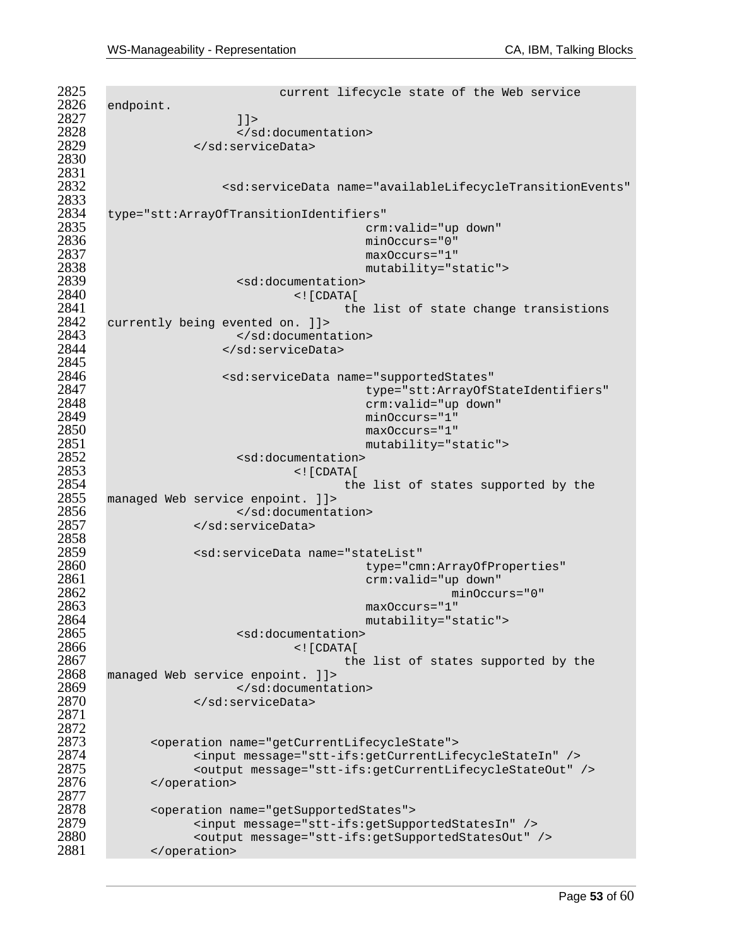2825 current lifecycle state of the Web service<br>2826 endpoint. endpoint.  $11>$ <br> $2828$   $\leq$ /s 2828 </sd:documentation><br>2829 </sd:serviceData> </sd:serviceData> 2831<br>2832 <sd:serviceData name="availableLifecycleTransitionEvents" 2833<br>2834 type="stt:ArrayOfTransitionIdentifiers" crm:valid="up down" minOccurs="0" maxOccurs="1" mutability="static"> 2839 <sd:documentation><br>2840 <sd:documentation> <![CDATA[ the list of state change transistions<br> $2842$  currently being evented on. 11> currently being evented on. ]]> 2843 </sd:documentation><br>2844 </sd:serviceData> </sd:serviceData> 2845<br>2846 <sd:serviceData name="supportedStates" type="stt:ArrayOfStateIdentifiers" crm:valid="up down" minOccurs="1" maxOccurs="1" mutability="static"> <sd:documentation> <![CDATA[ the list of states supported by the managed Web service enpoint. ]]> 2856 </sd:documentation><br>2857 </sd:serviceData> </sd:serviceData> 2858<br>2859 <sd:serviceData name="stateList" type="cmn:ArrayOfProperties" crm:valid="up down" minOccurs="0" maxOccurs="1" mutability="static"> <sd:documentation> <![CDATA[ the list of states supported by the  $2868$  managed Web service enpoint. ]]> managed Web service enpoint. ]]> 2869 </sd:documentation><br>2870 </sd:serviceData> </sd:serviceData> 2872<br>2873 <operation name="getCurrentLifecycleState"> <input message="stt-ifs:getCurrentLifecycleStateIn" /> <output message="stt-ifs:getCurrentLifecycleStateOut" /> </operation> 2877<br>2878 2878 <operation name="getSupportedStates"><br>2879 <input message="stt-ifs:getSupp <input message="stt-ifs:getSupportedStatesIn" /> 2880 < coutput message="stt-ifs:getSupportedStatesOut" /><br>2881 </ operation> </operation>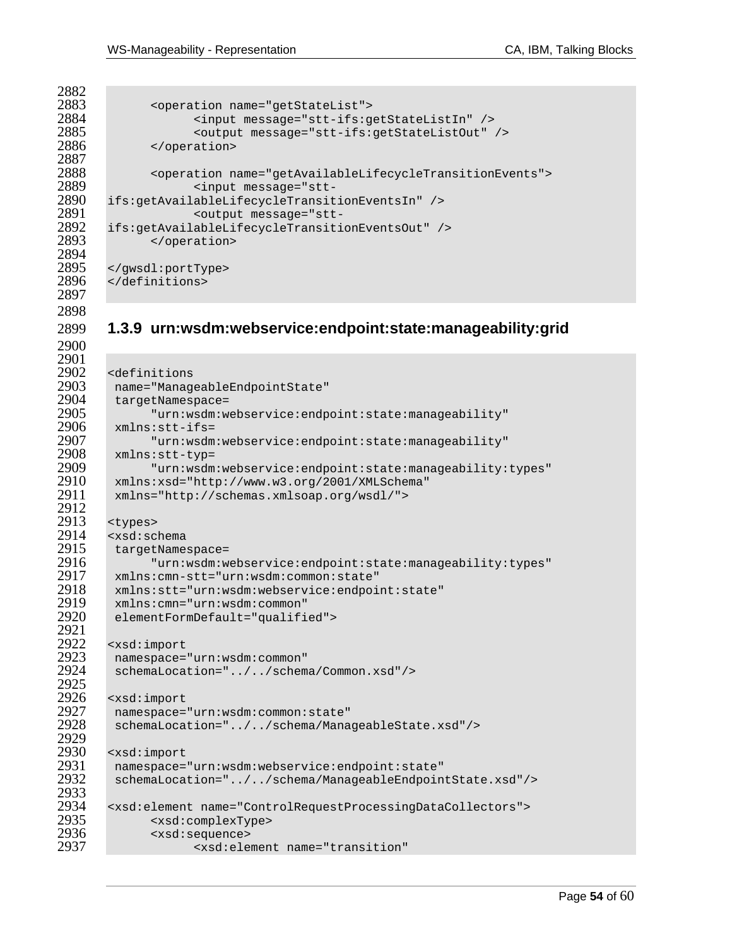2882<br>2883 2887<br>2888 2894<br>2895 

```
2883 <operation name="getStateList"><br>2884 <a>
cinput message="stt-ifs:g
2884 <input message="stt-ifs:getStateListIn" /><br>2885 <output message="stt-ifs:getStateListOut"
2885 <coutput message="stt-ifs:getStateListOut" /><br>2886 </coveration>
                </operation>
2888 <operation name="getAvailableLifecycleTransitionEvents"><br>2889 <input message="stt-
-2889 <input message="stt<br>2890 ifs:getAvailableLifecycleTransit
2890 ifs:getAvailableLifecycleTransitionEventsIn" /> 
2891 <output message="stt-
2892 ifs:getAvailableLifecycleTransitionEventsOut" /> 
                </operation>
2895 </gwsdl:portType><br>2896 </definitions>
         </definitions>
```
### **1.3.9 urn:wsdm:webservice:endpoint:state:manageability:grid**

| ムノワエ |                                                                           |
|------|---------------------------------------------------------------------------|
| 2902 | <definitions< th=""></definitions<>                                       |
| 2903 | name="ManageableEndpointState"                                            |
| 2904 | targetNamespace=                                                          |
| 2905 | "urn:wsdm:webservice:endpoint:state:manageability"                        |
| 2906 | $xmlns:stt-ifs=$                                                          |
| 2907 | "urn:wsdm:webservice:endpoint:state:manageability"                        |
| 2908 | xmlns:stt-typ=                                                            |
| 2909 | "urn:wsdm:webservice:endpoint:state:manageability:types"                  |
| 2910 | xmlns:xsd="http://www.w3.org/2001/XMLSchema"                              |
| 2911 | xmlns="http://schemas.xmlsoap.org/wsdl/">                                 |
| 2912 |                                                                           |
| 2913 | <types></types>                                                           |
| 2914 | $<$ xsd: schema                                                           |
| 2915 | targetNamespace=                                                          |
| 2916 | "urn:wsdm:webservice:endpoint:state:manageability:types"                  |
| 2917 | xmlns: cmn-stt="urn: wsdm: common: state"                                 |
| 2918 | xmlns:stt="urn:wsdm:webservice:endpoint:state"                            |
| 2919 | xmlns: cmn="urn: wsdm: common"                                            |
| 2920 | elementFormDefault="qualified">                                           |
| 2921 |                                                                           |
| 2922 | <xsd:import< th=""></xsd:import<>                                         |
| 2923 | namespace="urn:wsdm:common"                                               |
| 2924 | schemaLocation="//schema/Common.xsd"/>                                    |
| 2925 |                                                                           |
| 2926 | <xsd:import< th=""></xsd:import<>                                         |
| 2927 | namespace="urn:wsdm:common:state"                                         |
| 2928 | schemaLocation="//schema/ManageableState.xsd"/>                           |
| 2929 |                                                                           |
| 2930 | <xsd:import< th=""></xsd:import<>                                         |
| 2931 | namespace="urn:wsdm:webservice:endpoint:state"                            |
| 2932 | schemaLocation="//schema/ManageableEndpointState.xsd"/>                   |
| 2933 |                                                                           |
| 2934 | <xsd:element name="ControlRequestProcessingDataCollectors"></xsd:element> |
| 2935 | <xsd:complextype></xsd:complextype>                                       |
| 2936 | <xsd:sequence></xsd:sequence>                                             |
| 2937 | <xsd:element <="" name="transition" th=""></xsd:element>                  |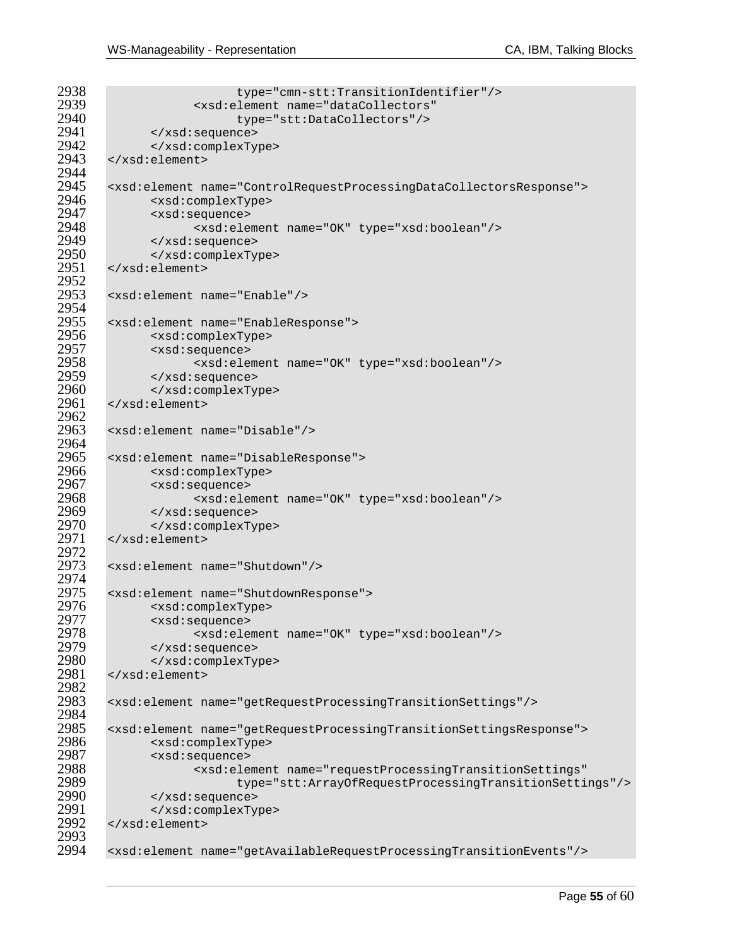```
2938 type="cmn-stt:TransitionIdentifier"/><br>2939 stad:element.name="dataCollectors"
2939 <br>
2940 \leftarrow xsd:element name="dataCollectors"/>
2940 type="stt:DataCollectors"/> 
2941 </xsd:sequence> 
2942 </xsd:complexType> 
      2943 </xsd:element> 
2944<br>2945
2945 <xsd:element name="ControlRequestProcessingDataCollectorsResponse"> 
2946 <xsd:complexType> 
2947 <xsd:sequence> 
2948 <xsd:element name="OK" type="xsd:boolean"/> 
2949 </xsd:sequence> 
2950 </xsd:complexType> 
      2951 </xsd:element> 
2952<br>2953
      2953 <xsd:element name="Enable"/> 
2954<br>2955
2955 <xsd:element name="EnableResponse"> 
2956 <xsd:complexType> 
2957 <xsd:sequence> 
2958 <xsd:element name="OK" type="xsd:boolean"/> 
2959 </xsd:sequence> 
2960 </xsd:complexType> 
      2961 </xsd:element> 
2962<br>2963
      2963 <xsd:element name="Disable"/> 
2964<br>2965
2965 <xsd:element name="DisableResponse"> 
2966 <xsd:complexType> 
2967 <xsd:sequence> 
2968 <xsd:element name="OK" type="xsd:boolean"/> 
2969 </xsd:sequence> 
2970 </xsd:complexType> 
      </xsd:element>
2972<br>2973
      2973 <xsd:element name="Shutdown"/> 
2974<br>2975
2975 <xsd:element name="ShutdownResponse"> 
2976 <xsd:complexType> 
2977 <xsd:sequence> 
2978 <xsd:element name="OK" type="xsd:boolean"/> 
2979 </xsd:sequence> 
2980 </xsd:complexType> 
      2981 </xsd:element> 
2982<br>2983
      2983 <xsd:element name="getRequestProcessingTransitionSettings"/> 
2984<br>2985
2985 <xsd:element name="getRequestProcessingTransitionSettingsResponse"> 
2986 <xsd:complexType> 
2987 <xsd:sequence> 
2988 <xsd:element name="requestProcessingTransitionSettings" 
2989 type="stt:ArrayOfRequestProcessingTransitionSettings"/> 
2990 </xsd:sequence> 
2991 </xsd:complexType> 
      2992 </xsd:element> 
2993<br>2994
      2994 <xsd:element name="getAvailableRequestProcessingTransitionEvents"/>
```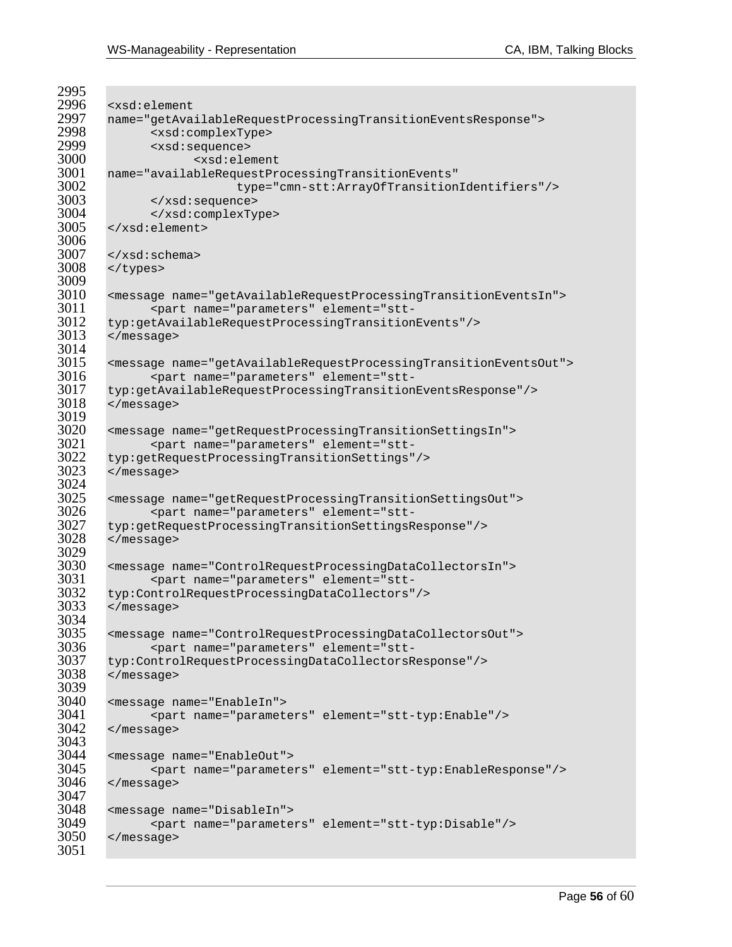```
2995<br>2996
2996 <xsd:element<br>2997 name="getAva
2997 name="getAvailableRequestProcessingTransitionEventsResponse"> 
2998 <xsd:complexType> 
2999 <xsd:sequence> 
3000 <xsd:element 
3001 name="availableRequestProcessingTransitionEvents" 
3002 type="cmn-stt:ArrayOfTransitionIdentifiers"/> 
3003 </xsd:sequence> 
3004 </xsd:complexType> 
       3005 </xsd:element> 
3006<br>3007
3007 </xsd:schema> 
       </types>
3009<br>3010
3010 <message name="getAvailableRequestProcessingTransitionEventsIn"> 
3011 <part name="parameters" element="stt-
3012 typ:getAvailableRequestProcessingTransitionEvents"/> 
       3013 </message> 
3014<br>3015
3015 <message name="getAvailableRequestProcessingTransitionEventsOut"> 
3016 <part name="parameters" element="stt-
3017 typ:getAvailableRequestProcessingTransitionEventsResponse"/> 
       </message>
3019<br>3020
3020 <message name="getRequestProcessingTransitionSettingsIn"> 
3021 <part name="parameters" element="stt-
3022 typ:getRequestProcessingTransitionSettings"/><br>3023 </message>
       3023 </message> 
3024<br>3025
3025 <message name="getRequestProcessingTransitionSettingsOut"> 
3026 <part name="parameters" element="stt-
3027 typ:getRequestProcessingTransitionSettingsResponse"/> 
       </message>
3029<br>3030
3030 <message name="ControlRequestProcessingDataCollectorsIn"> 
3031 <part name="parameters" element="stt-
3032 typ:ControlRequestProcessingDataCollectors"/><br>3033 </message>
       3033 </message> 
3034<br>3035
3035 <message name="ControlRequestProcessingDataCollectorsOut"> 
3036 <part name="parameters" element="stt-
3037 typ:ControlRequestProcessingDataCollectorsResponse"/> 
       3038 </message> 
3039<br>3040
3040 <message name="EnableIn"> 
3041 <part name="parameters" element="stt-typ:Enable"/> 
       3042 </message> 
3043<br>3044
3044 <message name="EnableOut"> 
3045 <part name="parameters" element="stt-typ:EnableResponse"/> 
       </message>
3047<br>3048
3048 <message name="DisableIn"> 
3049 <part name="parameters" element="stt-typ:Disable"/> 
       3050 </message> 
3051
```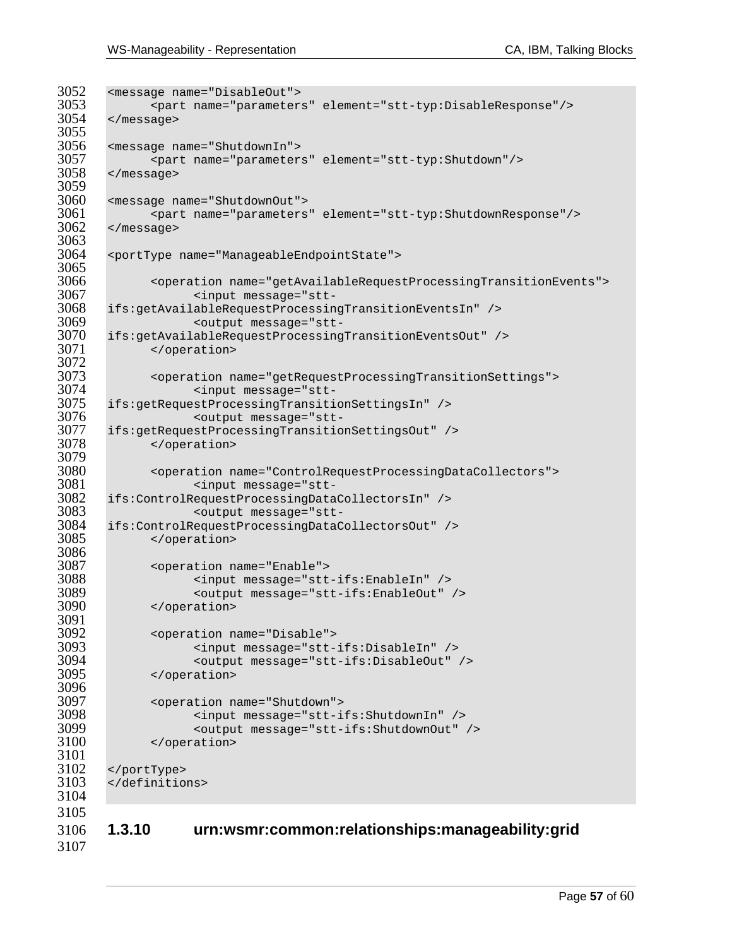```
3052 <message name="DisableOut"> 
3053 <part name="parameters" element="stt-typ:DisableResponse"/> 
       </message>
3055<br>3056
3056 <message name="ShutdownIn"> 
3057 <part name="parameters" element="stt-typ:Shutdown"/> 
       3058 </message> 
3059<br>3060
3060 <message name="ShutdownOut"> 
3061 <part name="parameters" element="stt-typ:ShutdownResponse"/><br>3062 </message>
       3062 </message> 
3063 
3064 <portType name="ManageableEndpointState"> 
3065 
3066 <operation name="getAvailableRequestProcessingTransitionEvents"> 
-3067 <input message="stt<br>3068 ifs:getAvailableRequestProcessin
3068 ifs:getAvailableRequestProcessingTransitionEventsIn" /> 
3069 <output message="stt-
3070 ifs:getAvailableRequestProcessingTransitionEventsOut" /> 
            </operation>
3072<br>3073
3073 <operation name="getRequestProcessingTransitionSettings"> 
3074 <input message="stt-
3075 ifs:getRequestProcessingTransitionSettingsIn" /> 
3076 <output message="stt-
3077 ifs:getRequestProcessingTransitionSettingsOut" /> 
            3078 </operation> 
3079<br>3080
3080 <operation name="ControlRequestProcessingDataCollectors"> 
                  3081 <input message="stt-
3082 ifs:ControlRequestProcessingDataCollectorsIn" /> 
-3083 <output message="stt<br>3084 ifs:ControlRequestProcessingDataC
3084 ifs:ControlRequestProcessingDataCollectorsOut" /> 
            </operation>
3086<br>3087
3087 <operation name="Enable"> 
3088 <input message="stt-ifs:EnableIn" /> 
3089 <output message="stt-ifs:EnableOut" /> 
            </operation>
3091<br>3092
3092 <operation name="Disable"> 
3093 <input message="stt-ifs:DisableIn" /> 
3094 <output message="stt-ifs:DisableOut" /> 
            3095 </operation> 
3096<br>3097
3097 <operation name="Shutdown"> 
3098 <input message="stt-ifs:ShutdownIn" /> 
3099 <output message="stt-ifs:ShutdownOut" /> 
             </operation>
3101 
3102 </portType> 
      </definitions>
3104 
3105 
3106 1.3.10 urn:wsmr:common:relationships:manageability:grid 
3107
```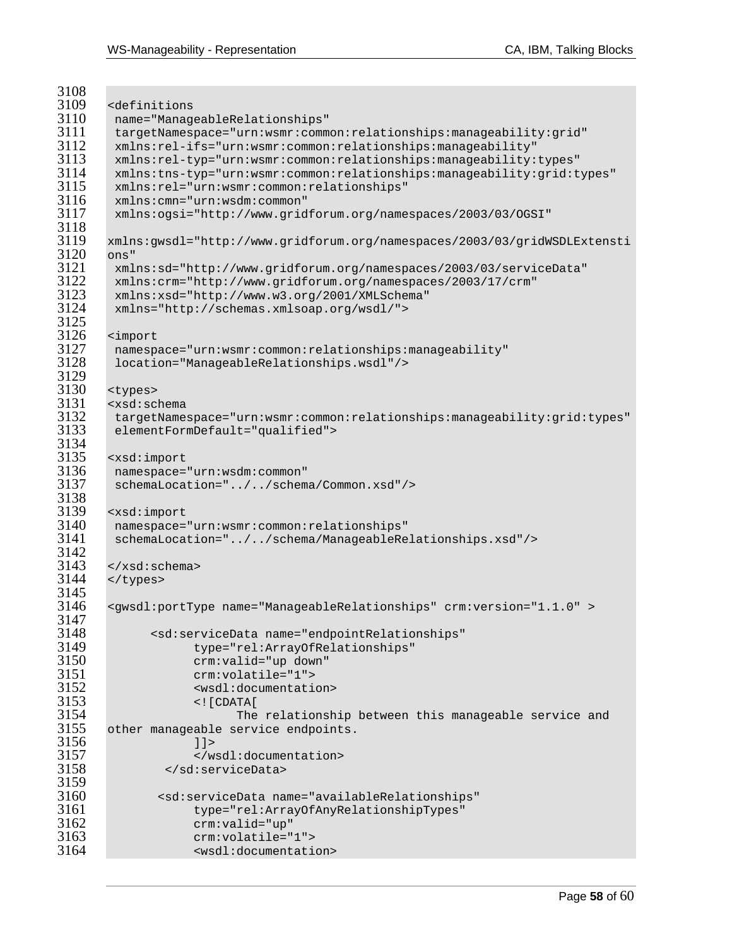```
3108<br>3109
3109 <definitions 
3110 name="ManageableRelationships" 
3111 targetNamespace="urn:wsmr:common:relationships:manageability:grid" 
3112 xmlns:rel-ifs="urn:wsmr:common:relationships:manageability" 
3113 xmlns:rel-typ="urn:wsmr:common:relationships:manageability:types" 
3114 xmlns:tns-typ="urn:wsmr:common:relationships:manageability:grid:types" 
3115 xmlns:rel="urn:wsmr:common:relationships" 
3116 xmlns:cmn="urn:wsdm:common" 
        3117 xmlns:ogsi="http://www.gridforum.org/namespaces/2003/03/OGSI" 
3118<br>3119
       3119 xmlns:gwsdl="http://www.gridforum.org/namespaces/2003/03/gridWSDLExtensti
3120 ons" 
3121 xmlns:sd="http://www.gridforum.org/namespaces/2003/03/serviceData" 
3122 xmlns:crm="http://www.gridforum.org/namespaces/2003/17/crm" 
3123 xmlns:xsd="http://www.w3.org/2001/XMLSchema" 
        3124 xmlns="http://schemas.xmlsoap.org/wsdl/"> 
3125<br>3126
3126 <import 
3127 namespace="urn:wsmr:common:relationships:manageability" 
        3128 location="ManageableRelationships.wsdl"/> 
3129<br>3130
3130 <types> 
3131 <xsd:schema 
3132 targetNamespace="urn:wsmr:common:relationships:manageability:grid:types" 
        elementFormDefault="qualified">
3134<br>3135
3135 <xsd:import 
3136 namespace="urn:wsdm:common" 
        schemaLocation="../../schema/Common.xsd"/>
3138<br>3139
3139 <xsd:import 
3140 namespace="urn:wsmr:common:relationships" 
        3141 schemaLocation="../../schema/ManageableRelationships.xsd"/> 
3142<br>3143
3143 < x \times xsd:schema><br>3144 < x \times y</types>
3145<br>3146
       3146 <gwsdl:portType name="ManageableRelationships" crm:version="1.1.0" > 
3147<br>3148
3148 <sd:serviceData name="endpointRelationships" 
3149 type="rel:ArrayOfRelationships"<br>3150 crm:valid="up down"
3150 crm:valid="up down" 
3151 crm:volatile="1"> 
3152 <wsdl:documentation> 
3153 <![CDATA[ 
3154 The relationship between this manageable service and 
       other manageable service endpoints.
3156 1 ><br>3157 \le/ws
3157 </wsdl:documentation> 
               3158 </sd:serviceData> 
3159<br>3160
3160 <sd:serviceData name="availableRelationships" 
3161 type="rel:ArrayOfAnyRelationshipTypes" 
3162 crm:valid="up" 
3163 crm:volatile="1"> 
                   3164 <wsdl:documentation>
```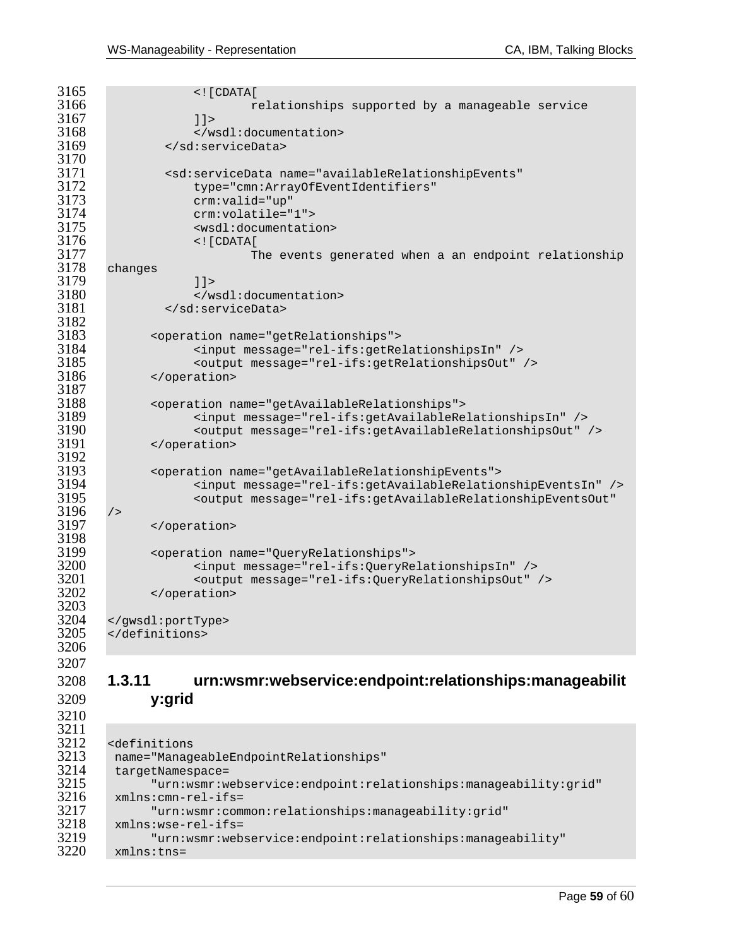3211<br>3212

```
3165 <! [CDATA]
                        relationships supported by a manageable service
3167 11><br>3168 \leq w3168 </wsdl:documentation> 
             3169 </sd:serviceData> 
3170<br>3171
3171 <sd:serviceData name="availableRelationshipEvents" 
3172 type="cmn:ArrayOfEventIdentifiers" 
3173 crm:valid="up" 
3174 crm:volatile="1"> 
                 3175 <wsdl:documentation> 
3176 <![CDATA[ 
3177 The events generated when a an endpoint relationship 
      changes
3179 11><br>3180 \leq w3180 </wsdl:documentation> 
             3181 </sd:serviceData> 
3182<br>3183
3183 <operation name="getRelationships"> 
3184 <input message="rel-ifs:getRelationshipsIn" /> 
3185 <output message="rel-ifs:getRelationshipsOut" /> 
            3186 </operation> 
3187 
3188 <operation name="getAvailableRelationships"> 
3189 <input message="rel-ifs:getAvailableRelationshipsIn" /> 
3190 <output message="rel-ifs:getAvailableRelationshipsOut" /> 
            </operation>
3192<br>3193
3193 <operation name="getAvailableRelationshipEvents"> 
                 3194 <input message="rel-ifs:getAvailableRelationshipEventsIn" /> 
3195 <output message="rel-ifs:getAvailableRelationshipEventsOut" 
3196 /><br>3197</operation>
3198<br>3199
3199 <operation name="QueryRelationships"> 
3200 <input message="rel-ifs:QueryRelationshipsIn" /> 
3201 <wtput message="rel-ifs:QueryRelationshipsOut" /><br>3202 </operation>
            </operation>
3203<br>3204
3204 </gwsdl:portType> 
      3205 </definitions> 
3206 
3207
```
### **1.3.11 urn:wsmr:webservice:endpoint:relationships:manageabilit y:grid**

```
3212 <definitions 
3213 name="ManageableEndpointRelationships" 
3214 targetNamespace=<br>3215 "urn:wsmr:w
3215 "urn:wsmr:webservice:endpoint:relationships:manageability:grid" 
3216 xmlns:cmn-rel-ifs= 
3217 "urn:wsmr:common:relationships:manageability:grid" 
3218 xmlns:wse-rel-ifs= 
3219 "urn:wsmr:webservice:endpoint:relationships:manageability" 
       xmlns:tns=
```